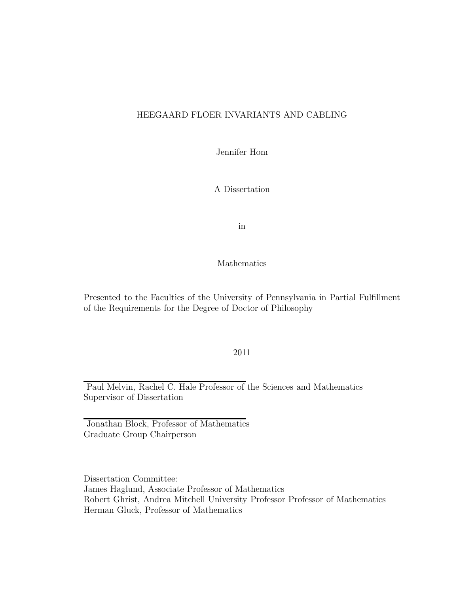## HEEGAARD FLOER INVARIANTS AND CABLING

Jennifer Hom

A Dissertation

in

Mathematics

Presented to the Faculties of the University of Pennsylvania in Partial Fulfillment of the Requirements for the Degree of Doctor of Philosophy

2011

Paul Melvin, Rachel C. Hale Professor of the Sciences and Mathematics Supervisor of Dissertation

Jonathan Block, Professor of Mathematics Graduate Group Chairperson

Dissertation Committee: James Haglund, Associate Professor of Mathematics Robert Ghrist, Andrea Mitchell University Professor Professor of Mathematics Herman Gluck, Professor of Mathematics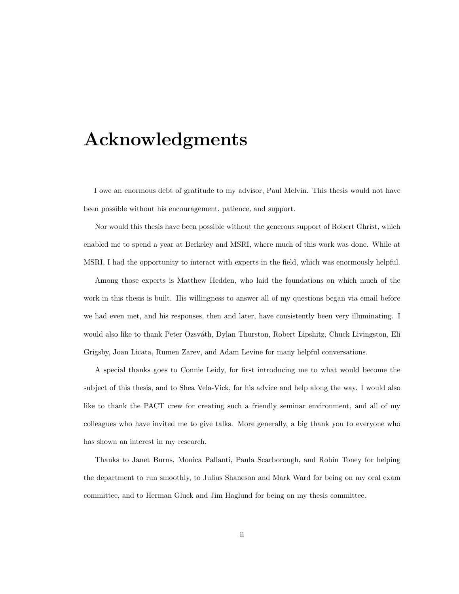## Acknowledgments

I owe an enormous debt of gratitude to my advisor, Paul Melvin. This thesis would not have been possible without his encouragement, patience, and support.

Nor would this thesis have been possible without the generous support of Robert Ghrist, which enabled me to spend a year at Berkeley and MSRI, where much of this work was done. While at MSRI, I had the opportunity to interact with experts in the field, which was enormously helpful.

Among those experts is Matthew Hedden, who laid the foundations on which much of the work in this thesis is built. His willingness to answer all of my questions began via email before we had even met, and his responses, then and later, have consistently been very illuminating. I would also like to thank Peter Ozsváth, Dylan Thurston, Robert Lipshitz, Chuck Livingston, Eli Grigsby, Joan Licata, Rumen Zarev, and Adam Levine for many helpful conversations.

A special thanks goes to Connie Leidy, for first introducing me to what would become the subject of this thesis, and to Shea Vela-Vick, for his advice and help along the way. I would also like to thank the PACT crew for creating such a friendly seminar environment, and all of my colleagues who have invited me to give talks. More generally, a big thank you to everyone who has shown an interest in my research.

Thanks to Janet Burns, Monica Pallanti, Paula Scarborough, and Robin Toney for helping the department to run smoothly, to Julius Shaneson and Mark Ward for being on my oral exam committee, and to Herman Gluck and Jim Haglund for being on my thesis committee.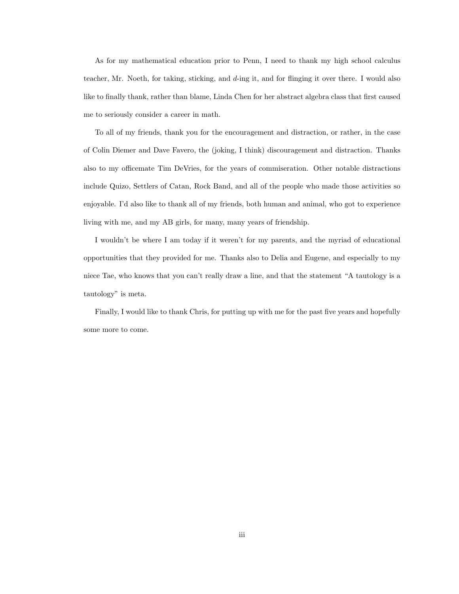As for my mathematical education prior to Penn, I need to thank my high school calculus teacher, Mr. Noeth, for taking, sticking, and d-ing it, and for flinging it over there. I would also like to finally thank, rather than blame, Linda Chen for her abstract algebra class that first caused me to seriously consider a career in math.

To all of my friends, thank you for the encouragement and distraction, or rather, in the case of Colin Diemer and Dave Favero, the (joking, I think) discouragement and distraction. Thanks also to my officemate Tim DeVries, for the years of commiseration. Other notable distractions include Quizo, Settlers of Catan, Rock Band, and all of the people who made those activities so enjoyable. I'd also like to thank all of my friends, both human and animal, who got to experience living with me, and my AB girls, for many, many years of friendship.

I wouldn't be where I am today if it weren't for my parents, and the myriad of educational opportunities that they provided for me. Thanks also to Delia and Eugene, and especially to my niece Tae, who knows that you can't really draw a line, and that the statement "A tautology is a tautology" is meta.

Finally, I would like to thank Chris, for putting up with me for the past five years and hopefully some more to come.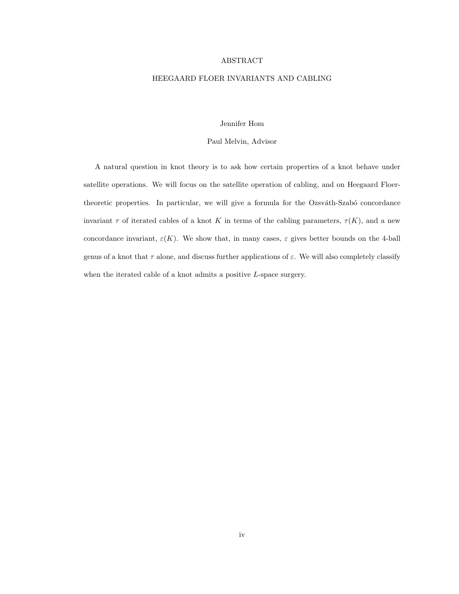#### ABSTRACT

#### HEEGAARD FLOER INVARIANTS AND CABLING

#### Jennifer Hom

#### Paul Melvin, Advisor

A natural question in knot theory is to ask how certain properties of a knot behave under satellite operations. We will focus on the satellite operation of cabling, and on Heegaard Floertheoretic properties. In particular, we will give a formula for the Ozsváth-Szabó concordance invariant  $\tau$  of iterated cables of a knot K in terms of the cabling parameters,  $\tau(K)$ , and a new concordance invariant,  $\varepsilon(K)$ . We show that, in many cases,  $\varepsilon$  gives better bounds on the 4-ball genus of a knot that  $\tau$  alone, and discuss further applications of  $\varepsilon$ . We will also completely classify when the iterated cable of a knot admits a positive L-space surgery.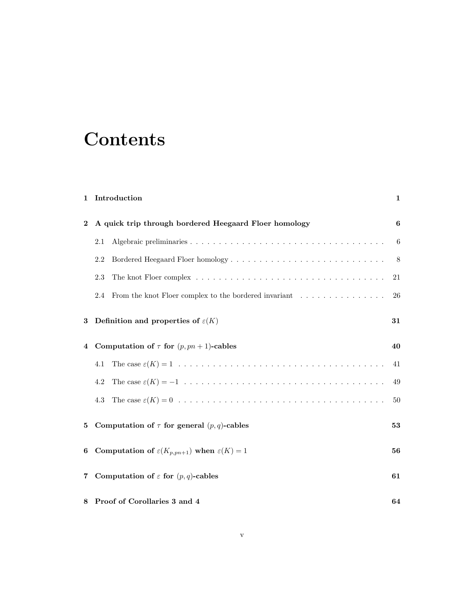## **Contents**

## 1 Introduction 1

| $\bf{2}$       | A quick trip through bordered Heegaard Floer homology               | 6  |
|----------------|---------------------------------------------------------------------|----|
|                | 2.1                                                                 | 6  |
|                | Bordered Heegaard Floer homology<br>2.2                             | 8  |
|                | 2.3                                                                 | 21 |
|                | From the knot Floer complex to the bordered invariant<br>2.4        | 26 |
| 3              | Definition and properties of $\varepsilon(K)$                       | 31 |
| $\overline{4}$ | Computation of $\tau$ for $(p, pn + 1)$ -cables                     | 40 |
|                | 4.1                                                                 | 41 |
|                | 4.2                                                                 | 49 |
|                | 4.3                                                                 | 50 |
| 5              | Computation of $\tau$ for general $(p, q)$ -cables                  | 53 |
| 6              | Computation of $\varepsilon(K_{p, pn+1})$ when $\varepsilon(K) = 1$ | 56 |
| $\overline{7}$ | Computation of $\varepsilon$ for $(p, q)$ -cables                   | 61 |
|                | 8 Proof of Corollaries 3 and 4                                      | 64 |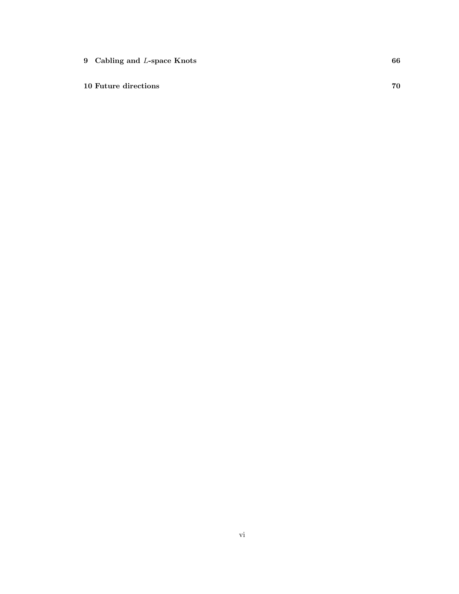9 Cabling and L-space Knots 66

10 Future directions 70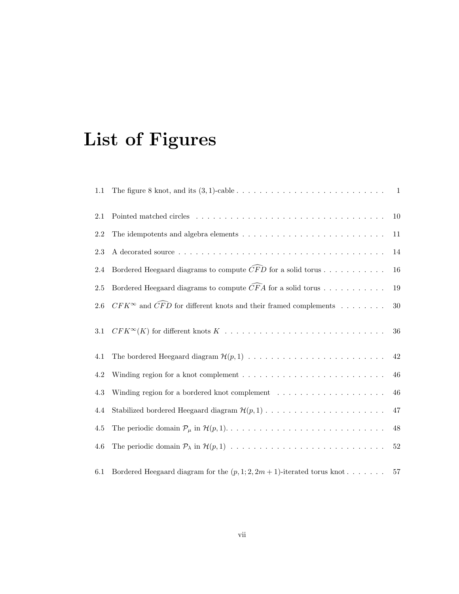# List of Figures

| 1.1     |                                                                                                              | $\overline{1}$ |
|---------|--------------------------------------------------------------------------------------------------------------|----------------|
| 2.1     |                                                                                                              | 10             |
| 2.2     | The idempotents and algebra elements $\ldots \ldots \ldots \ldots \ldots \ldots \ldots \ldots \ldots \ldots$ | 11             |
| 2.3     |                                                                                                              | 14             |
| 2.4     | Bordered Heegaard diagrams to compute $\widehat{CFD}$ for a solid torus                                      | 16             |
| $2.5\,$ | Bordered Heegaard diagrams to compute $\widehat{CFA}$ for a solid torus                                      | $19\,$         |
| $2.6\,$ | $CFK^{\infty}$ and $\widehat{CFD}$ for different knots and their framed complements                          | $30\,$         |
| 3.1     |                                                                                                              | 36             |
| 4.1     |                                                                                                              | $42\,$         |
| 4.2     | Winding region for a knot complement $\dots \dots \dots \dots \dots \dots \dots \dots \dots \dots$           | 46             |
| 4.3     | Winding region for a bordered knot complement $\ldots \ldots \ldots \ldots \ldots \ldots$                    | 46             |
| 4.4     |                                                                                                              | $47\,$         |
| 4.5     |                                                                                                              | $48\,$         |
| 4.6     |                                                                                                              | $52\,$         |
| 6.1     | Bordered Heegaard diagram for the $(p, 1, 2, 2m + 1)$ -iterated torus knot                                   | 57             |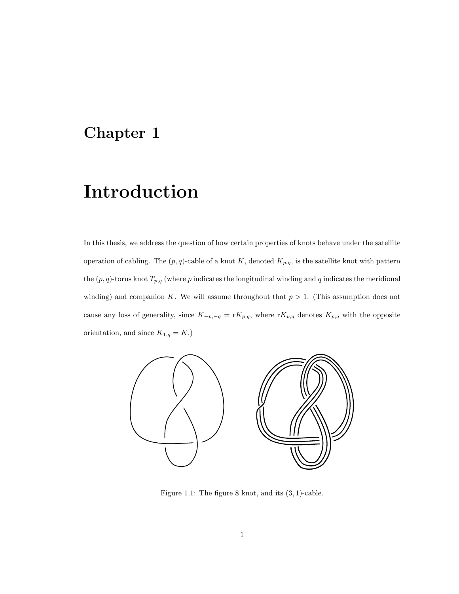## Chapter 1

## Introduction

In this thesis, we address the question of how certain properties of knots behave under the satellite operation of cabling. The  $(p, q)$ -cable of a knot K, denoted  $K_{p,q}$ , is the satellite knot with pattern the  $(p, q)$ -torus knot  $T_{p,q}$  (where p indicates the longitudinal winding and q indicates the meridional winding) and companion K. We will assume throughout that  $p > 1$ . (This assumption does not cause any loss of generality, since  $K_{-p,-q} = rK_{p,q}$ , where  $rK_{p,q}$  denotes  $K_{p,q}$  with the opposite orientation, and since  $K_{1,q} = K$ .)



Figure 1.1: The figure 8 knot, and its  $(3, 1)$ -cable.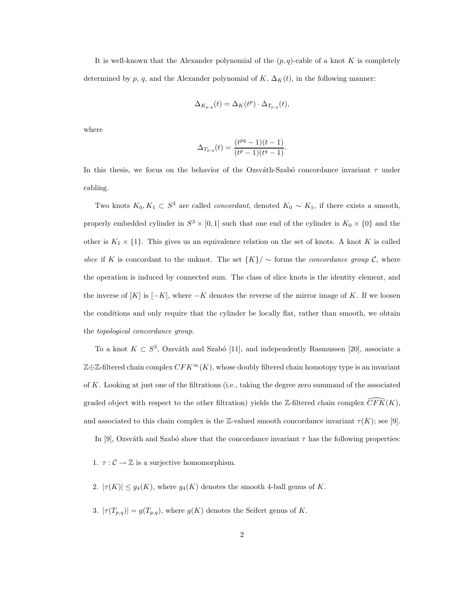It is well-known that the Alexander polynomial of the  $(p, q)$ -cable of a knot K is completely determined by p, q, and the Alexander polynomial of K,  $\Delta_K(t)$ , in the following manner:

$$
\Delta_{K_{p,q}}(t) = \Delta_K(t^p) \cdot \Delta_{T_{p,q}}(t),
$$

where

$$
\Delta_{T_{p,q}}(t) = \frac{(t^{pq} - 1)(t - 1)}{(t^p - 1)(t^q - 1)}.
$$

In this thesis, we focus on the behavior of the Ozsváth-Szabó concordance invariant  $\tau$  under cabling.

Two knots  $K_0, K_1 \subset S^3$  are called *concordant*, denoted  $K_0 \sim K_1$ , if there exists a smooth, properly embedded cylinder in  $S^3 \times [0,1]$  such that one end of the cylinder is  $K_0 \times \{0\}$  and the other is  $K_1 \times \{1\}$ . This gives us an equivalence relation on the set of knots. A knot K is called slice if K is concordant to the unknot. The set  $\{K\} / \sim$  forms the *concordance group* C, where the operation is induced by connected sum. The class of slice knots is the identity element, and the inverse of  $[K]$  is  $[-K]$ , where  $-K$  denotes the reverse of the mirror image of K. If we loosen the conditions and only require that the cylinder be locally flat, rather than smooth, we obtain the topological concordance group.

To a knot  $K \subset S^3$ , Ozsváth and Szabó [11], and independently Rasmussen [20], associate a  $\mathbb{Z} \oplus \mathbb{Z}$ -filtered chain complex  $CFK^{\infty}(K)$ , whose doubly filtered chain homotopy type is an invariant of K. Looking at just one of the filtrations (i.e., taking the degree zero summand of the associated graded object with respect to the other filtration) yields the Z-filtered chain complex  $\overline{CFK}(K)$ , and associated to this chain complex is the Z-valued smooth concordance invariant  $\tau(K)$ ; see [9].

In [9], Ozsváth and Szabó show that the concordance invariant  $\tau$  has the following properties:

1.  $\tau : \mathcal{C} \to \mathbb{Z}$  is a surjective homomorphism.

- 2.  $|\tau(K)| \leq g_4(K)$ , where  $g_4(K)$  denotes the smooth 4-ball genus of K.
- 3.  $|\tau(T_{p,q})| = g(T_{p,q})$ , where  $g(K)$  denotes the Seifert genus of K.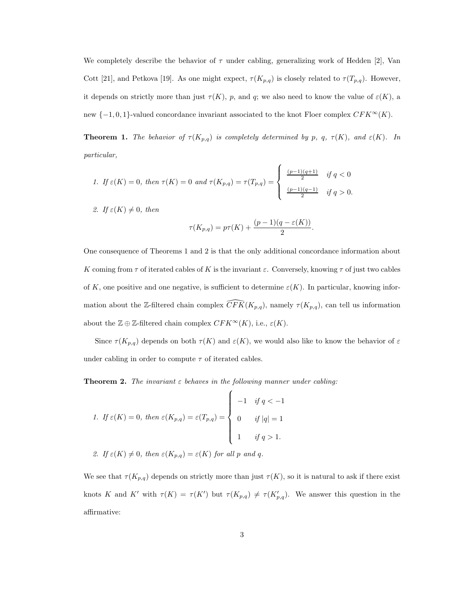We completely describe the behavior of  $\tau$  under cabling, generalizing work of Hedden [2], Van Cott [21], and Petkova [19]. As one might expect,  $\tau(K_{p,q})$  is closely related to  $\tau(T_{p,q})$ . However, it depends on strictly more than just  $\tau(K)$ , p, and q; we also need to know the value of  $\varepsilon(K)$ , a new  $\{-1,0,1\}$ -valued concordance invariant associated to the knot Floer complex  $CFK^{\infty}(K)$ .

**Theorem 1.** The behavior of  $\tau(K_{p,q})$  is completely determined by p, q,  $\tau(K)$ , and  $\varepsilon(K)$ . In particular,

1. If 
$$
\varepsilon(K) = 0
$$
, then  $\tau(K) = 0$  and  $\tau(K_{p,q}) = \tau(T_{p,q}) = \begin{cases} \frac{(p-1)(q+1)}{2} & \text{if } q < 0 \\ \frac{(p-1)(q-1)}{2} & \text{if } q > 0. \end{cases}$ 

2. If  $\varepsilon(K) \neq 0$ , then

$$
\tau(K_{p,q}) = p\tau(K) + \frac{(p-1)(q-\varepsilon(K))}{2}.
$$

One consequence of Theorems 1 and 2 is that the only additional concordance information about K coming from  $\tau$  of iterated cables of K is the invariant  $\varepsilon$ . Conversely, knowing  $\tau$  of just two cables of K, one positive and one negative, is sufficient to determine  $\varepsilon(K)$ . In particular, knowing information about the Z-filtered chain complex  $\widehat{CFK}(K_{p,q})$ , namely  $\tau(K_{p,q})$ , can tell us information about the  $\mathbb{Z} \oplus \mathbb{Z}$ -filtered chain complex  $CFK^{\infty}(K)$ , i.e.,  $\varepsilon(K)$ .

Since  $\tau(K_{p,q})$  depends on both  $\tau(K)$  and  $\varepsilon(K)$ , we would also like to know the behavior of  $\varepsilon$ under cabling in order to compute  $\tau$  of iterated cables.

**Theorem 2.** The invariant  $\varepsilon$  behaves in the following manner under cabling:

1. If 
$$
\varepsilon(K) = 0
$$
, then  $\varepsilon(K_{p,q}) = \varepsilon(T_{p,q}) = \begin{cases} -1 & \text{if } q < -1 \\ 0 & \text{if } |q| = 1 \\ 1 & \text{if } q > 1. \end{cases}$ 

2. If 
$$
\varepsilon(K) \neq 0
$$
, then  $\varepsilon(K_{p,q}) = \varepsilon(K)$  for all p and q.

We see that  $\tau(K_{p,q})$  depends on strictly more than just  $\tau(K)$ , so it is natural to ask if there exist knots K and K' with  $\tau(K) = \tau(K')$  but  $\tau(K_{p,q}) \neq \tau(K'_{p,q})$ . We answer this question in the affirmative: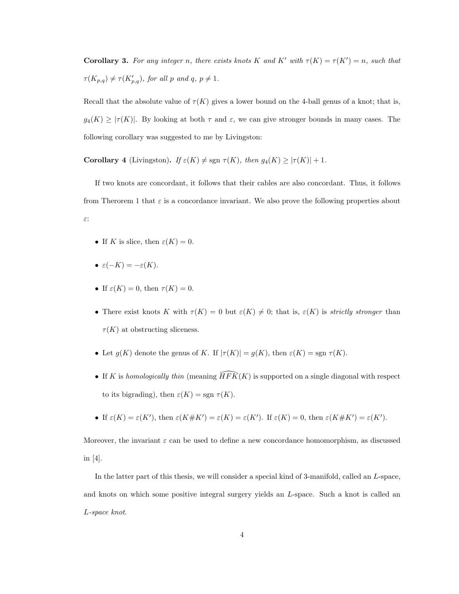**Corollary 3.** For any integer n, there exists knots K and K' with  $\tau(K) = \tau(K') = n$ , such that  $\tau(K_{p,q}) \neq \tau(K'_{p,q})$ , for all p and q,  $p \neq 1$ .

Recall that the absolute value of  $\tau(K)$  gives a lower bound on the 4-ball genus of a knot; that is,  $g_4(K) \geq |\tau(K)|$ . By looking at both  $\tau$  and  $\varepsilon$ , we can give stronger bounds in many cases. The following corollary was suggested to me by Livingston:

**Corollary 4** (Livingston). If  $\varepsilon(K) \neq \text{sgn } \tau(K)$ , then  $g_4(K) \geq |\tau(K)| + 1$ .

If two knots are concordant, it follows that their cables are also concordant. Thus, it follows from Therorem 1 that  $\varepsilon$  is a concordance invariant. We also prove the following properties about ε:

- If K is slice, then  $\varepsilon(K) = 0$ .
- $\varepsilon(-K) = -\varepsilon(K)$ .
- If  $\varepsilon(K) = 0$ , then  $\tau(K) = 0$ .
- There exist knots K with  $\tau(K) = 0$  but  $\varepsilon(K) \neq 0$ ; that is,  $\varepsilon(K)$  is strictly stronger than  $\tau(K)$  at obstructing sliceness.
- Let  $g(K)$  denote the genus of K. If  $|\tau(K)| = g(K)$ , then  $\varepsilon(K) = \text{sgn } \tau(K)$ .
- If K is homologically thin (meaning  $\widehat{HFK}(K)$  is supported on a single diagonal with respect to its bigrading), then  $\varepsilon(K) = \text{sgn } \tau(K)$ .
- If  $\varepsilon(K) = \varepsilon(K')$ , then  $\varepsilon(K \# K') = \varepsilon(K) = \varepsilon(K')$ . If  $\varepsilon(K) = 0$ , then  $\varepsilon(K \# K') = \varepsilon(K')$ .

Moreover, the invariant  $\varepsilon$  can be used to define a new concordance homomorphism, as discussed in [4].

In the latter part of this thesis, we will consider a special kind of 3-manifold, called an L-space, and knots on which some positive integral surgery yields an L-space. Such a knot is called an L-space knot.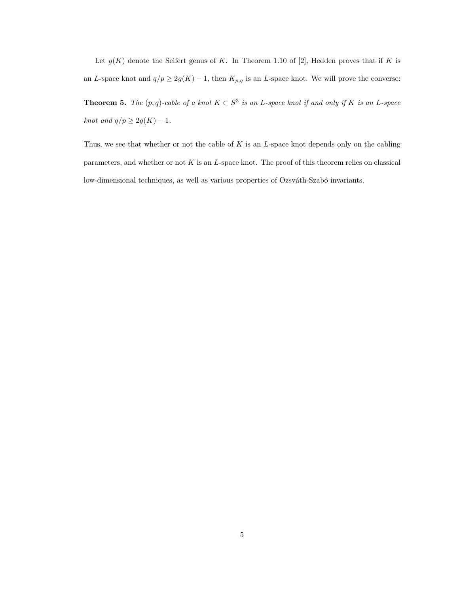Let  $g(K)$  denote the Seifert genus of K. In Theorem 1.10 of [2], Hedden proves that if K is an L-space knot and  $q/p \geq 2g(K) - 1$ , then  $K_{p,q}$  is an L-space knot. We will prove the converse:

**Theorem 5.** The  $(p,q)$ -cable of a knot  $K \subset S^3$  is an L-space knot if and only if K is an L-space knot and  $q/p \geq 2g(K)-1$ .

Thus, we see that whether or not the cable of  $K$  is an  $L$ -space knot depends only on the cabling parameters, and whether or not K is an L-space knot. The proof of this theorem relies on classical low-dimensional techniques, as well as various properties of Ozsváth-Szabó invariants.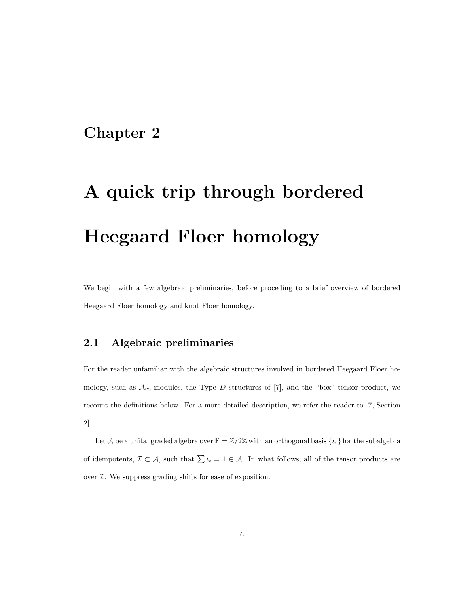## Chapter 2

# A quick trip through bordered Heegaard Floer homology

We begin with a few algebraic preliminaries, before proceding to a brief overview of bordered Heegaard Floer homology and knot Floer homology.

## 2.1 Algebraic preliminaries

For the reader unfamiliar with the algebraic structures involved in bordered Heegaard Floer homology, such as  $A_{\infty}$ -modules, the Type D structures of [7], and the "box" tensor product, we recount the definitions below. For a more detailed description, we refer the reader to [7, Section 2].

Let A be a unital graded algebra over  $\mathbb{F} = \mathbb{Z}/2\mathbb{Z}$  with an orthogonal basis  $\{\iota_i\}$  for the subalgebra of idempotents,  $\mathcal{I} \subset \mathcal{A}$ , such that  $\sum \iota_i = 1 \in \mathcal{A}$ . In what follows, all of the tensor products are over  $I$ . We suppress grading shifts for ease of exposition.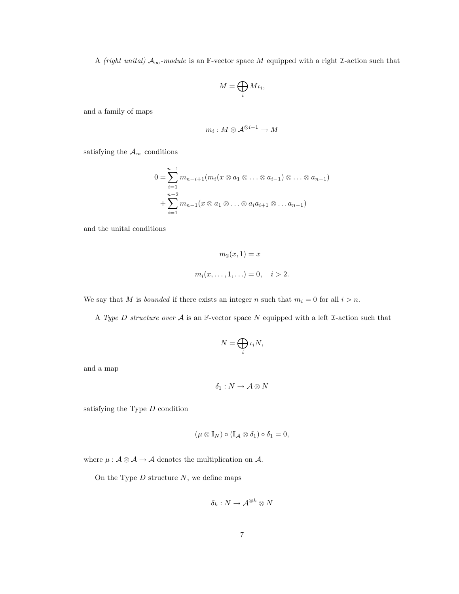A (right unital)  $A_{\infty}$ -module is an F-vector space M equipped with a right *I*-action such that

$$
M=\bigoplus_i M\iota_i,
$$

and a family of maps

$$
m_i:M\otimes \mathcal{A}^{\otimes i-1}\to M
$$

satisfying the  $\mathcal{A}_\infty$  conditions

$$
0 = \sum_{i=1}^{n-1} m_{n-i+1}(m_i(x \otimes a_1 \otimes \ldots \otimes a_{i-1}) \otimes \ldots \otimes a_{n-1})
$$
  
+ 
$$
\sum_{i=1}^{n-2} m_{n-1}(x \otimes a_1 \otimes \ldots \otimes a_i a_{i+1} \otimes \ldots a_{n-1})
$$

and the unital conditions

$$
m_2(x, 1) = x
$$
  

$$
m_i(x, \dots, 1, \dots) = 0, \quad i > 2.
$$

We say that M is *bounded* if there exists an integer n such that  $m_i = 0$  for all  $i > n$ .

A Type D structure over  $A$  is an F-vector space N equipped with a left  $\mathcal I$ -action such that

$$
N=\bigoplus_i \iota_i N,
$$

and a map

$$
\delta_1:N\to\mathcal{A}\otimes N
$$

satisfying the Type  $D$  condition

$$
(\mu\otimes\mathbb{I}_N)\circ(\mathbb{I}_{\mathcal{A}}\otimes\delta_1)\circ\delta_1=0,
$$

where  $\mu: \mathcal{A} \otimes \mathcal{A} \rightarrow \mathcal{A}$  denotes the multiplication on  $\mathcal{A}.$ 

On the Type  $D$  structure  $N$ , we define maps

$$
\delta_k: N \to \mathcal{A}^{\otimes k} \otimes N
$$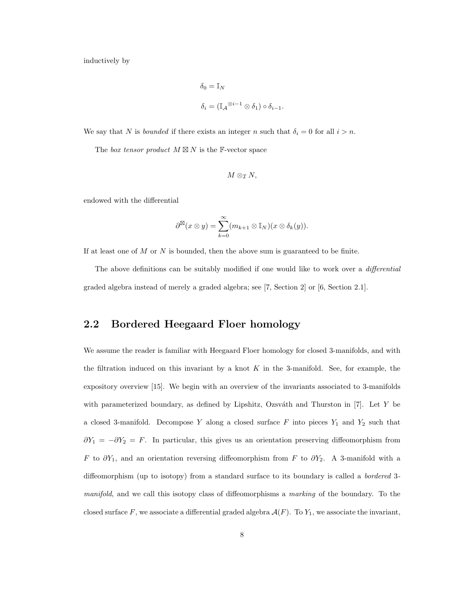inductively by

$$
\delta_0 = \mathbb{I}_N
$$
  

$$
\delta_i = (\mathbb{I}_\mathcal{A}^{\otimes i-1} \otimes \delta_1) \circ \delta_{i-1}.
$$

We say that N is *bounded* if there exists an integer n such that  $\delta_i = 0$  for all  $i > n$ .

The box tensor product  $M \boxtimes N$  is the F-vector space

$$
M\otimes_\mathcal I N,
$$

endowed with the differential

$$
\partial^{\boxtimes}(x\otimes y)=\sum_{k=0}^{\infty}(m_{k+1}\otimes \mathbb{I}_N)(x\otimes \delta_k(y)).
$$

If at least one of  $M$  or  $N$  is bounded, then the above sum is guaranteed to be finite.

The above definitions can be suitably modified if one would like to work over a *differential* graded algebra instead of merely a graded algebra; see [7, Section 2] or [6, Section 2.1].

## 2.2 Bordered Heegaard Floer homology

We assume the reader is familiar with Heegaard Floer homology for closed 3-manifolds, and with the filtration induced on this invariant by a knot  $K$  in the 3-manifold. See, for example, the expository overview [15]. We begin with an overview of the invariants associated to 3-manifolds with parameterized boundary, as defined by Lipshitz, Ozsváth and Thurston in  $[7]$ . Let Y be a closed 3-manifold. Decompose Y along a closed surface  $F$  into pieces  $Y_1$  and  $Y_2$  such that  $\partial Y_1 = -\partial Y_2 = F$ . In particular, this gives us an orientation preserving diffeomorphism from F to  $\partial Y_1$ , and an orientation reversing diffeomorphism from F to  $\partial Y_2$ . A 3-manifold with a diffeomorphism (up to isotopy) from a standard surface to its boundary is called a *bordered* 3manifold, and we call this isotopy class of diffeomorphisms a marking of the boundary. To the closed surface F, we associate a differential graded algebra  $\mathcal{A}(F)$ . To  $Y_1$ , we associate the invariant,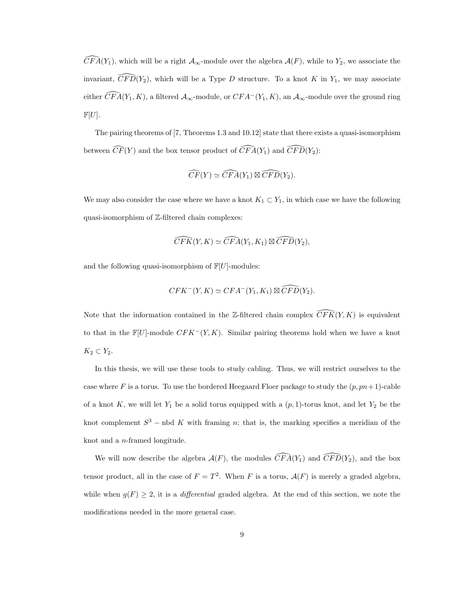$\widehat{CFA}(Y_1)$ , which will be a right  $\mathcal{A}_{\infty}$ -module over the algebra  $\mathcal{A}(F)$ , while to  $Y_2$ , we associate the invariant,  $\widehat{CFD}(Y_2)$ , which will be a Type D structure. To a knot K in Y<sub>1</sub>, we may associate either  $\widehat{CFA}(Y_1, K)$ , a filtered  $\mathcal{A}_{\infty}$ -module, or  $CFA^{-}(Y_1, K)$ , an  $\mathcal{A}_{\infty}$ -module over the ground ring  $\mathbb{F}[U].$ 

The pairing theorems of [7, Theorems 1.3 and 10.12] state that there exists a quasi-isomorphism between  $\widehat{CF}(Y)$  and the box tensor product of  $\widehat{CFA}(Y_1)$  and  $\widehat{CFD}(Y_2)$ :

$$
\widehat{CF}(Y) \simeq \widehat{CFA}(Y_1) \boxtimes \widehat{CFD}(Y_2).
$$

We may also consider the case where we have a knot  $K_1 \subset Y_1$ , in which case we have the following quasi-isomorphism of Z-filtered chain complexes:

$$
\widehat{CFK}(Y,K) \simeq \widehat{CFA}(Y_1,K_1) \boxtimes \widehat{CFD}(Y_2),
$$

and the following quasi-isomorphism of  $\mathbb{F}[U]$ -modules:

$$
CFK^-(Y,K) \simeq CFA^-(Y_1,K_1) \boxtimes \widehat{CFD}(Y_2).
$$

Note that the information contained in the Z-filtered chain complex  $\widehat{CFK}(Y, K)$  is equivalent to that in the  $\mathbb{F}[U]$ -module  $CFK^-(Y, K)$ . Similar pairing theorems hold when we have a knot  $K_2 \subset Y_2$ .

In this thesis, we will use these tools to study cabling. Thus, we will restrict ourselves to the case where F is a torus. To use the bordered Heegaard Floer package to study the  $(p, pn + 1)$ -cable of a knot K, we will let  $Y_1$  be a solid torus equipped with a  $(p, 1)$ -torus knot, and let  $Y_2$  be the knot complement  $S^3$  – nbd K with framing n; that is, the marking specifies a meridian of the knot and a n-framed longitude.

We will now describe the algebra  $A(F)$ , the modules  $\widehat{CFA}(Y_1)$  and  $\widehat{CFD}(Y_2)$ , and the box tensor product, all in the case of  $F = T^2$ . When F is a torus,  $\mathcal{A}(F)$  is merely a graded algebra, while when  $g(F) \geq 2$ , it is a *differential* graded algebra. At the end of this section, we note the modifications needed in the more general case.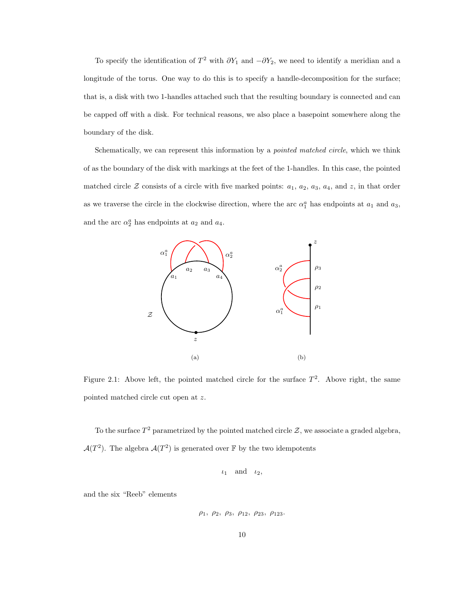To specify the identification of  $T^2$  with  $\partial Y_1$  and  $-\partial Y_2$ , we need to identify a meridian and a longitude of the torus. One way to do this is to specify a handle-decomposition for the surface; that is, a disk with two 1-handles attached such that the resulting boundary is connected and can be capped off with a disk. For technical reasons, we also place a basepoint somewhere along the boundary of the disk.

Schematically, we can represent this information by a *pointed matched circle*, which we think of as the boundary of the disk with markings at the feet of the 1-handles. In this case, the pointed matched circle  $\mathcal Z$  consists of a circle with five marked points:  $a_1$ ,  $a_2$ ,  $a_3$ ,  $a_4$ , and  $z$ , in that order as we traverse the circle in the clockwise direction, where the arc  $\alpha_1^a$  has endpoints at  $a_1$  and  $a_3$ , and the arc  $\alpha_2^a$  has endpoints at  $a_2$  and  $a_4$ .



Figure 2.1: Above left, the pointed matched circle for the surface  $T^2$ . Above right, the same pointed matched circle cut open at z.

To the surface  $T^2$  parametrized by the pointed matched circle  $\mathcal{Z}$ , we associate a graded algebra,  $\mathcal{A}(T^2)$ . The algebra  $\mathcal{A}(T^2)$  is generated over F by the two idempotents

$$
\iota_1 \quad \text{and} \quad \iota_2,
$$

and the six "Reeb" elements

$$
\rho_1,\ \rho_2,\ \rho_3,\ \rho_{12},\ \rho_{23},\ \rho_{123}.
$$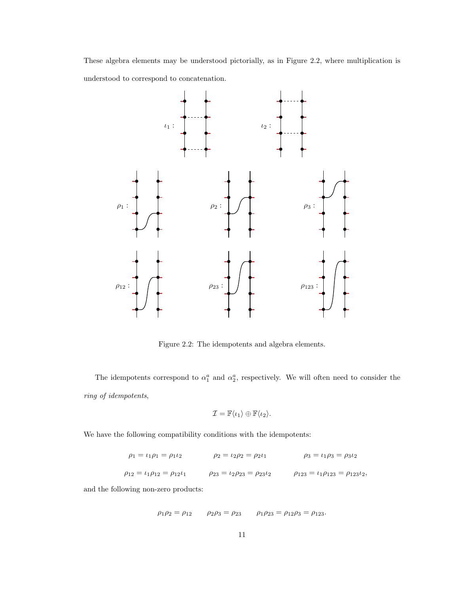These algebra elements may be understood pictorially, as in Figure 2.2, where multiplication is understood to correspond to concatenation.



Figure 2.2: The idempotents and algebra elements.

The idempotents correspond to  $\alpha_1^a$  and  $\alpha_2^a$ , respectively. We will often need to consider the ring of idempotents,

$$
\mathcal{I} = \mathbb{F}\langle \iota_1 \rangle \oplus \mathbb{F}\langle \iota_2 \rangle.
$$

We have the following compatibility conditions with the idempotents:

$$
\rho_1 = \iota_1 \rho_1 = \rho_1 \iota_2 \qquad \rho_2 = \iota_2 \rho_2 = \rho_2 \iota_1 \qquad \rho_3 = \iota_1 \rho_3 = \rho_3 \iota_2
$$
  

$$
\rho_{12} = \iota_1 \rho_{12} = \rho_{12} \iota_1 \qquad \rho_{23} = \iota_2 \rho_{23} = \rho_{23} \iota_2 \qquad \rho_{123} = \iota_1 \rho_{123} = \rho_{123} \iota_2,
$$

and the following non-zero products:

$$
\rho_1 \rho_2 = \rho_{12}
$$
  $\rho_2 \rho_3 = \rho_{23}$   $\rho_1 \rho_{23} = \rho_{12} \rho_3 = \rho_{123}$ .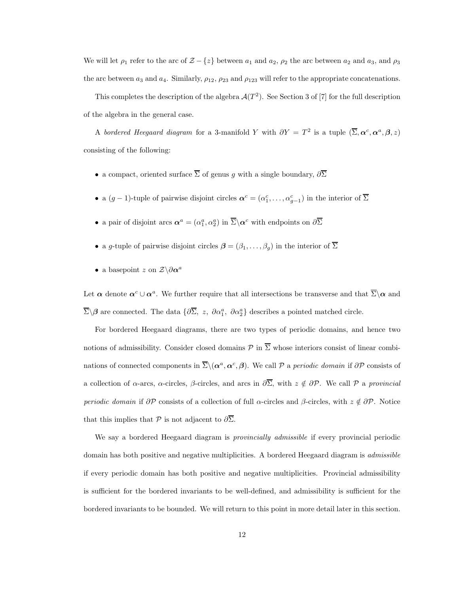We will let  $\rho_1$  refer to the arc of  $\mathcal{Z} - \{z\}$  between  $a_1$  and  $a_2$ ,  $\rho_2$  the arc between  $a_2$  and  $a_3$ , and  $\rho_3$ the arc between  $a_3$  and  $a_4$ . Similarly,  $\rho_{12}$ ,  $\rho_{23}$  and  $\rho_{123}$  will refer to the appropriate concatenations.

This completes the description of the algebra  $\mathcal{A}(T^2)$ . See Section 3 of [7] for the full description of the algebra in the general case.

A bordered Heegaard diagram for a 3-manifold Y with  $\partial Y = T^2$  is a tuple  $(\overline{\Sigma}, \alpha^c, \alpha^a, \beta, z)$ consisting of the following:

- a compact, oriented surface  $\overline{\Sigma}$  of genus q with a single boundary,  $\partial \overline{\Sigma}$
- a  $(g-1)$ -tuple of pairwise disjoint circles  $\alpha^c = (\alpha_1^c, \dots, \alpha_{g-1}^c)$  in the interior of  $\overline{\Sigma}$
- a pair of disjoint arcs  $\alpha^a = (\alpha_1^a, \alpha_2^a)$  in  $\overline{\Sigma} \backslash \alpha^c$  with endpoints on  $\partial \overline{\Sigma}$
- a g-tuple of pairwise disjoint circles  $\beta = (\beta_1, \ldots, \beta_g)$  in the interior of  $\overline{\Sigma}$
- a basepoint z on  $\mathcal{Z}\backslash\partial\pmb{\alpha}^a$

Let  $\alpha$  denote  $\alpha^c \cup \alpha^a$ . We further require that all intersections be transverse and that  $\overline{\Sigma}\setminus\alpha$  and  $\overline{\Sigma}\backslash\beta$  are connected. The data  $\{\partial \overline{\Sigma}, z, \partial \alpha_1^a, \partial \alpha_2^a\}$  describes a pointed matched circle.

For bordered Heegaard diagrams, there are two types of periodic domains, and hence two notions of admissibility. Consider closed domains  $\mathcal P$  in  $\overline{\Sigma}$  whose interiors consist of linear combinations of connected components in  $\overline{\Sigma}\setminus(\alpha^a,\alpha^c,\beta)$ . We call P a periodic domain if  $\partial\mathcal{P}$  consists of a collection of  $\alpha$ -arcs,  $\alpha$ -circles,  $\beta$ -circles, and arcs in  $\partial \overline{\Sigma}$ , with  $z \notin \partial \mathcal{P}$ . We call  $\mathcal P$  a provincial periodic domain if  $\partial \mathcal{P}$  consists of a collection of full  $\alpha$ -circles and  $\beta$ -circles, with  $z \notin \partial \mathcal{P}$ . Notice that this implies that P is not adjacent to  $\partial \overline{\Sigma}$ .

We say a bordered Heegaard diagram is *provincially admissible* if every provincial periodic domain has both positive and negative multiplicities. A bordered Heegaard diagram is admissible if every periodic domain has both positive and negative multiplicities. Provincial admissibility is sufficient for the bordered invariants to be well-defined, and admissibility is sufficient for the bordered invariants to be bounded. We will return to this point in more detail later in this section.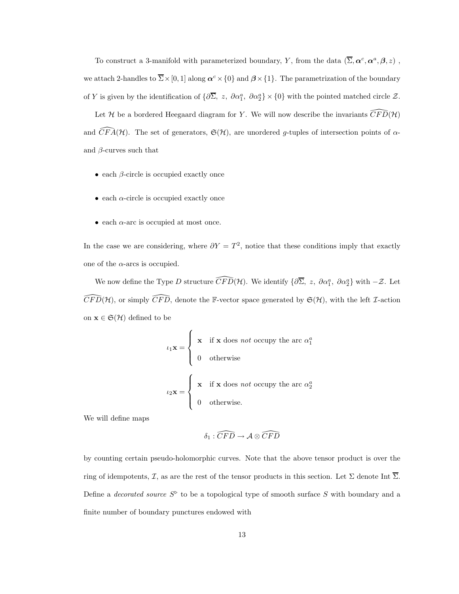To construct a 3-manifold with parameterized boundary, Y, from the data  $(\overline{\Sigma}, \alpha^c, \alpha^a, \beta, z)$ , we attach 2-handles to  $\overline{\Sigma} \times [0, 1]$  along  $\alpha^c \times \{0\}$  and  $\beta \times \{1\}$ . The parametrization of the boundary of Y is given by the identification of  $\{\partial \overline{\Sigma}, z, \partial \alpha_1^a, \partial \alpha_2^a\} \times \{0\}$  with the pointed matched circle  $\mathcal{Z}$ .

Let H be a bordered Heegaard diagram for Y. We will now describe the invariants  $\overline{CFD}(H)$ and  $\widehat{CFA}(\mathcal{H})$ . The set of generators,  $\mathfrak{S}(\mathcal{H})$ , are unordered g-tuples of intersection points of  $\alpha$ and  $\beta$ -curves such that

- $\bullet$  each  $\beta$ -circle is occupied exactly once
- each  $\alpha$ -circle is occupied exactly once
- each  $\alpha$ -arc is occupied at most once.

In the case we are considering, where  $\partial Y = T^2$ , notice that these conditions imply that exactly one of the  $\alpha$ -arcs is occupied.

We now define the Type D structure  $\widehat{CFD}(\mathcal{H})$ . We identify  $\{\partial \overline{\Sigma}, z, \partial \alpha_1^a, \partial \alpha_2^a\}$  with  $-\mathcal{Z}$ . Let  $\widehat{CFD}(\mathcal{H})$ , or simply  $\widehat{CFD}$ , denote the F-vector space generated by  $\mathfrak{S}(\mathcal{H})$ , with the left *I*-action on  $\mathbf{x} \in \mathfrak{S}(\mathcal{H})$  defined to be

$$
\iota_1 \mathbf{x} = \begin{cases} \mathbf{x} & \text{if } \mathbf{x} \text{ does } not \text{ occupy the arc } \alpha_1^a \\ 0 & \text{otherwise} \end{cases}
$$

$$
\iota_2 \mathbf{x} = \begin{cases} \mathbf{x} & \text{if } \mathbf{x} \text{ does } not \text{ occupy the arc } \alpha_2^a \\ 0 & \text{otherwise.} \end{cases}
$$

We will define maps

$$
\delta_1 : \widehat{CFD} \to \mathcal{A} \otimes \widehat{CFD}
$$

by counting certain pseudo-holomorphic curves. Note that the above tensor product is over the ring of idempotents, I, as are the rest of the tensor products in this section. Let  $\Sigma$  denote Int  $\overline{\Sigma}$ . Define a *decorated source*  $S^{\triangleright}$  to be a topological type of smooth surface S with boundary and a finite number of boundary punctures endowed with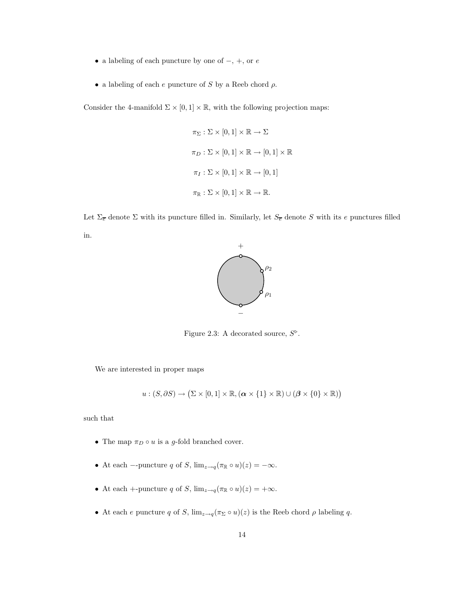- $\bullet\,$  a labeling of each puncture by one of  $-,$   $+,$  or  $e$
- a labeling of each  $e$  puncture of S by a Reeb chord  $\rho$ .

Consider the 4-manifold  $\Sigma \times [0,1] \times \mathbb{R}$ , with the following projection maps:

$$
\pi_{\Sigma} : \Sigma \times [0, 1] \times \mathbb{R} \to \Sigma
$$
  

$$
\pi_D : \Sigma \times [0, 1] \times \mathbb{R} \to [0, 1] \times \mathbb{R}
$$
  

$$
\pi_I : \Sigma \times [0, 1] \times \mathbb{R} \to [0, 1]
$$
  

$$
\pi_{\mathbb{R}} : \Sigma \times [0, 1] \times \mathbb{R} \to \mathbb{R}.
$$

Let  $\Sigma_{\overline{e}}$  denote  $\Sigma$  with its puncture filled in. Similarly, let  $S_{\overline{e}}$  denote S with its e punctures filled in.



Figure 2.3: A decorated source,  $S^{\triangleright}$ .

We are interested in proper maps

$$
u:(S,\partial S) \to (\Sigma \times [0,1] \times \mathbb{R}, (\alpha \times \{1\} \times \mathbb{R}) \cup (\beta \times \{0\} \times \mathbb{R}))
$$

such that

- The map  $\pi_D \circ u$  is a g-fold branched cover.
- At each –-puncture q of S,  $\lim_{z \to q} (\pi_{\mathbb{R}} \circ u)(z) = -\infty$ .
- At each +-puncture q of S,  $\lim_{z \to q} (\pi_{\mathbb{R}} \circ u)(z) = +\infty$ .
- At each e puncture q of S,  $\lim_{z\to q} (\pi_{\Sigma} \circ u)(z)$  is the Reeb chord  $\rho$  labeling q.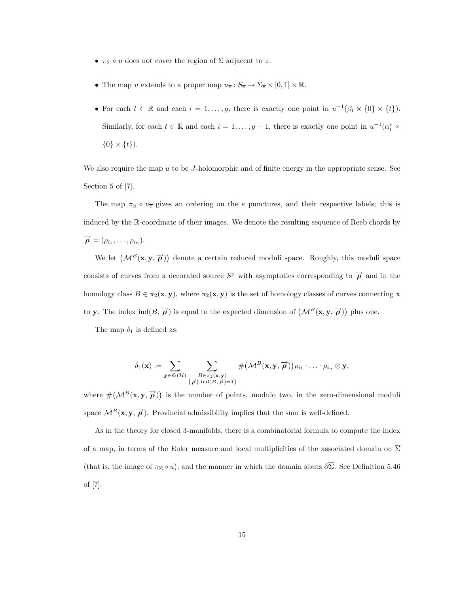- $\pi_{\Sigma} \circ u$  does not cover the region of  $\Sigma$  adjacent to z.
- The map u extends to a proper map  $u_{\overline{e}} : S_{\overline{e}} \to \Sigma_{\overline{e}} \times [0,1] \times \mathbb{R}$ .
- For each  $t \in \mathbb{R}$  and each  $i = 1, \ldots, g$ , there is exactly one point in  $u^{-1}(\beta_i \times \{0\} \times \{t\})$ . Similarly, for each  $t \in \mathbb{R}$  and each  $i = 1, \ldots, g - 1$ , there is exactly one point in  $u^{-1}(\alpha_i^c \times$  $\{0\} \times \{t\}$ .

We also require the map  $u$  to be  $J$ -holomorphic and of finite energy in the appropriate sense. See Section 5 of [7].

The map  $\pi_{\mathbb{R}} \circ u_{\overline{e}}$  gives an ordering on the e punctures, and their respective labels; this is induced by the R-coordinate of their images. We denote the resulting sequence of Reeb chords by  $\overrightarrow{\boldsymbol{\rho}}=(\rho_{i_1},\ldots,\rho_{i_n}).$ 

We let  $(M^B(x, y, \vec{\rho}))$  denote a certain reduced moduli space. Roughly, this moduli space consists of curves from a decorated source  $S^{\triangleright}$  with asymptotics corresponding to  $\overrightarrow{\rho}$  and in the homology class  $B \in \pi_2(\mathbf{x}, \mathbf{y})$ , where  $\pi_2(\mathbf{x}, \mathbf{y})$  is the set of homology classes of curves connecting **x** to y. The index  $\text{ind}(B, \vec{\rho})$  is equal to the expected dimension of  $(\mathcal{M}^B(\mathbf{x}, \mathbf{y}, \vec{\rho}))$  plus one.

The map  $\delta_1$  is defined as:

$$
\delta_1(\mathbf{x}) := \sum_{\mathbf{y} \in \mathfrak{S}(\mathcal{H})} \sum_{\substack{B \in \pi_2(\mathbf{x}, \mathbf{y}) \\ \{\vec{\boldsymbol{\rho}} \mid \text{ ind}(B, \vec{\boldsymbol{\rho}}) = 1\}}} \# \big(\mathcal{M}^B(\mathbf{x}, \mathbf{y}, \vec{\boldsymbol{\rho}})\big) \rho_{i_1} \cdot \ldots \cdot \rho_{i_n} \otimes \mathbf{y},
$$

where  $\#(\mathcal{M}^B(\mathbf{x}, \mathbf{y}, \overrightarrow{\boldsymbol{\rho}}))$  is the number of points, modulo two, in the zero-dimensional moduli space  $\mathcal{M}^B(\mathbf{x}, \mathbf{y}, \overrightarrow{\boldsymbol{\rho}})$ . Provincial admissibility implies that the sum is well-defined.

As in the theory for closed 3-manifolds, there is a combinatorial formula to compute the index of a map, in terms of the Euler measure and local multiplicities of the associated domain on  $\overline{\Sigma}$ (that is, the image of  $\pi_{\Sigma} \circ u$ ), and the manner in which the domain abuts  $\partial \overline{\Sigma}$ . See Definition 5.46 of [7].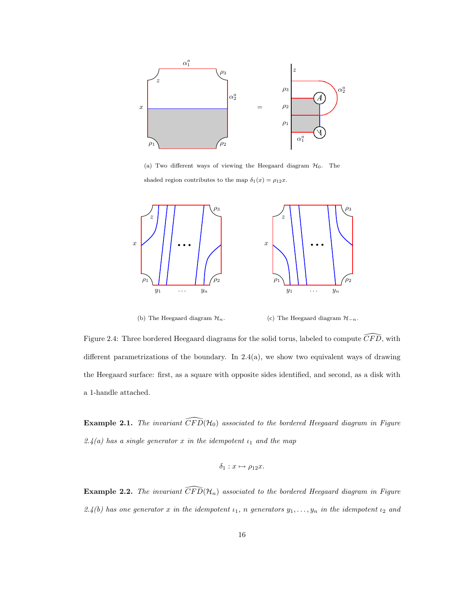

(a) Two different ways of viewing the Heegaard diagram  $\mathcal{H}_0$ . The shaded region contributes to the map  $\delta_1(x) = \rho_{12}x$ .



(b) The Heegaard diagram  $\mathcal{H}_n$ .

(c) The Heegaard diagram  $\mathcal{H}_{-n}$ .

Figure 2.4: Three bordered Heegaard diagrams for the solid torus, labeled to compute  $\widehat{CFD}$ , with different parametrizations of the boundary. In  $2.4(a)$ , we show two equivalent ways of drawing the Heegaard surface: first, as a square with opposite sides identified, and second, as a disk with a 1-handle attached.

**Example 2.1.** The invariant  $\widehat{CFD}(\mathcal{H}_0)$  associated to the bordered Heegaard diagram in Figure  $2.4(a)$  has a single generator x in the idempotent  $\iota_1$  and the map

$$
\delta_1: x \mapsto \rho_{12}x.
$$

**Example 2.2.** The invariant  $\widehat{CFD}(\mathcal{H}_n)$  associated to the bordered Heegaard diagram in Figure 2.4(b) has one generator x in the idempotent  $\iota_1$ , n generators  $y_1, \ldots, y_n$  in the idempotent  $\iota_2$  and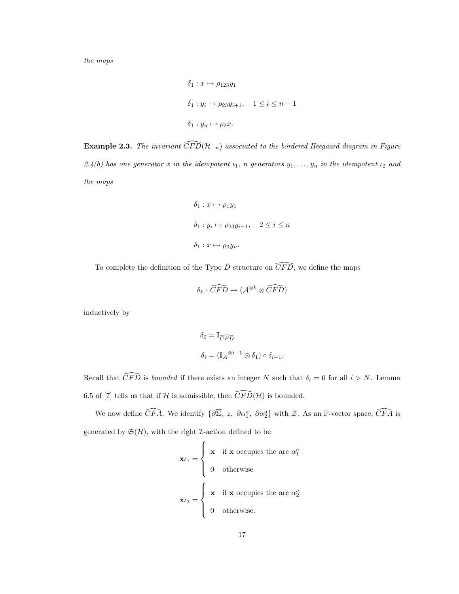the maps

$$
\delta_1: x \mapsto \rho_{123}y_1
$$
  

$$
\delta_1: y_i \mapsto \rho_{23}y_{i+1}, \quad 1 \le i \le n-1
$$
  

$$
\delta_1: y_n \mapsto \rho_2x.
$$

**Example 2.3.** The invariant  $\widehat{CFD}(\mathcal{H}_{-n})$  associated to the bordered Heegaard diagram in Figure 2.4(b) has one generator x in the idempotent  $\iota_1$ , n generators  $y_1, \ldots, y_n$  in the idempotent  $\iota_2$  and the maps

$$
\delta_1: x \mapsto \rho_1 y_1
$$
  

$$
\delta_1: y_i \mapsto \rho_2 y_{i-1}, \quad 2 \le i \le n
$$
  

$$
\delta_1: x \mapsto \rho_3 y_n.
$$

To complete the definition of the Type D structure on  $\widehat{CFD}$ , we define the maps

$$
\delta_k : \widehat{CFD} \to (\mathcal{A}^{\otimes k} \otimes \widehat{CFD})
$$

inductively by

$$
\begin{array}{l} \delta_0 = \mathbb{I}_{\widehat{CFD}}\\ \\ \delta_i = (\mathbb{I}_{\mathcal{A}}{}^{\otimes i-1} \otimes \delta_1) \circ \delta_{i-1}. \end{array}
$$

Recall that  $\widehat{CFD}$  is *bounded* if there exists an integer N such that  $\delta_i = 0$  for all  $i > N$ . Lemma 6.5 of [7] tells us that if H is admissible, then  $\widehat{CFD}(\mathcal{H})$  is bounded.

We now define  $\widehat{CFA}$ . We identify  $\{\partial \overline{\Sigma}, z, \partial \alpha_1^a, \partial \alpha_2^a\}$  with  $\mathcal{Z}$ . As an F-vector space,  $\widehat{CFA}$  is generated by  $\mathfrak{S}(\mathcal{H})$ , with the right *I*-action defined to be

$$
\mathbf{x}\iota_1 = \begin{cases} \mathbf{x} & \text{if } \mathbf{x} \text{ occupies the arc } \alpha_1^a \\ 0 & \text{otherwise} \end{cases}
$$

$$
\mathbf{x}\iota_2 = \begin{cases} \mathbf{x} & \text{if } \mathbf{x} \text{ occupies the arc } \alpha_2^a \\ 0 & \text{otherwise.} \end{cases}
$$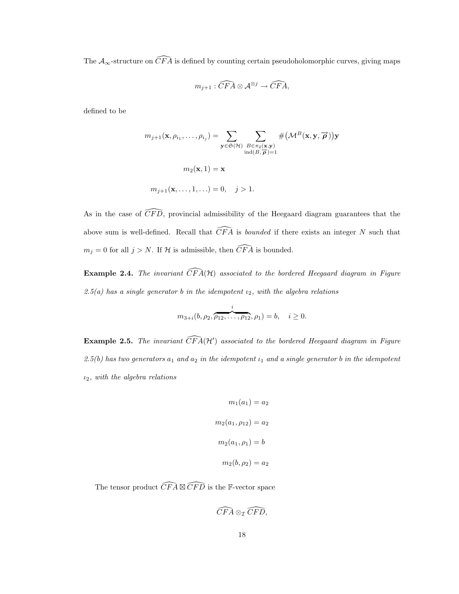The  $\mathcal{A}_{\infty}$ -structure on  $\widehat{CFA}$  is defined by counting certain pseudoholomorphic curves, giving maps

$$
m_{j+1} : \widehat{CFA} \otimes \mathcal{A}^{\otimes j} \to \widehat{CFA},
$$

defined to be

$$
m_{j+1}(\mathbf{x}, \rho_{i_1}, \dots, \rho_{i_j}) = \sum_{\mathbf{y} \in \mathfrak{S}(\mathcal{H})} \sum_{\substack{B \in \pi_2(\mathbf{x}, \mathbf{y}) \\ \text{ind}(B, \overrightarrow{\boldsymbol{\rho}})=1}} \# \left(\mathcal{M}^B(\mathbf{x}, \mathbf{y}, \overrightarrow{\boldsymbol{\rho}})\right) \mathbf{y}
$$

$$
m_2(\mathbf{x}, 1) = \mathbf{x}
$$

$$
m_{j+1}(\mathbf{x}, \dots, 1, \dots) = 0, \quad j > 1.
$$

As in the case of  $\widehat{CFD}$ , provincial admissibility of the Heegaard diagram guarantees that the above sum is well-defined. Recall that  $\widehat{CFA}$  is *bounded* if there exists an integer N such that  $m_j = 0$  for all  $j > N.$  If  ${\mathcal H}$  is admissible, then  $\widehat{CFA}$  is bounded.

**Example 2.4.** The invariant  $\widehat{CFA}(\mathcal{H})$  associated to the bordered Heegaard diagram in Figure 2.5(a) has a single generator b in the idempotent  $\iota_2$ , with the algebra relations

$$
m_{3+i}(b, \rho_2, \overbrace{\rho_{12}, \ldots, \rho_{12}}^{i}, \rho_1) = b, \quad i \ge 0.
$$

**Example 2.5.** The invariant  $\widehat{CFA}(\mathcal{H}')$  associated to the bordered Heegaard diagram in Figure  $2.5(b)$  has two generators  $a_1$  and  $a_2$  in the idempotent  $\iota_1$  and a single generator b in the idempotent  $\iota_2$ , with the algebra relations

$$
m_1(a_1) = a_2
$$

$$
m_2(a_1, \rho_{12}) = a_2
$$

$$
m_2(a_1, \rho_1) = b
$$

$$
m_2(b, \rho_2) = a_2
$$

The tensor product  $\widehat{CFA} \boxtimes \widehat{CFD}$  is the F-vector space

$$
\widehat{CFA}\otimes_{\mathcal{I}}\widehat{CFD},
$$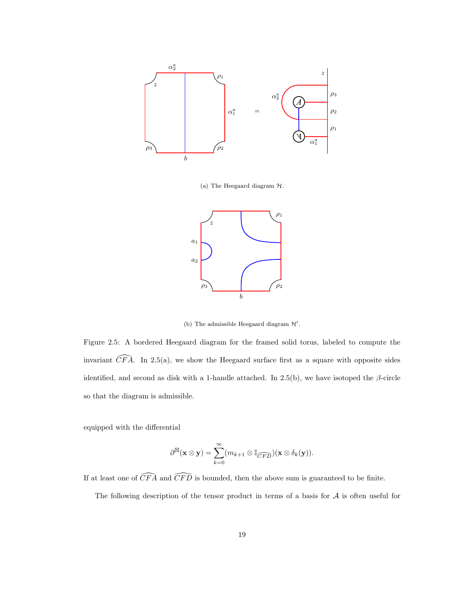

(a) The Heegaard diagram H.



(b) The admissible Heegaard diagram  $\mathcal{H}'$ .

Figure 2.5: A bordered Heegaard diagram for the framed solid torus, labeled to compute the invariant  $\widehat{CFA}$ . In 2.5(a), we show the Heegaard surface first as a square with opposite sides identified, and second as disk with a 1-handle attached. In 2.5(b), we have isotoped the  $\beta$ -circle so that the diagram is admissible.

equipped with the differential

$$
\partial^{\boxtimes}(\mathbf{x}\otimes\mathbf{y})=\sum_{k=0}^{\infty}(m_{k+1}\otimes\mathbb{I}_{\widehat{CFD}})(\mathbf{x}\otimes\delta_{k}(\mathbf{y})).
$$

If at least one of  $\widehat{CFA}$  and  $\widehat{CFD}$  is bounded, then the above sum is guaranteed to be finite.

The following description of the tensor product in terms of a basis for  $A$  is often useful for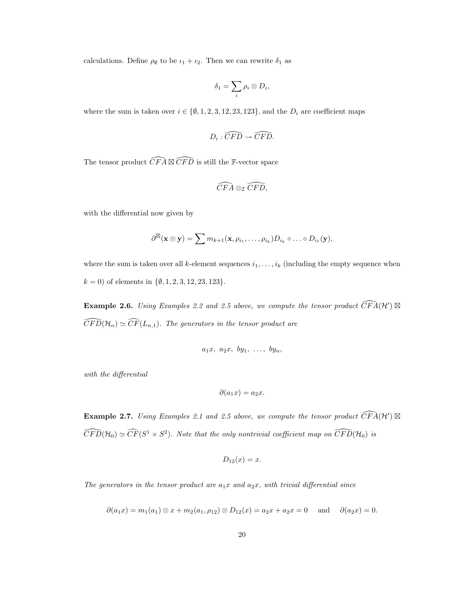calculations. Define  $\rho_{\emptyset}$  to be  $\iota_1 + \iota_2$ . Then we can rewrite  $\delta_1$  as

$$
\delta_1=\sum_i \rho_i\otimes D_i,
$$

where the sum is taken over  $i \in \{0, 1, 2, 3, 12, 23, 123\}$ , and the  $D_i$  are coefficient maps

$$
D_i:\widehat{CFD}\to \widehat{CFD}.
$$

The tensor product  $\widehat{CFA} \boxtimes \widehat{CFD}$  is still the F-vector space

$$
\widehat{CFA}\otimes_{\mathcal{I}}\widehat{CFD},
$$

with the differential now given by

$$
\partial^{\boxtimes}(\mathbf{x}\otimes\mathbf{y})=\sum m_{k+1}(\mathbf{x},\rho_{i_1},\ldots,\rho_{i_k})D_{i_k}\circ\ldots\circ D_{i_1}(\mathbf{y}),
$$

where the sum is taken over all k-element sequences  $i_1, \ldots, i_k$  (including the empty sequence when  $k = 0$ ) of elements in  $\{\emptyset, 1, 2, 3, 12, 23, 123\}.$ 

**Example 2.6.** Using Examples 2.2 and 2.5 above, we compute the tensor product  $\widehat{CFA}(\mathcal{H}')\boxtimes$  $\widehat{CFD}(\mathcal{H}_n) \simeq \widehat{CF}(L_{n,1})$ . The generators in the tensor product are

$$
a_1x, a_2x, by_1, \ldots, by_n,
$$

with the differential

$$
\partial(a_1x)=a_2x.
$$

**Example 2.7.** Using Examples 2.1 and 2.5 above, we compute the tensor product  $\widehat{CFA}(\mathcal{H}')\boxtimes$  $\widehat{CFD}(\mathcal{H}_0) \simeq \widehat{CF}(S^1 \times S^2)$ . Note that the only nontrivial coefficient map on  $\widehat{CFD}(\mathcal{H}_0)$  is

$$
D_{12}(x) = x.
$$

The generators in the tensor product are  $a_1x$  and  $a_2x$ , with trivial differential since

$$
\partial(a_1x) = m_1(a_1) \otimes x + m_2(a_1, \rho_{12}) \otimes D_{12}(x) = a_2x + a_2x = 0 \text{ and } \partial(a_2x) = 0.
$$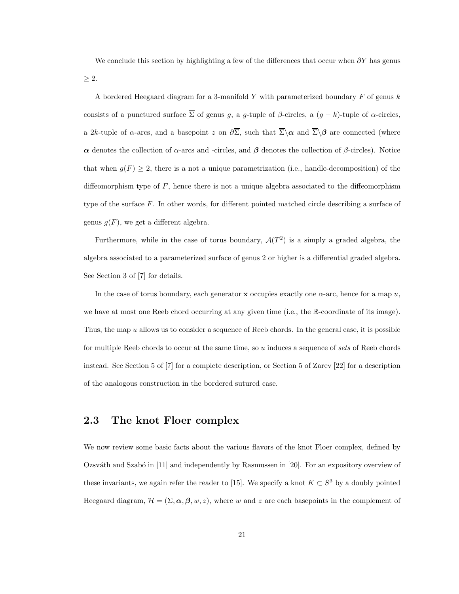We conclude this section by highlighting a few of the differences that occur when  $\partial Y$  has genus  $\geq 2$ .

A bordered Heegaard diagram for a 3-manifold Y with parameterized boundary  $F$  of genus  $k$ consists of a punctured surface  $\overline{\Sigma}$  of genus g, a g-tuple of  $\beta$ -circles, a  $(g - k)$ -tuple of  $\alpha$ -circles, a 2k-tuple of  $\alpha$ -arcs, and a basepoint z on  $\partial \overline{\Sigma}$ , such that  $\overline{\Sigma}\setminus\alpha$  and  $\overline{\Sigma}\setminus\beta$  are connected (where α denotes the collection of α-arcs and -circles, and β denotes the collection of β-circles). Notice that when  $g(F) \geq 2$ , there is a not a unique parametrization (i.e., handle-decomposition) of the diffeomorphism type of  $F$ , hence there is not a unique algebra associated to the diffeomorphism type of the surface  $F$ . In other words, for different pointed matched circle describing a surface of genus  $g(F)$ , we get a different algebra.

Furthermore, while in the case of torus boundary,  $\mathcal{A}(T^2)$  is a simply a graded algebra, the algebra associated to a parameterized surface of genus 2 or higher is a differential graded algebra. See Section 3 of [7] for details.

In the case of torus boundary, each generator **x** occupies exactly one  $\alpha$ -arc, hence for a map u, we have at most one Reeb chord occurring at any given time (i.e., the R-coordinate of its image). Thus, the map  $u$  allows us to consider a sequence of Reeb chords. In the general case, it is possible for multiple Reeb chords to occur at the same time, so u induces a sequence of sets of Reeb chords instead. See Section 5 of [7] for a complete description, or Section 5 of Zarev [22] for a description of the analogous construction in the bordered sutured case.

## 2.3 The knot Floer complex

We now review some basic facts about the various flavors of the knot Floer complex, defined by Ozsváth and Szabó in  $[11]$  and independently by Rasmussen in  $[20]$ . For an expository overview of these invariants, we again refer the reader to [15]. We specify a knot  $K \subset S^3$  by a doubly pointed Heegaard diagram,  $\mathcal{H} = (\Sigma, \alpha, \beta, w, z)$ , where w and z are each basepoints in the complement of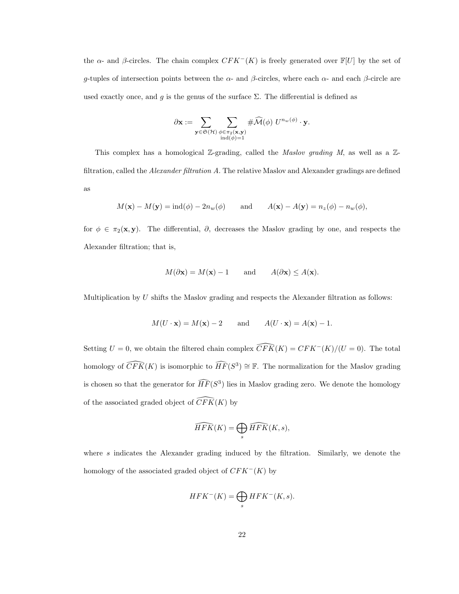the  $\alpha$ - and  $\beta$ -circles. The chain complex  $CFK^-(K)$  is freely generated over  $\mathbb{F}[U]$  by the set of g-tuples of intersection points between the  $\alpha$ - and  $\beta$ -circles, where each  $\alpha$ - and each  $\beta$ -circle are used exactly once, and g is the genus of the surface  $\Sigma$ . The differential is defined as

$$
\partial \mathbf{x} := \sum_{\mathbf{y} \in \mathfrak{S}(\mathcal{H})} \sum_{\substack{\phi \in \pi_2(\mathbf{x}, \mathbf{y}) \\ \text{ind}(\phi) = 1}} \# \widehat{\mathcal{M}}(\phi) \ U^{n_w(\phi)} \cdot \mathbf{y}.
$$

This complex has a homological  $\mathbb{Z}$ -grading, called the *Maslov grading* M, as well as a  $\mathbb{Z}$ filtration, called the *Alexander filtration A*. The relative Maslov and Alexander gradings are defined as

$$
M(\mathbf{x}) - M(\mathbf{y}) = ind(\phi) - 2n_w(\phi)
$$
 and  $A(\mathbf{x}) - A(\mathbf{y}) = n_z(\phi) - n_w(\phi)$ ,

for  $\phi \in \pi_2(\mathbf{x}, \mathbf{y})$ . The differential,  $\partial$ , decreases the Maslov grading by one, and respects the Alexander filtration; that is,

$$
M(\partial \mathbf{x}) = M(\mathbf{x}) - 1
$$
 and  $A(\partial \mathbf{x}) \le A(\mathbf{x})$ .

Multiplication by  $U$  shifts the Maslov grading and respects the Alexander filtration as follows:

$$
M(U \cdot \mathbf{x}) = M(\mathbf{x}) - 2
$$
 and  $A(U \cdot \mathbf{x}) = A(\mathbf{x}) - 1$ .

Setting  $U = 0$ , we obtain the filtered chain complex  $\widehat{CFK}(K) = CFK^{-}(K)/(U = 0)$ . The total homology of  $\widehat{CFK}(K)$  is isomorphic to  $\widehat{HF}(S^3) \cong \mathbb{F}$ . The normalization for the Maslov grading is chosen so that the generator for  $\widehat{HF}(S^3)$  lies in Maslov grading zero. We denote the homology of the associated graded object of  $\widetilde{CFK}(K)$  by

$$
\widehat{HFK}(K) = \bigoplus_s \widehat{HFK}(K, s),
$$

where  $s$  indicates the Alexander grading induced by the filtration. Similarly, we denote the homology of the associated graded object of  $CFK<sup>-</sup>(K)$  by

$$
HFK^{-}(K)=\bigoplus_{s} HFK^{-}(K,s).
$$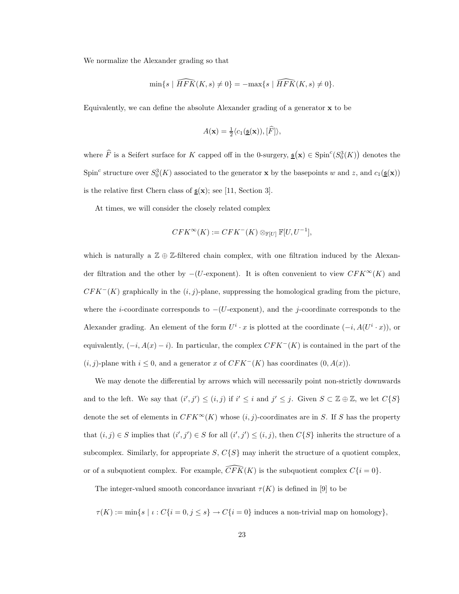We normalize the Alexander grading so that

$$
\min\{s \mid \widehat{HFK}(K,s) \neq 0\} = -\max\{s \mid \widehat{HFK}(K,s) \neq 0\}.
$$

Equivalently, we can define the absolute Alexander grading of a generator x to be

$$
A(\mathbf{x}) = \frac{1}{2} \langle c_1(\underline{\mathfrak{s}}(\mathbf{x})), [\widehat{F}] \rangle,
$$

where  $\widehat{F}$  is a Seifert surface for K capped off in the 0-surgery,  $\mathfrak{s}(\mathbf{x}) \in \mathrm{Spin}^c(S^3_0(K))$  denotes the Spin<sup>c</sup> structure over  $S_0^3(K)$  associated to the generator **x** by the basepoints w and z, and  $c_1(\underline{\mathfrak{s}}(\mathbf{x}))$ is the relative first Chern class of  $\underline{s}(\mathbf{x})$ ; see [11, Section 3].

At times, we will consider the closely related complex

$$
CFK^{\infty}(K) := CFK^{-}(K) \otimes_{\mathbb{F}[U]} \mathbb{F}[U, U^{-1}],
$$

which is naturally a  $\mathbb{Z} \oplus \mathbb{Z}$ -filtered chain complex, with one filtration induced by the Alexander filtration and the other by  $-(U$ -exponent). It is often convenient to view  $CFK^{\infty}(K)$  and  $CFK<sup>-</sup>(K)$  graphically in the  $(i, j)$ -plane, suppressing the homological grading from the picture, where the *i*-coordinate corresponds to  $-(U$ -exponent), and the *j*-coordinate corresponds to the Alexander grading. An element of the form  $U^i \cdot x$  is plotted at the coordinate  $(-i, A(U^i \cdot x))$ , or equivalently,  $(-i, A(x) - i)$ . In particular, the complex  $CFK<sup>-</sup>(K)$  is contained in the part of the  $(i, j)$ -plane with  $i \leq 0$ , and a generator x of  $CFK<sup>-</sup>(K)$  has coordinates  $(0, A(x))$ .

We may denote the differential by arrows which will necessarily point non-strictly downwards and to the left. We say that  $(i', j') \leq (i, j)$  if  $i' \leq i$  and  $j' \leq j$ . Given  $S \subset \mathbb{Z} \oplus \mathbb{Z}$ , we let  $C\{S\}$ denote the set of elements in  $CFK^{\infty}(K)$  whose  $(i, j)$ -coordinates are in S. If S has the property that  $(i, j) \in S$  implies that  $(i', j') \in S$  for all  $(i', j') \leq (i, j)$ , then  $C\{S\}$  inherits the structure of a subcomplex. Similarly, for appropriate  $S, C\{S\}$  may inherit the structure of a quotient complex, or of a subquotient complex. For example,  $\widehat{CFK}(K)$  is the subquotient complex  $C\{i = 0\}$ .

The integer-valued smooth concordance invariant  $\tau(K)$  is defined in [9] to be

$$
\tau(K) := \min\{s \mid \iota : C\{i = 0, j \le s\} \to C\{i = 0\} \text{ induces a non-trivial map on homology}\},\
$$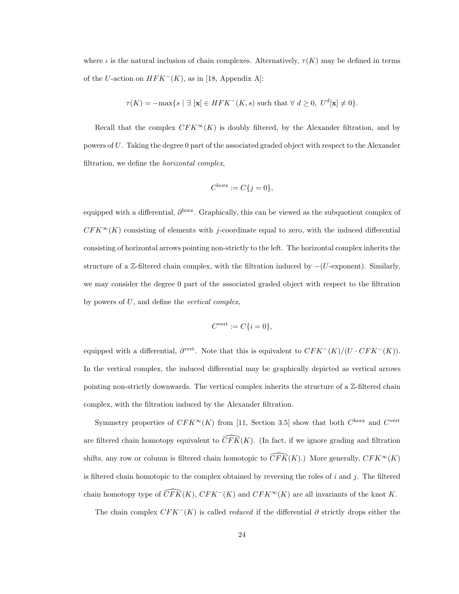where  $\iota$  is the natural inclusion of chain complexes. Alternatively,  $\tau(K)$  may be defined in terms of the U-action on  $HFK^{-}(K)$ , as in [18, Appendix A]:

$$
\tau(K) = -\max\{s \mid \exists \ [\mathbf{x}] \in HFK^{-}(K, s) \text{ such that } \forall d \geq 0, U^{d}[\mathbf{x}] \neq 0\}.
$$

Recall that the complex  $CFK^{\infty}(K)$  is doubly filtered, by the Alexander filtration, and by powers of U. Taking the degree 0 part of the associated graded object with respect to the Alexander filtration, we define the horizontal complex,

$$
C^{\text{horz}} := C\{j = 0\},\
$$

equipped with a differential,  $\partial^{\text{horz}}$ . Graphically, this can be viewed as the subquotient complex of  $CFK^{\infty}(K)$  consisting of elements with j-coordinate equal to zero, with the induced differential consisting of horizontal arrows pointing non-strictly to the left. The horizontal complex inherits the structure of a Z-filtered chain complex, with the filtration induced by  $-(U\text{-exponent})$ . Similarly, we may consider the degree 0 part of the associated graded object with respect to the filtration by powers of U, and define the vertical complex,

$$
C^{\text{vert}} := C\{i = 0\},
$$

equipped with a differential,  $\partial^{\text{vert}}$ . Note that this is equivalent to  $CFK^-(K)/(U \cdot CFK^-(K)).$ In the vertical complex, the induced differential may be graphically depicted as vertical arrows pointing non-strictly downwards. The vertical complex inherits the structure of a  $\mathbb{Z}\text{-filtered chain}$ complex, with the filtration induced by the Alexander filtration.

Symmetry properties of  $CFK^{\infty}(K)$  from [11, Section 3.5] show that both  $C^{\text{horz}}$  and  $C^{\text{vert}}$ are filtered chain homotopy equivalent to  $\widehat{CFK}(K)$ . (In fact, if we ignore grading and filtration shifts, any row or column is filtered chain homotopic to  $\overline{CFK}(K)$ .) More generally,  $CFK^{\infty}(K)$ is filtered chain homotopic to the complex obtained by reversing the roles of i and j. The filtered chain homotopy type of  $\overline{CFK}(K)$ ,  $CFK^{-}(K)$  and  $CFK^{\infty}(K)$  are all invariants of the knot K.

The chain complex  $CFK<sup>-</sup>(K)$  is called *reduced* if the differential  $\partial$  strictly drops either the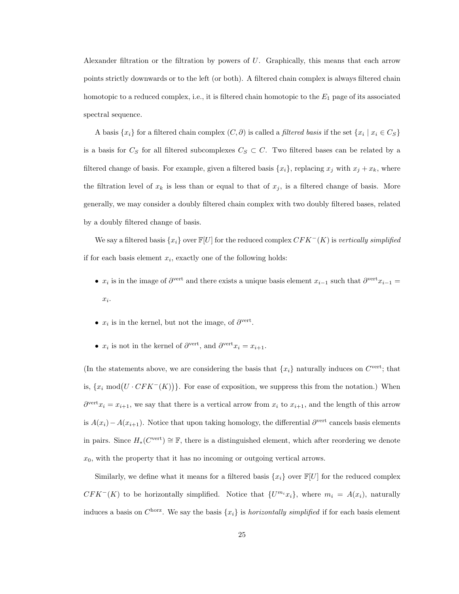Alexander filtration or the filtration by powers of  $U$ . Graphically, this means that each arrow points strictly downwards or to the left (or both). A filtered chain complex is always filtered chain homotopic to a reduced complex, i.e., it is filtered chain homotopic to the  $E_1$  page of its associated spectral sequence.

A basis  $\{x_i\}$  for a filtered chain complex  $(C, \partial)$  is called a *filtered basis* if the set  $\{x_i \mid x_i \in C_S\}$ is a basis for  $C_S$  for all filtered subcomplexes  $C_S \subset C$ . Two filtered bases can be related by a filtered change of basis. For example, given a filtered basis  $\{x_i\}$ , replacing  $x_j$  with  $x_j + x_k$ , where the filtration level of  $x_k$  is less than or equal to that of  $x_j$ , is a filtered change of basis. More generally, we may consider a doubly filtered chain complex with two doubly filtered bases, related by a doubly filtered change of basis.

We say a filtered basis  $\{x_i\}$  over  $\mathbb{F}[U]$  for the reduced complex  $CFK^-(K)$  is vertically simplified if for each basis element  $x_i$ , exactly one of the following holds:

- $x_i$  is in the image of  $\partial^{\text{vert}}$  and there exists a unique basis element  $x_{i-1}$  such that  $\partial^{\text{vert}} x_{i-1} =$  $x_i$ .
- $x_i$  is in the kernel, but not the image, of  $\partial^{\text{vert}}$ .
- $x_i$  is not in the kernel of  $\partial^{\text{vert}}$ , and  $\partial^{\text{vert}} x_i = x_{i+1}$ .

(In the statements above, we are considering the basis that  $\{x_i\}$  naturally induces on  $C^{\text{vert}}$ ; that is,  $\{x_i \mod (U \cdot CFK^{-}(K))\}$ . For ease of exposition, we suppress this from the notation.) When  $\partial^{\text{vert}} x_i = x_{i+1}$ , we say that there is a vertical arrow from  $x_i$  to  $x_{i+1}$ , and the length of this arrow is  $A(x_i) - A(x_{i+1})$ . Notice that upon taking homology, the differential  $\partial^{\text{vert}}$  cancels basis elements in pairs. Since  $H_*(C^{\text{vert}}) \cong \mathbb{F}$ , there is a distinguished element, which after reordering we denote  $x_0$ , with the property that it has no incoming or outgoing vertical arrows.

Similarly, we define what it means for a filtered basis  $\{x_i\}$  over  $\mathbb{F}[U]$  for the reduced complex  $CFK<sup>-</sup>(K)$  to be horizontally simplified. Notice that  $\{U^{m_i}x_i\}$ , where  $m_i = A(x_i)$ , naturally induces a basis on  $C^{\text{horz}}$ . We say the basis  $\{x_i\}$  is *horizontally simplified* if for each basis element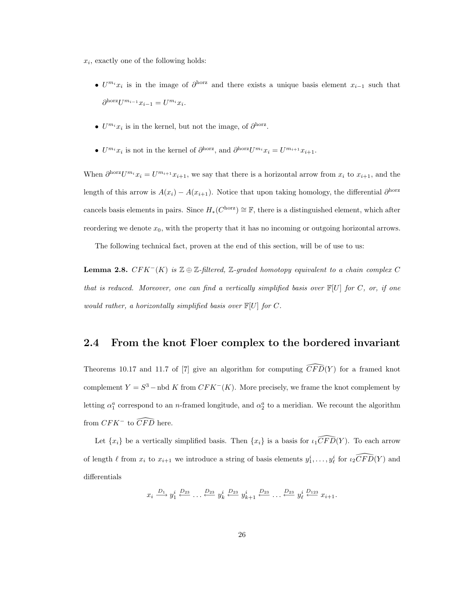$x_i$ , exactly one of the following holds:

- $U^{m_i}x_i$  is in the image of  $\partial^{horz}$  and there exists a unique basis element  $x_{i-1}$  such that  $\partial^{\text{horz}} U^{m_{i-1}} x_{i-1} = U^{m_i} x_i.$
- $U^{m_i}x_i$  is in the kernel, but not the image, of  $\partial^{\text{horz}}$ .
- $U^{m_i}x_i$  is not in the kernel of  $\partial^{\text{horz}}$ , and  $\partial^{\text{horz}}U^{m_i}x_i = U^{m_{i+1}}x_{i+1}$ .

When  $\partial^{\text{horz}} U^{m_i} x_i = U^{m_{i+1}} x_{i+1}$ , we say that there is a horizontal arrow from  $x_i$  to  $x_{i+1}$ , and the length of this arrow is  $A(x_i) - A(x_{i+1})$ . Notice that upon taking homology, the differential  $\partial^{horz}$ cancels basis elements in pairs. Since  $H_*(C^{\text{horz}}) \cong \mathbb{F}$ , there is a distinguished element, which after reordering we denote  $x_0$ , with the property that it has no incoming or outgoing horizontal arrows.

The following technical fact, proven at the end of this section, will be of use to us:

**Lemma 2.8.**  $CFK^{-}(K)$  is  $\mathbb{Z} \oplus \mathbb{Z}$ -filtered,  $\mathbb{Z}$ -graded homotopy equivalent to a chain complex C that is reduced. Moreover, one can find a vertically simplified basis over  $\mathbb{F}[U]$  for C, or, if one would rather, a horizontally simplified basis over  $\mathbb{F}[U]$  for C.

### 2.4 From the knot Floer complex to the bordered invariant

Theorems 10.17 and 11.7 of [7] give an algorithm for computing  $\widehat{CFD}(Y)$  for a framed knot complement  $Y = S^3$  – nbd K from  $CFK^-(K)$ . More precisely, we frame the knot complement by letting  $\alpha_1^a$  correspond to an *n*-framed longitude, and  $\alpha_2^a$  to a meridian. We recount the algorithm from  $CFK^-$  to  $\widehat{CFD}$  here.

Let  $\{x_i\}$  be a vertically simplified basis. Then  $\{x_i\}$  is a basis for  $\iota_1 \widehat{CFD}(Y)$ . To each arrow of length  $\ell$  from  $x_i$  to  $x_{i+1}$  we introduce a string of basis elements  $y_1^i, \ldots, y_\ell^i$  for  $\ell_2 \widehat{CFD}(Y)$  and differentials

$$
x_i \xrightarrow{D_1} y_1^i \xleftarrow{D_{23}} \dots \xleftarrow{D_{23}} y_k^i \xleftarrow{D_{23}} y_{k+1}^i \xleftarrow{D_{23}} \dots \xleftarrow{D_{23}} y_\ell^i \xleftarrow{D_{123}} x_{i+1}.
$$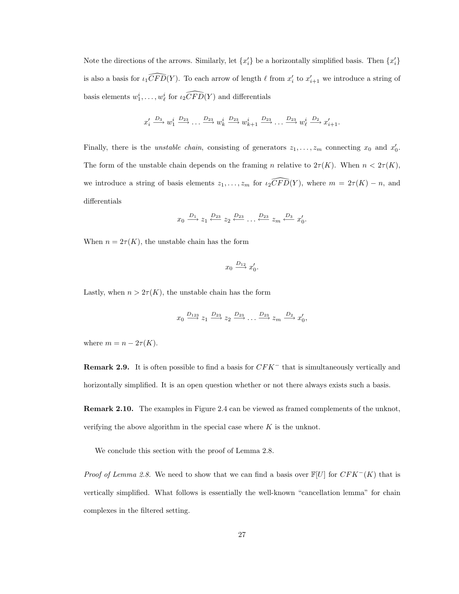Note the directions of the arrows. Similarly, let  $\{x_i'\}$  be a horizontally simplified basis. Then  $\{x_i'\}$ is also a basis for  $\iota_1 \widehat{CFD}(Y)$ . To each arrow of length  $\ell$  from  $x'_i$  to  $x'_{i+1}$  we introduce a string of basis elements  $w_1^i, \ldots, w_\ell^i$  for  $\widehat{t_2CFD}(Y)$  and differentials

$$
x'_i \xrightarrow{D_3} w^i_1 \xrightarrow{D_{23}} \dots \xrightarrow{D_{23}} w^i_k \xrightarrow{D_{23}} w^i_{k+1} \xrightarrow{D_{23}} \dots \xrightarrow{D_{23}} w^i_{\ell} \xrightarrow{D_2} x'_{i+1}.
$$

Finally, there is the *unstable chain*, consisting of generators  $z_1, \ldots, z_m$  connecting  $x_0$  and  $x'_0$ . The form of the unstable chain depends on the framing n relative to  $2\tau(K)$ . When  $n < 2\tau(K)$ , we introduce a string of basis elements  $z_1, \ldots, z_m$  for  $\iota_2 \widehat{CFD}(Y)$ , where  $m = 2\tau(K) - n$ , and differentials

$$
x_0 \xrightarrow{D_1} z_1 \xleftarrow{D_{23}} z_2 \xleftarrow{D_{23}} \dots \xleftarrow{D_{23}} z_m \xleftarrow{D_3} x'_0.
$$

When  $n = 2\tau(K)$ , the unstable chain has the form

$$
x_0 \xrightarrow{D_{12}} x'_0.
$$

Lastly, when  $n > 2\tau(K)$ , the unstable chain has the form

$$
x_0 \xrightarrow{D_{123}} z_1 \xrightarrow{D_{23}} z_2 \xrightarrow{D_{23}} \dots \xrightarrow{D_{23}} z_m \xrightarrow{D_2} x'_0
$$

where  $m = n - 2\tau(K)$ .

**Remark 2.9.** It is often possible to find a basis for  $CFK^-$  that is simultaneously vertically and horizontally simplified. It is an open question whether or not there always exists such a basis.

Remark 2.10. The examples in Figure 2.4 can be viewed as framed complements of the unknot, verifying the above algorithm in the special case where  $K$  is the unknot.

We conclude this section with the proof of Lemma 2.8.

*Proof of Lemma 2.8.* We need to show that we can find a basis over  $\mathbb{F}[U]$  for  $CFK^-(K)$  that is vertically simplified. What follows is essentially the well-known "cancellation lemma" for chain complexes in the filtered setting.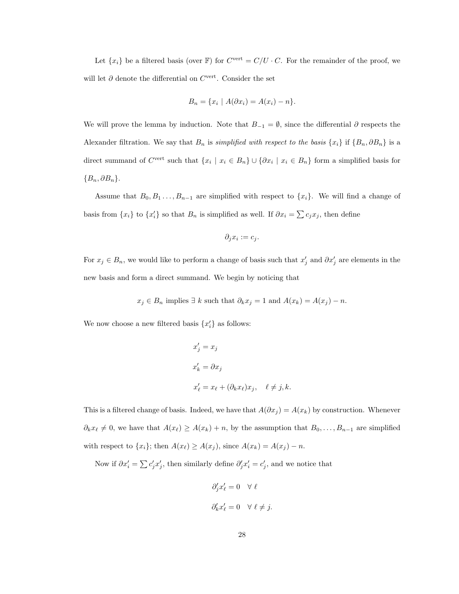Let  $\{x_i\}$  be a filtered basis (over  $\mathbb F$ ) for  $C^{\text{vert}} = C/U \cdot C$ . For the remainder of the proof, we will let  $\partial$  denote the differential on  $C^{\text{vert}}$ . Consider the set

$$
B_n = \{x_i \mid A(\partial x_i) = A(x_i) - n\}.
$$

We will prove the lemma by induction. Note that  $B_{-1} = \emptyset$ , since the differential  $\partial$  respects the Alexander filtration. We say that  $B_n$  is *simplified with respect to the basis*  $\{x_i\}$  if  $\{B_n, \partial B_n\}$  is a direct summand of  $C^{\text{vert}}$  such that  $\{x_i \mid x_i \in B_n\} \cup \{\partial x_i \mid x_i \in B_n\}$  form a simplified basis for  ${B_n, \partial B_n}.$ 

Assume that  $B_0, B_1, \ldots, B_{n-1}$  are simplified with respect to  $\{x_i\}$ . We will find a change of basis from  $\{x_i\}$  to  $\{x'_i\}$  so that  $B_n$  is simplified as well. If  $\partial x_i = \sum c_j x_j$ , then define

$$
\partial_j x_i := c_j.
$$

For  $x_j \in B_n$ , we would like to perform a change of basis such that  $x'_j$  and  $\partial x'_j$  are elements in the new basis and form a direct summand. We begin by noticing that

$$
x_j \in B_n
$$
 implies  $\exists k$  such that  $\partial_k x_j = 1$  and  $A(x_k) = A(x_j) - n$ .

We now choose a new filtered basis  $\{x_i'\}$  as follows:

$$
x'_{j} = x_{j}
$$
  
\n
$$
x'_{k} = \partial x_{j}
$$
  
\n
$$
x'_{\ell} = x_{\ell} + (\partial_{k} x_{\ell}) x_{j}, \quad \ell \neq j, k.
$$

This is a filtered change of basis. Indeed, we have that  $A(\partial x_j) = A(x_k)$  by construction. Whenever  $\partial_k x_\ell \neq 0$ , we have that  $A(x_\ell) \geq A(x_k) + n$ , by the assumption that  $B_0, \ldots, B_{n-1}$  are simplified with respect to  $\{x_i\}$ ; then  $A(x_\ell) \ge A(x_j)$ , since  $A(x_k) = A(x_j) - n$ .

Now if  $\partial x'_i = \sum c'_j x'_j$ , then similarly define  $\partial'_j x'_i = c'_j$ , and we notice that

$$
\partial_j' x'_\ell = 0 \quad \forall \ \ell
$$
  

$$
\partial_k' x'_\ell = 0 \quad \forall \ \ell \neq j.
$$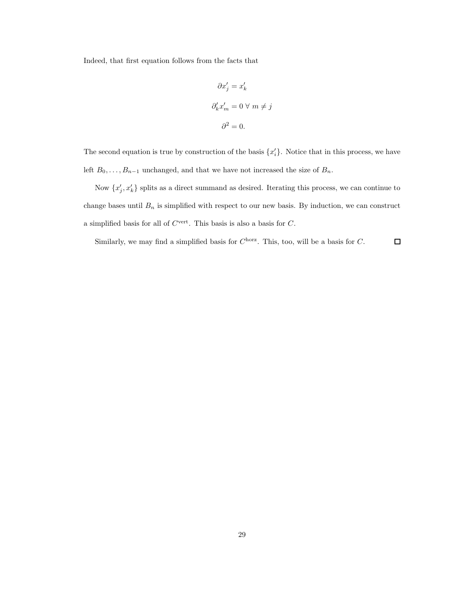Indeed, that first equation follows from the facts that

$$
\partial x'_j = x'_k
$$
  

$$
\partial'_k x'_m = 0 \ \forall \ m \neq j
$$
  

$$
\partial^2 = 0.
$$

The second equation is true by construction of the basis  $\{x_i'\}$ . Notice that in this process, we have left  $B_0, \ldots, B_{n-1}$  unchanged, and that we have not increased the size of  $B_n$ .

Now  $\{x'_j, x'_k\}$  splits as a direct summand as desired. Iterating this process, we can continue to change bases until  $B_n$  is simplified with respect to our new basis. By induction, we can construct a simplified basis for all of  $C^{\text{vert}}$ . This basis is also a basis for  $C$ .

Similarly, we may find a simplified basis for  $C^{\text{horz}}$ . This, too, will be a basis for C.  $\Box$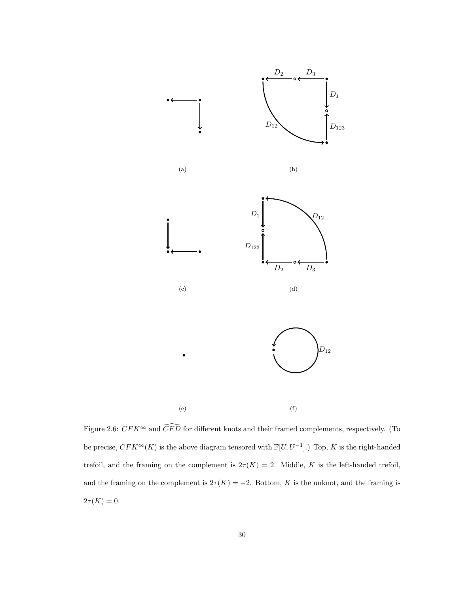

Figure 2.6:  $CFK^{\infty}$  and  $\widehat{CFD}$  for different knots and their framed complements, respectively. (To be precise,  $CFK^{\infty}(K)$  is the above diagram tensored with  $\mathbb{F}[U, U^{-1}]$ .) Top, K is the right-handed trefoil, and the framing on the complement is  $2\tau(K) = 2$ . Middle, K is the left-handed trefoil, and the framing on the complement is  $2\tau(K) = -2$ . Bottom, K is the unknot, and the framing is  $2\tau(K) = 0.$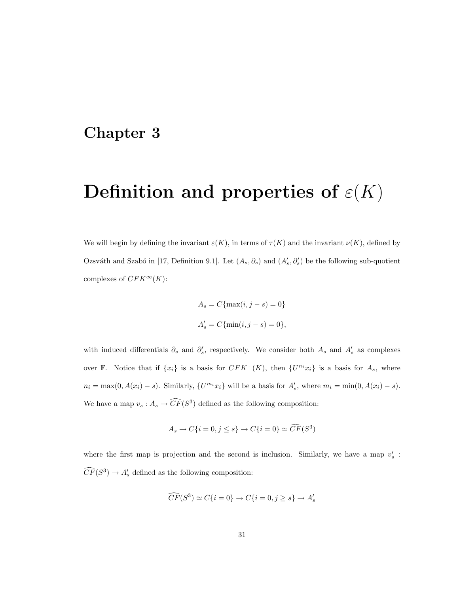### Chapter 3

# Definition and properties of  $\varepsilon(K)$

We will begin by defining the invariant  $\varepsilon(K)$ , in terms of  $\tau(K)$  and the invariant  $\nu(K)$ , defined by Ozsváth and Szabó in [17, Definition 9.1]. Let  $(A_s, \partial_s)$  and  $(A'_s, \partial'_s)$  be the following sub-quotient complexes of  $CFK^{\infty}(K)$ :

$$
A_s = C\{\max(i, j - s) = 0\}
$$
  

$$
A'_s = C\{\min(i, j - s) = 0\},\
$$

with induced differentials  $\partial_s$  and  $\partial'_s$ , respectively. We consider both  $A_s$  and  $A'_s$  as complexes over F. Notice that if  $\{x_i\}$  is a basis for  $CFK^-(K)$ , then  $\{U^{n_i}x_i\}$  is a basis for  $A_s$ , where  $n_i = \max(0, A(x_i) - s)$ . Similarly,  $\{U^{m_i}x_i\}$  will be a basis for  $A'_s$ , where  $m_i = \min(0, A(x_i) - s)$ . We have a map  $v_s: A_s \to \widehat{CF}(S^3)$  defined as the following composition:

$$
A_s \to C\{i = 0, j \le s\} \to C\{i = 0\} \simeq \widehat{CF}(S^3)
$$

where the first map is projection and the second is inclusion. Similarly, we have a map  $v_s'$ :  $\widehat{CF}(S^3) \to A'_s$  defined as the following composition:

$$
\widehat{CF}(S^3) \simeq C\{i = 0\} \to C\{i = 0, j \ge s\} \to A'_s
$$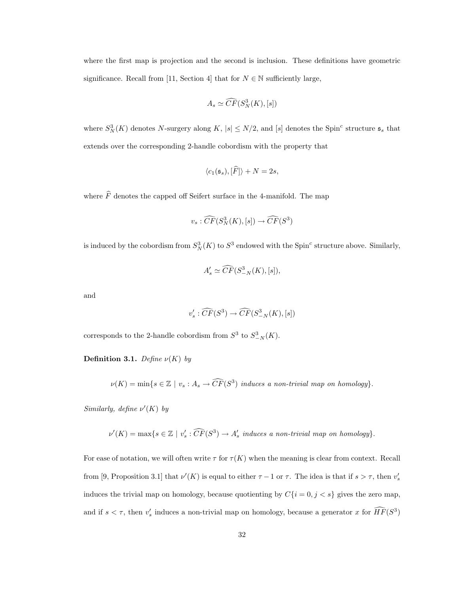where the first map is projection and the second is inclusion. These definitions have geometric significance. Recall from [11, Section 4] that for  $N \in \mathbb{N}$  sufficiently large,

$$
A_s \simeq \widehat{CF}(S_N^3(K), [s])
$$

where  $S_N^3(K)$  denotes N-surgery along K,  $|s| \leq N/2$ , and  $[s]$  denotes the Spin<sup>c</sup> structure  $\mathfrak{s}_s$  that extends over the corresponding 2-handle cobordism with the property that

$$
\langle c_1(\mathfrak{s}_s), [\widehat{F}]\rangle + N = 2s,
$$

where  $\widehat{F}$  denotes the capped off Seifert surface in the 4-manifold. The map

$$
v_s : \widehat{CF}(S^3_N(K), [s]) \to \widehat{CF}(S^3)
$$

is induced by the cobordism from  $S_N^3(K)$  to  $S^3$  endowed with the Spin<sup>c</sup> structure above. Similarly,

$$
A'_s \simeq \widehat{CF}(S^3_{-N}(K), [s]),
$$

and

$$
v_s': \widehat{CF}(S^3) \to \widehat{CF}(S^3_{-N}(K), [s])
$$

corresponds to the 2-handle cobordism from  $S^3$  to  $S^3_{-N}(K)$ .

Definition 3.1. Define  $\nu(K)$  by

 $\nu(K) = \min\{s \in \mathbb{Z} \mid v_s : A_s \to \widehat{CF}(S^3) \text{ induces a non-trivial map on homology}\}.$ 

Similarly, define  $\nu'(K)$  by

 $\nu'(K) = \max\{s \in \mathbb{Z} \mid v'_s : \widehat{CF}(S^3) \to A'_s \text{ induces a non-trivial map on homology}\}.$ 

For ease of notation, we will often write  $\tau$  for  $\tau(K)$  when the meaning is clear from context. Recall from [9, Proposition 3.1] that  $\nu'(K)$  is equal to either  $\tau - 1$  or  $\tau$ . The idea is that if  $s > \tau$ , then  $v'_{s}$ induces the trivial map on homology, because quotienting by  $C{i = 0, j < s}$  gives the zero map, and if  $s < \tau$ , then  $v_s'$  induces a non-trivial map on homology, because a generator x for  $\widehat{HF}(S^3)$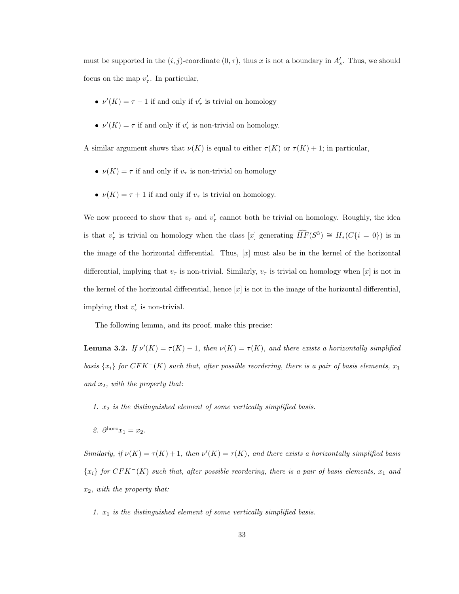must be supported in the  $(i, j)$ -coordinate  $(0, \tau)$ , thus x is not a boundary in  $A'_{s}$ . Thus, we should focus on the map  $v'_{\tau}$ . In particular,

- $\nu'(K) = \tau 1$  if and only if  $v'_{\tau}$  is trivial on homology
- $\nu'(K) = \tau$  if and only if  $v'_{\tau}$  is non-trivial on homology.

A similar argument shows that  $\nu(K)$  is equal to either  $\tau(K)$  or  $\tau(K) + 1$ ; in particular,

- $\nu(K) = \tau$  if and only if  $v_{\tau}$  is non-trivial on homology
- $\nu(K) = \tau + 1$  if and only if  $v_{\tau}$  is trivial on homology.

We now proceed to show that  $v_{\tau}$  and  $v'_{\tau}$  cannot both be trivial on homology. Roughly, the idea is that  $v'_\tau$  is trivial on homology when the class [x] generating  $\widehat{HF}(S^3) \cong H_*(C{i = 0})$  is in the image of the horizontal differential. Thus,  $[x]$  must also be in the kernel of the horizontal differential, implying that  $v_{\tau}$  is non-trivial. Similarly,  $v_{\tau}$  is trivial on homology when [x] is not in the kernel of the horizontal differential, hence  $[x]$  is not in the image of the horizontal differential, implying that  $v'_{\tau}$  is non-trivial.

The following lemma, and its proof, make this precise:

**Lemma 3.2.** If  $\nu'(K) = \tau(K) - 1$ , then  $\nu(K) = \tau(K)$ , and there exists a horizontally simplified basis  $\{x_i\}$  for  $CFK^-(K)$  such that, after possible reordering, there is a pair of basis elements,  $x_1$ and  $x_2$ , with the property that:

1.  $x_2$  is the distinguished element of some vertically simplified basis.

2.  $\partial^{\text{horz}} x_1 = x_2$ .

Similarly, if  $\nu(K) = \tau(K) + 1$ , then  $\nu'(K) = \tau(K)$ , and there exists a horizontally simplified basis  ${x_i}$  for  $CFK^-(K)$  such that, after possible reordering, there is a pair of basis elements,  $x_1$  and  $x_2$ , with the property that:

1.  $x_1$  is the distinguished element of some vertically simplified basis.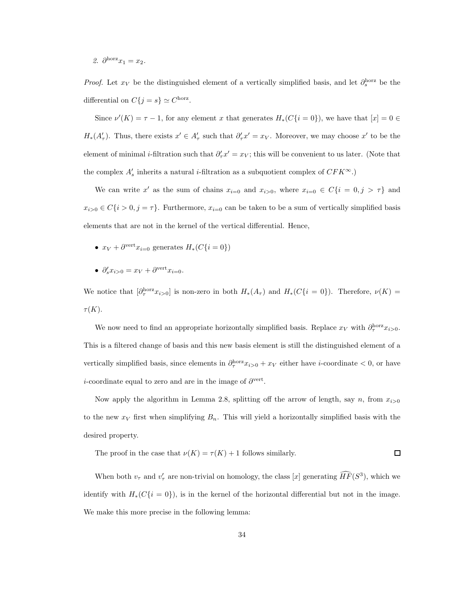2.  $\partial^{\text{horz}} x_1 = x_2$ .

*Proof.* Let  $x_V$  be the distinguished element of a vertically simplified basis, and let  $\partial_s^{\text{horz}}$  be the differential on  $C\{j = s\} \simeq C^{\text{horz}}$ .

Since  $\nu'(K) = \tau - 1$ , for any element x that generates  $H_*(C{i = 0})$ , we have that  $[x] = 0 \in$  $H_*(A'_\tau)$ . Thus, there exists  $x' \in A'_\tau$  such that  $\partial'_\tau x' = x_V$ . Moreover, we may choose  $x'$  to be the element of minimal *i*-filtration such that  $\partial'_\tau x' = x_V$ ; this will be convenient to us later. (Note that the complex  $A'_s$  inherits a natural *i*-filtration as a subquotient complex of  $CFK^{\infty}$ .)

We can write x' as the sum of chains  $x_{i=0}$  and  $x_{i>0}$ , where  $x_{i=0} \in C\{i=0,j > \tau\}$  and  $x_{i>0} \in C\{i > 0, j = \tau\}$ . Furthermore,  $x_{i=0}$  can be taken to be a sum of vertically simplified basis elements that are not in the kernel of the vertical differential. Hence,

- $x_V + \partial^{\text{vert}} x_{i=0}$  generates  $H_*(C{i=0})$
- $\partial_s' x_{i>0} = x_V + \partial^{\text{vert}} x_{i=0}.$

We notice that  $[\partial_{\tau}^{\text{horz}} x_{i>0}]$  is non-zero in both  $H_*(A_{\tau})$  and  $H_*(C{i=0})$ . Therefore,  $\nu(K)$  =  $\tau(K).$ 

We now need to find an appropriate horizontally simplified basis. Replace  $x_V$  with  $\partial_{\tau}^{horz} x_{i>0}$ . This is a filtered change of basis and this new basis element is still the distinguished element of a vertically simplified basis, since elements in  $\partial_{\tau}^{\text{horz}} x_{i>0} + x_V$  either have *i*-coordinate < 0, or have *i*-coordinate equal to zero and are in the image of  $\partial^{\text{vert}}$ .

Now apply the algorithm in Lemma 2.8, splitting off the arrow of length, say n, from  $x_{i>0}$ to the new  $x_V$  first when simplifying  $B_n$ . This will yield a horizontally simplified basis with the desired property.

The proof in the case that  $\nu(K) = \tau(K) + 1$  follows similarly.  $\Box$ 

When both  $v_{\tau}$  and  $v'_{\tau}$  are non-trivial on homology, the class [x] generating  $\widehat{HF}(S^3)$ , which we identify with  $H_*(C{i = 0})$ , is in the kernel of the horizontal differential but not in the image. We make this more precise in the following lemma: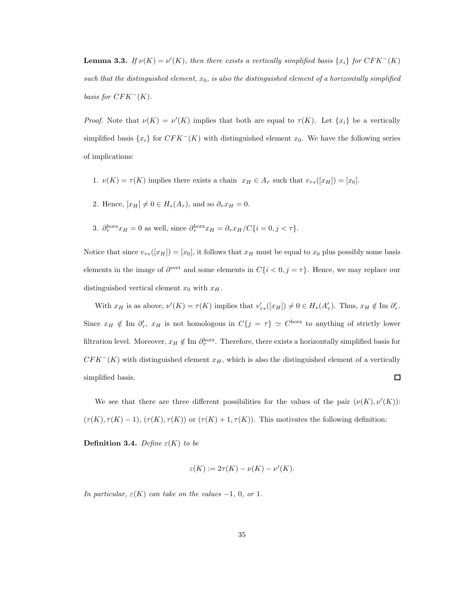**Lemma 3.3.** If  $\nu(K) = \nu'(K)$ , then there exists a vertically simplified basis  $\{x_i\}$  for  $CFK^-(K)$ such that the distinguished element,  $x_0$ , is also the distinguished element of a horizontally simplified basis for  $CFK<sup>-</sup>(K)$ .

*Proof.* Note that  $\nu(K) = \nu'(K)$  implies that both are equal to  $\tau(K)$ . Let  $\{x_i\}$  be a vertically simplified basis  $\{x_i\}$  for  $CFK^-(K)$  with distinguished element  $x_0$ . We have the following series of implications:

- 1.  $\nu(K) = \tau(K)$  implies there exists a chain  $x_H \in A_\tau$  such that  $v_{\tau*}([x_H]) = [x_0]$ .
- 2. Hence,  $[x_H] \neq 0 \in H_*(A_\tau)$ , and so  $\partial_\tau x_H = 0$ .
- 3.  $\partial_{\tau}^{\text{horz}} x_H = 0$  as well, since  $\partial_{\tau}^{\text{horz}} x_H = \partial_{\tau} x_H / C \{i = 0, j < \tau\}.$

Notice that since  $v_{\tau\ast}([x_H]) = [x_0]$ , it follows that  $x_H$  must be equal to  $x_0$  plus possibly some basis elements in the image of  $\partial^{\text{vert}}$  and some elements in  $C\{i < 0, j = \tau\}$ . Hence, we may replace our distinguished vertical element  $x_0$  with  $x_H$ .

With  $x_H$  is as above,  $\nu'(K) = \tau(K)$  implies that  $v'_{\tau^*}([x_H]) \neq 0 \in H^*(A'_{\tau})$ . Thus,  $x_H \notin \text{Im } \partial'_{\tau}$ . Since  $x_H \notin \text{Im } \partial'_{\tau}$ ,  $x_H$  is not homologous in  $C\{j = \tau\} \simeq C^{\text{horz}}$  to anything of strictly lower filtration level. Moreover,  $x_H \notin \text{Im }\partial_{\tau}^{\text{horz}}$ . Therefore, there exists a horizontally simplified basis for  $CFK<sup>-</sup>(K)$  with distinguished element  $x_H$ , which is also the distinguished element of a vertically □ simplified basis.

We see that there are three different possibilities for the values of the pair  $(\nu(K), \nu'(K))$ :  $(\tau(K), \tau(K) - 1), (\tau(K), \tau(K))$  or  $(\tau(K) + 1, \tau(K))$ . This motivates the following definition:

Definition 3.4. Define  $\varepsilon(K)$  to be

$$
\varepsilon(K) := 2\tau(K) - \nu(K) - \nu'(K).
$$

In particular,  $\varepsilon(K)$  can take on the values -1, 0, or 1.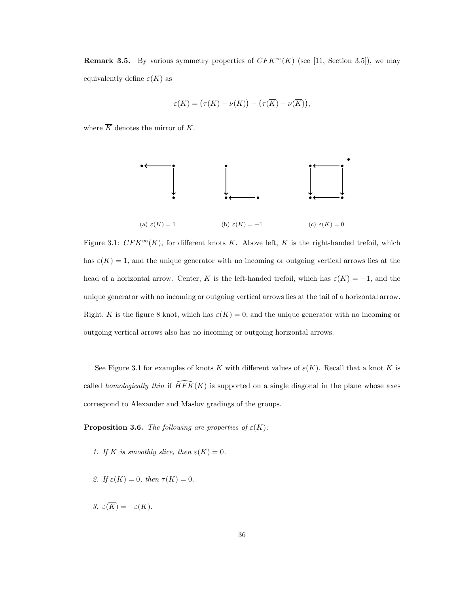**Remark 3.5.** By various symmetry properties of  $CFK^{\infty}(K)$  (see [11, Section 3.5]), we may equivalently define  $\varepsilon(K)$  as

$$
\varepsilon(K) = \big(\tau(K) - \nu(K)\big) - \big(\tau(\overline{K}) - \nu(\overline{K})\big),
$$

where  $\overline{K}$  denotes the mirror of K.



Figure 3.1:  $CFK^{\infty}(K)$ , for different knots K. Above left, K is the right-handed trefoil, which has  $\varepsilon(K) = 1$ , and the unique generator with no incoming or outgoing vertical arrows lies at the head of a horizontal arrow. Center, K is the left-handed trefoil, which has  $\varepsilon(K) = -1$ , and the unique generator with no incoming or outgoing vertical arrows lies at the tail of a horizontal arrow. Right, K is the figure 8 knot, which has  $\varepsilon(K) = 0$ , and the unique generator with no incoming or outgoing vertical arrows also has no incoming or outgoing horizontal arrows.

See Figure 3.1 for examples of knots K with different values of  $\varepsilon(K)$ . Recall that a knot K is called *homologically thin* if  $\widehat{HFK}(K)$  is supported on a single diagonal in the plane whose axes correspond to Alexander and Maslov gradings of the groups.

**Proposition 3.6.** The following are properties of  $\varepsilon(K)$ :

- 1. If K is smoothly slice, then  $\varepsilon(K) = 0$ .
- 2. If  $\varepsilon(K) = 0$ , then  $\tau(K) = 0$ .
- 3.  $\varepsilon(\overline{K}) = -\varepsilon(K)$ .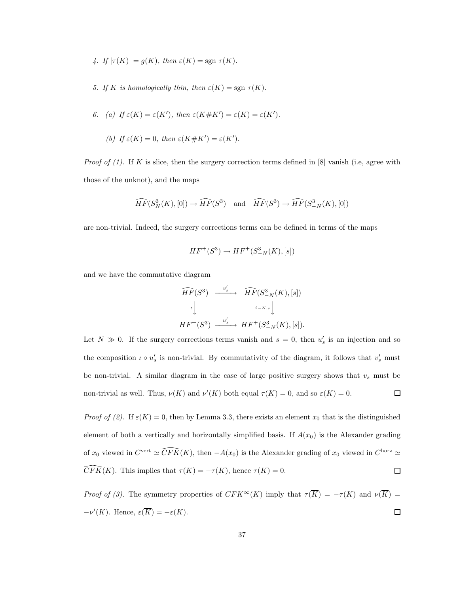- 4. If  $|\tau(K)| = g(K)$ , then  $\varepsilon(K) = \text{sgn } \tau(K)$ .
- 5. If K is homologically thin, then  $\varepsilon(K) = \text{sgn } \tau(K)$ .

6. (a) If 
$$
\varepsilon(K) = \varepsilon(K')
$$
, then  $\varepsilon(K \# K') = \varepsilon(K) = \varepsilon(K')$ .

(b) If 
$$
\varepsilon(K) = 0
$$
, then  $\varepsilon(K \# K') = \varepsilon(K')$ .

*Proof of (1).* If K is slice, then the surgery correction terms defined in [8] vanish (i.e, agree with those of the unknot), and the maps

$$
\widehat{HF}(S^3_N(K),[0]) \to \widehat{HF}(S^3) \quad \text{and} \quad \widehat{HF}(S^3) \to \widehat{HF}(S^3_{-N}(K),[0])
$$

are non-trivial. Indeed, the surgery corrections terms can be defined in terms of the maps

$$
HF^+(S^3) \to HF^+(S^3_{-N}(K), [s])
$$

and we have the commutative diagram

$$
\begin{array}{ccc}\n\widehat{HF}(S^3) & \xrightarrow{v'_s} & \widehat{HF}(S^3_{-N}(K), [s]) \\
\downarrow & & \downarrow \\
\downarrow & & \downarrow \\
HF^+(S^3) & \xrightarrow{u'_s} & HF^+(S^3_{-N}(K), [s]).\n\end{array}
$$

Let  $N \gg 0$ . If the surgery corrections terms vanish and  $s = 0$ , then  $u'_{s}$  is an injection and so the composition  $\iota \circ u'_{s}$  is non-trivial. By commutativity of the diagram, it follows that  $v'_{s}$  must be non-trivial. A similar diagram in the case of large positive surgery shows that  $v_s$  must be non-trivial as well. Thus,  $\nu(K)$  and  $\nu'(K)$  both equal  $\tau(K) = 0$ , and so  $\varepsilon(K) = 0$ .  $\Box$ 

Proof of (2). If  $\varepsilon(K) = 0$ , then by Lemma 3.3, there exists an element  $x_0$  that is the distinguished element of both a vertically and horizontally simplified basis. If  $A(x_0)$  is the Alexander grading of  $x_0$  viewed in  $C^{\text{vert}} \simeq \widehat{CFK}(K)$ , then  $-A(x_0)$  is the Alexander grading of  $x_0$  viewed in  $C^{\text{horz}} \simeq$  $\widehat{CFK}(K)$ . This implies that  $\tau(K) = -\tau(K)$ , hence  $\tau(K) = 0$ .  $\Box$ 

Proof of (3). The symmetry properties of  $CFK^{\infty}(K)$  imply that  $\tau(\overline{K}) = -\tau(K)$  and  $\nu(\overline{K}) =$  $-\nu'(K)$ . Hence,  $\varepsilon(\overline{K}) = -\varepsilon(K)$ .  $\Box$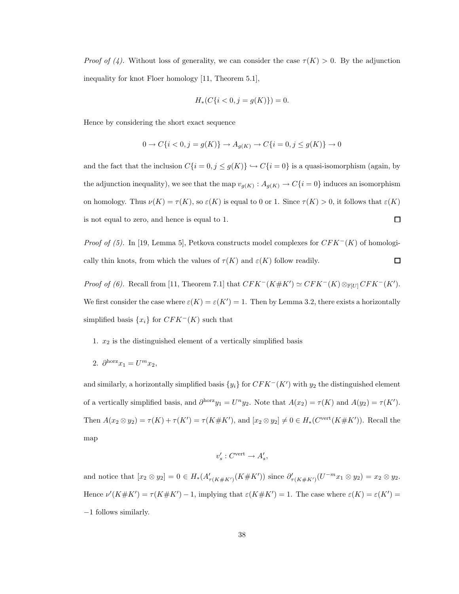*Proof of (4).* Without loss of generality, we can consider the case  $\tau(K) > 0$ . By the adjunction inequality for knot Floer homology [11, Theorem 5.1],

$$
H_*(C\{i < 0, j = g(K)\}) = 0.
$$

Hence by considering the short exact sequence

$$
0 \to C\{i < 0, j = g(K)\} \to A_{g(K)} \to C\{i = 0, j \le g(K)\} \to 0
$$

and the fact that the inclusion  $C{i = 0, j \le g(K)} \hookrightarrow C{i = 0}$  is a quasi-isomorphism (again, by the adjunction inequality), we see that the map  $v_{g(K)}: A_{g(K)} \to C\{i=0\}$  induces an isomorphism on homology. Thus  $\nu(K) = \tau(K)$ , so  $\varepsilon(K)$  is equal to 0 or 1. Since  $\tau(K) > 0$ , it follows that  $\varepsilon(K)$ is not equal to zero, and hence is equal to 1.  $\Box$ 

*Proof of (5).* In [19, Lemma 5], Petkova constructs model complexes for  $CFK<sup>-</sup>(K)$  of homologically thin knots, from which the values of  $\tau(K)$  and  $\varepsilon(K)$  follow readily.  $\Box$ 

*Proof of (6).* Recall from [11, Theorem 7.1] that  $CFK^{-}(K \# K') \simeq CFK^{-}(K) \otimes_{\mathbb{F}[U]} CFK^{-}(K')$ . We first consider the case where  $\varepsilon(K) = \varepsilon(K') = 1$ . Then by Lemma 3.2, there exists a horizontally simplified basis  $\{x_i\}$  for  $CFK<sup>-</sup>(K)$  such that

- 1.  $x_2$  is the distinguished element of a vertically simplified basis
- 2.  $\partial^{\text{horz}} x_1 = U^m x_2,$

and similarly, a horizontally simplified basis  ${y_i}$  for  $CFK<sup>-</sup>(K')$  with  $y_2$  the distinguished element of a vertically simplified basis, and  $\partial^{horz} y_1 = U^n y_2$ . Note that  $A(x_2) = \tau(K)$  and  $A(y_2) = \tau(K')$ . Then  $A(x_2 \otimes y_2) = \tau(K) + \tau(K') = \tau(K \# K')$ , and  $[x_2 \otimes y_2] \neq 0 \in H_*(C^{\text{vert}}(K \# K'))$ . Recall the map

$$
v_s': C^{\text{vert}} \to A_s',
$$

and notice that  $[x_2 \otimes y_2] = 0 \in H_*(A'_{\tau(K \# K')}(K \# K'))$  since  $\partial'_{\tau(K \# K')}(U^{-m}x_1 \otimes y_2) = x_2 \otimes y_2$ . Hence  $\nu'(K \# K') = \tau(K \# K') - 1$ , implying that  $\varepsilon(K \# K') = 1$ . The case where  $\varepsilon(K) = \varepsilon(K') =$ −1 follows similarly.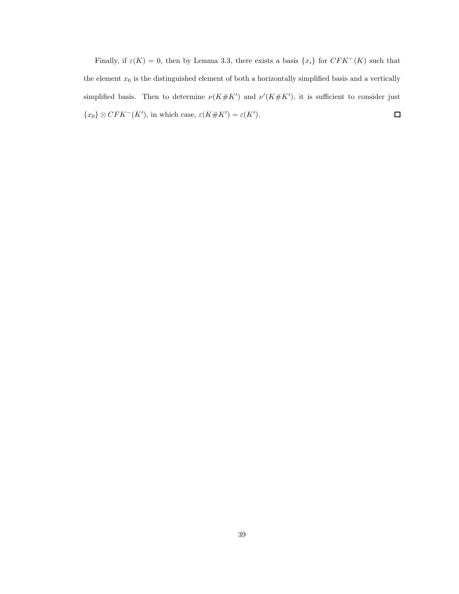Finally, if  $\varepsilon(K) = 0$ , then by Lemma 3.3, there exists a basis  $\{x_i\}$  for  $CFK^-(K)$  such that the element  $x_0$  is the distinguished element of both a horizontally simplified basis and a vertically simplified basis. Then to determine  $\nu(K \# K')$  and  $\nu'(K \# K')$ , it is sufficient to consider just  $\Box$  $\{x_0\} \otimes CFK^-(K')$ , in which case,  $\varepsilon(K \# K') = \varepsilon(K')$ .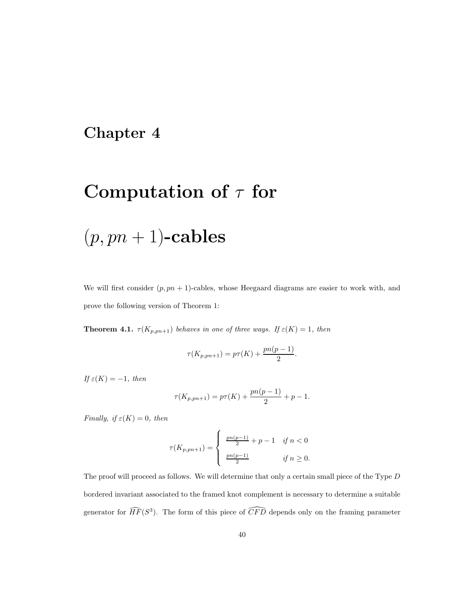### Chapter 4

## Computation of  $\tau$  for

# $(p, pn + 1)$ -cables

We will first consider  $(p, pn + 1)$ -cables, whose Heegaard diagrams are easier to work with, and prove the following version of Theorem 1:

**Theorem 4.1.**  $\tau(K_{p, pn+1})$  behaves in one of three ways. If  $\varepsilon(K) = 1$ , then

$$
\tau(K_{p, pn+1}) = p\tau(K) + \frac{pn(p-1)}{2}.
$$

If  $\varepsilon(K) = -1$ , then

$$
\tau(K_{p, pn+1}) = p\tau(K) + \frac{pn(p-1)}{2} + p - 1.
$$

Finally, if  $\varepsilon(K) = 0$ , then

$$
\tau(K_{p,pn+1}) = \begin{cases} \frac{pn(p-1)}{2} + p - 1 & \text{if } n < 0 \\ \frac{pn(p-1)}{2} & \text{if } n \ge 0. \end{cases}
$$

The proof will proceed as follows. We will determine that only a certain small piece of the Type D bordered invariant associated to the framed knot complement is necessary to determine a suitable generator for  $\widehat{HF}(S^3)$ . The form of this piece of  $\widehat{CFD}$  depends only on the framing parameter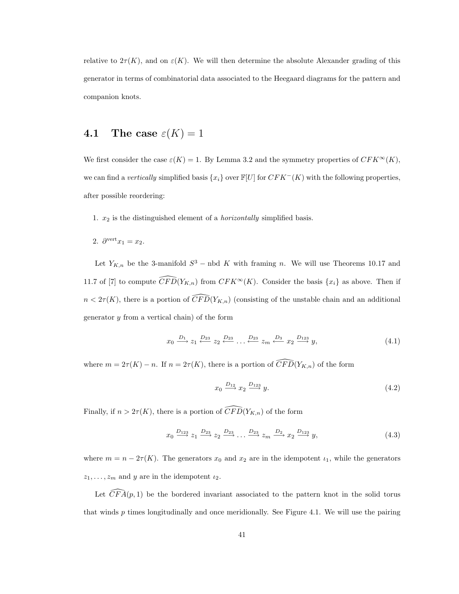relative to  $2\tau(K)$ , and on  $\varepsilon(K)$ . We will then determine the absolute Alexander grading of this generator in terms of combinatorial data associated to the Heegaard diagrams for the pattern and companion knots.

### 4.1 The case  $\varepsilon(K) = 1$

We first consider the case  $\varepsilon(K) = 1$ . By Lemma 3.2 and the symmetry properties of  $CFK^{\infty}(K)$ , we can find a vertically simplified basis  $\{x_i\}$  over  $\mathbb{F}[U]$  for  $CFK^-(K)$  with the following properties, after possible reordering:

- 1.  $x_2$  is the distinguished element of a *horizontally* simplified basis.
- 2.  $\partial^{\text{vert}} x_1 = x_2$ .

Let  $Y_{K,n}$  be the 3-manifold  $S^3$  – nbd K with framing n. We will use Theorems 10.17 and 11.7 of [7] to compute  $\widehat{CFD}(Y_{K,n})$  from  $CFK^{\infty}(K)$ . Consider the basis  $\{x_i\}$  as above. Then if  $n < 2\tau(K)$ , there is a portion of  $\overline{CFD}(Y_{K,n})$  (consisting of the unstable chain and an additional generator  $y$  from a vertical chain) of the form

$$
x_0 \xrightarrow{D_1} z_1 \xleftarrow{D_{23}} z_2 \xleftarrow{D_{23}} \dots \xleftarrow{D_{23}} z_m \xleftarrow{D_3} x_2 \xrightarrow{D_{123}} y,
$$
\n
$$
(4.1)
$$

where  $m = 2\tau(K) - n$ . If  $n = 2\tau(K)$ , there is a portion of  $\widehat{CFD}(Y_{K,n})$  of the form

$$
x_0 \xrightarrow{D_{12}} x_2 \xrightarrow{D_{123}} y. \tag{4.2}
$$

Finally, if  $n > 2\tau(K)$ , there is a portion of  $\widehat{CFD}(Y_{K,n})$  of the form

$$
x_0 \xrightarrow{D_{123}} z_1 \xrightarrow{D_{23}} z_2 \xrightarrow{D_{23}} \dots \xrightarrow{D_{23}} z_m \xrightarrow{D_2} x_2 \xrightarrow{D_{123}} y,
$$
\n
$$
(4.3)
$$

where  $m = n - 2\tau(K)$ . The generators  $x_0$  and  $x_2$  are in the idempotent  $\iota_1$ , while the generators  $z_1, \ldots, z_m$  and y are in the idempotent  $\iota_2$ .

Let  $\widetilde{CFA}(p, 1)$  be the bordered invariant associated to the pattern knot in the solid torus that winds  $p$  times longitudinally and once meridionally. See Figure 4.1. We will use the pairing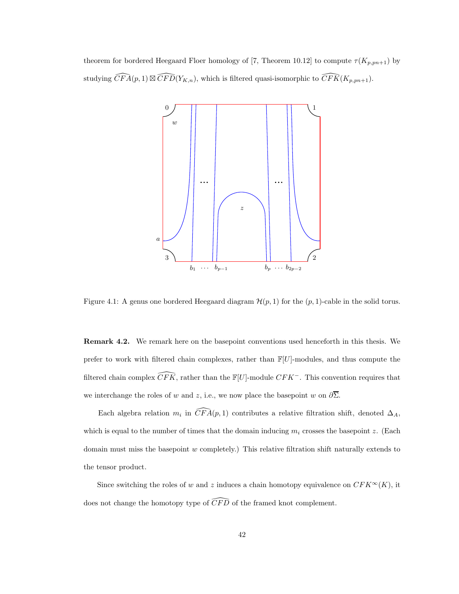theorem for bordered Heegaard Floer homology of [7, Theorem 10.12] to compute  $\tau(K_{p,pn+1})$  by studying  $\widehat{CFA}(p, 1) \boxtimes \widehat{CFD}(Y_{K,n})$ , which is filtered quasi-isomorphic to  $\widehat{CFK}(K_{p,pn+1})$ .



Figure 4.1: A genus one bordered Heegaard diagram  $\mathcal{H}(p, 1)$  for the  $(p, 1)$ -cable in the solid torus.

Remark 4.2. We remark here on the basepoint conventions used henceforth in this thesis. We prefer to work with filtered chain complexes, rather than  $\mathbb{F}[U]$ -modules, and thus compute the filtered chain complex  $\widehat{CFK}$ , rather than the  $\mathbb{F}[U]$ -module  $CFK^-$ . This convention requires that we interchange the roles of w and z, i.e., we now place the basepoint w on  $\partial \overline{\Sigma}$ .

Each algebra relation  $m_i$  in  $\widehat{CFA}(p,1)$  contributes a relative filtration shift, denoted  $\Delta_A$ , which is equal to the number of times that the domain inducing  $m_i$  crosses the basepoint z. (Each domain must miss the basepoint  $w$  completely.) This relative filtration shift naturally extends to the tensor product.

Since switching the roles of w and z induces a chain homotopy equivalence on  $CFK^{\infty}(K)$ , it does not change the homotopy type of  $\widehat{CFD}$  of the framed knot complement.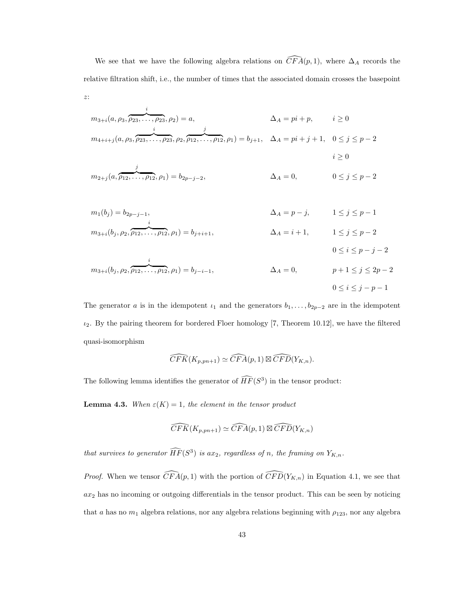We see that we have the following algebra relations on  $\widehat{CFA}(p, 1)$ , where  $\Delta_A$  records the relative filtration shift, i.e., the number of times that the associated domain crosses the basepoint

$$
m_{3+i}(a, \rho_3, \overbrace{\rho_{23}, \dots, \rho_{23}}^i, \rho_2) = a, \qquad \Delta_A = pi + p, \qquad i \ge 0
$$
  

$$
m_{4+i+j}(a, \rho_3, \overbrace{\rho_{23}, \dots, \rho_{23}}^i, \rho_2, \overbrace{\rho_{12}, \dots, \rho_{12}}^j, \rho_1) = b_{j+1}, \quad \Delta_A = pi + j + 1, \quad 0 \le j \le p - 2
$$

z:

$$
m_{2+j}(a, \overbrace{\rho_{12}, \ldots, \rho_{12}}^{j}, \rho_1) = b_{2p-j-2}, \qquad \Delta_A = 0, \qquad 0 \le j \le p-2
$$

 $i\geq 0$ 

 $0 \leq i \leq p-j-2$ 

$$
m_1(b_j) = b_{2p-j-1}, \qquad \Delta_A = p - j, \qquad 1 \le j \le p - 1
$$
  

$$
m_{3+i}(b_j, \rho_2, \overbrace{\rho_{12}, \dots, \rho_{12}}^i, \rho_1) = b_{j+i+1}, \qquad \Delta_A = i + 1, \qquad 1 \le j \le p - 2
$$

$$
m_{3+i}(b_j, \rho_2, \overbrace{\rho_{12}, \dots, \rho_{12}}^i, \rho_1) = b_{j-i-1}, \qquad \Delta_A = 0, \qquad p+1 \le j \le 2p-2
$$
  

$$
0 \le i \le j-p-1
$$

The generator a is in the idempotent  $i_1$  and the generators  $b_1, \ldots, b_{2p-2}$  are in the idempotent  $i_2$ . By the pairing theorem for bordered Floer homology [7, Theorem 10.12], we have the filtered quasi-isomorphism

$$
\widehat{CFK}(K_{p, pn+1}) \simeq \widehat{CFA}(p, 1) \boxtimes \widehat{CFD}(Y_{K, n}).
$$

The following lemma identifies the generator of  $\widehat{HF}(S^3)$  in the tensor product:

**Lemma 4.3.** When  $\varepsilon(K) = 1$ , the element in the tensor product

$$
\widehat{CFK}(K_{p, pn+1}) \simeq \widehat{CFA}(p, 1) \boxtimes \widehat{CFD}(Y_{K, n})
$$

that survives to generator  $\widehat{HF}(S^3)$  is ax<sub>2</sub>, regardless of n, the framing on  $Y_{K,n}$ .

*Proof.* When we tensor  $\widehat{CFA}(p,1)$  with the portion of  $\widehat{CFD}(Y_{K,n})$  in Equation 4.1, we see that  $ax_2$  has no incoming or outgoing differentials in the tensor product. This can be seen by noticing that a has no  $m_1$  algebra relations, nor any algebra relations beginning with  $\rho_{123}$ , nor any algebra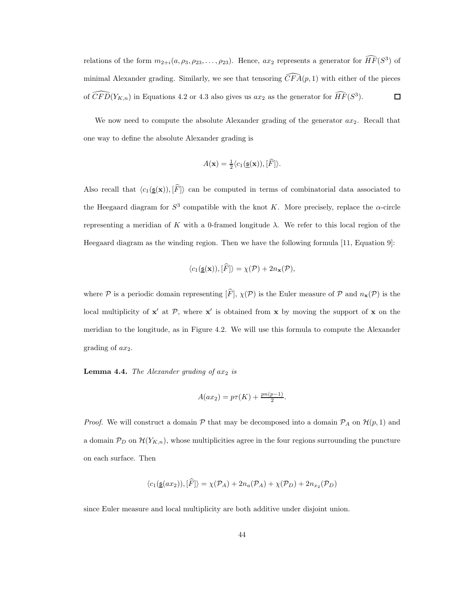relations of the form  $m_{2+i}(a, \rho_3, \rho_{23}, \ldots, \rho_{23})$ . Hence,  $ax_2$  represents a generator for  $\widehat{HF}(S^3)$  of minimal Alexander grading. Similarly, we see that tensoring  $\widehat{CFA}(p, 1)$  with either of the pieces of  $\widehat{CFD}(Y_{K,n})$  in Equations 4.2 or 4.3 also gives us  $ax_2$  as the generator for  $\widehat{HF}(S^3)$ .  $\Box$ 

We now need to compute the absolute Alexander grading of the generator  $ax_2$ . Recall that one way to define the absolute Alexander grading is

$$
A(\mathbf{x}) = \frac{1}{2} \langle c_1(\underline{\mathfrak{s}}(\mathbf{x})), [\widehat{F}] \rangle.
$$

Also recall that  $\langle c_1(\underline{\mathfrak{s}}(\mathbf{x})), [\widehat{F}]\rangle$  can be computed in terms of combinatorial data associated to the Heegaard diagram for  $S^3$  compatible with the knot K. More precisely, replace the  $\alpha$ -circle representing a meridian of K with a 0-framed longitude  $λ$ . We refer to this local region of the Heegaard diagram as the winding region. Then we have the following formula [11, Equation 9]:

$$
\langle c_1(\underline{\mathfrak{s}}(\mathbf{x})), [\widehat{F}] \rangle = \chi(\mathcal{P}) + 2n_{\mathbf{x}}(\mathcal{P}),
$$

where P is a periodic domain representing  $[\widehat{F}], \chi(\mathcal{P})$  is the Euler measure of P and  $n_x(\mathcal{P})$  is the local multiplicity of  $x'$  at P, where  $x'$  is obtained from x by moving the support of x on the meridian to the longitude, as in Figure 4.2. We will use this formula to compute the Alexander grading of  $ax_2$ .

**Lemma 4.4.** The Alexander grading of  $ax_2$  is

$$
A(ax_2) = p\tau(K) + \frac{pn(p-1)}{2}.
$$

*Proof.* We will construct a domain  $P$  that may be decomposed into a domain  $P_A$  on  $\mathcal{H}(p,1)$  and a domain  $\mathcal{P}_D$  on  $\mathcal{H}(Y_{K,n})$ , whose multiplicities agree in the four regions surrounding the puncture on each surface. Then

$$
\langle c_1(\underline{\mathfrak{s}}(ax_2)), [\widehat{F}] \rangle = \chi(\mathcal{P}_A) + 2n_a(\mathcal{P}_A) + \chi(\mathcal{P}_D) + 2n_{x_2}(\mathcal{P}_D)
$$

since Euler measure and local multiplicity are both additive under disjoint union.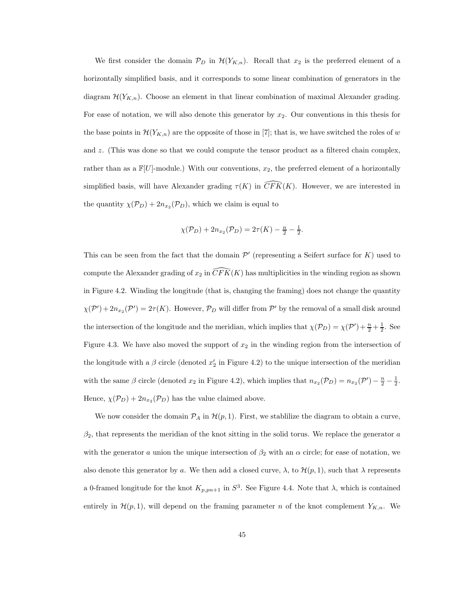We first consider the domain  $\mathcal{P}_D$  in  $\mathcal{H}(Y_{K,n})$ . Recall that  $x_2$  is the preferred element of a horizontally simplified basis, and it corresponds to some linear combination of generators in the diagram  $\mathcal{H}(Y_{K,n})$ . Choose an element in that linear combination of maximal Alexander grading. For ease of notation, we will also denote this generator by  $x_2$ . Our conventions in this thesis for the base points in  $\mathcal{H}(Y_{K,n})$  are the opposite of those in [7]; that is, we have switched the roles of w and z. (This was done so that we could compute the tensor product as a filtered chain complex, rather than as a  $\mathbb{F}[U]$ -module.) With our conventions,  $x_2$ , the preferred element of a horizontally simplified basis, will have Alexander grading  $\tau(K)$  in  $\widehat{CFK}(K)$ . However, we are interested in the quantity  $\chi(\mathcal{P}_D) + 2n_{x_2}(\mathcal{P}_D)$ , which we claim is equal to

$$
\chi(\mathcal{P}_D) + 2n_{x_2}(\mathcal{P}_D) = 2\tau(K) - \frac{n}{2} - \frac{1}{2}.
$$

This can be seen from the fact that the domain  $\mathcal{P}'$  (representing a Seifert surface for  $K$ ) used to compute the Alexander grading of  $x_2$  in  $\overline{CFK}(K)$  has multiplicities in the winding region as shown in Figure 4.2. Winding the longitude (that is, changing the framing) does not change the quantity  $\chi(\mathcal{P}')+2n_{x_2}(\mathcal{P}')=2\tau(K)$ . However,  $\mathcal{P}_D$  will differ from  $\mathcal{P}'$  by the removal of a small disk around the intersection of the longitude and the meridian, which implies that  $\chi(\mathcal{P}_D) = \chi(\mathcal{P}') + \frac{n}{2} + \frac{1}{2}$ . See Figure 4.3. We have also moved the support of  $x_2$  in the winding region from the intersection of the longitude with a  $\beta$  circle (denoted  $x'_2$  in Figure 4.2) to the unique intersection of the meridian with the same  $\beta$  circle (denoted  $x_2$  in Figure 4.2), which implies that  $n_{x_2}(\mathcal{P}_D) = n_{x_2}(\mathcal{P}') - \frac{n}{2} - \frac{1}{2}$ . Hence,  $\chi(\mathcal{P}_D) + 2n_{x_2}(\mathcal{P}_D)$  has the value claimed above.

We now consider the domain  $P_A$  in  $\mathcal{H}(p, 1)$ . First, we stablilize the diagram to obtain a curve,  $\beta_2$ , that represents the meridian of the knot sitting in the solid torus. We replace the generator a with the generator a union the unique intersection of  $\beta_2$  with an  $\alpha$  circle; for ease of notation, we also denote this generator by a. We then add a closed curve,  $\lambda$ , to  $\mathcal{H}(p,1)$ , such that  $\lambda$  represents a 0-framed longitude for the knot  $K_{p,pn+1}$  in  $S^3$ . See Figure 4.4. Note that  $\lambda$ , which is contained entirely in  $\mathcal{H}(p,1)$ , will depend on the framing parameter n of the knot complement  $Y_{K,n}$ . We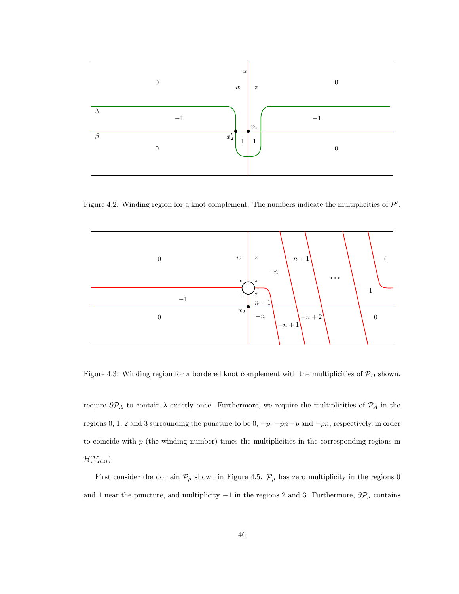

Figure 4.2: Winding region for a knot complement. The numbers indicate the multiplicities of  $\mathcal{P}'$ .



Figure 4.3: Winding region for a bordered knot complement with the multiplicities of  $\mathcal{P}_D$  shown.

require  $\partial P_A$  to contain  $\lambda$  exactly once. Furthermore, we require the multiplicities of  $P_A$  in the regions 0, 1, 2 and 3 surrounding the puncture to be 0,  $-p$ ,  $-pn-p$  and  $-pn$ , respectively, in order to coincide with  $p$  (the winding number) times the multiplicities in the corresponding regions in  $\mathcal{H}(Y_{K,n}).$ 

First consider the domain  $\mathcal{P}_{\mu}$  shown in Figure 4.5.  $\mathcal{P}_{\mu}$  has zero multiplicity in the regions 0 and 1 near the puncture, and multiplicity  $-1$  in the regions 2 and 3. Furthermore,  $\partial \mathcal{P}_{\mu}$  contains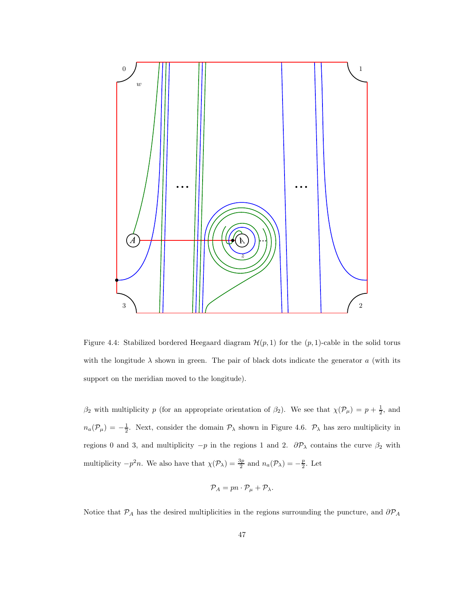

Figure 4.4: Stabilized bordered Heegaard diagram  $\mathcal{H}(p,1)$  for the  $(p,1)$ -cable in the solid torus with the longitude  $\lambda$  shown in green. The pair of black dots indicate the generator a (with its support on the meridian moved to the longitude).

 $\beta_2$  with multiplicity p (for an appropriate orientation of  $\beta_2$ ). We see that  $\chi(\mathcal{P}_\mu) = p + \frac{1}{2}$ , and  $n_a(\mathcal{P}_\mu) = -\frac{1}{2}$ . Next, consider the domain  $\mathcal{P}_\lambda$  shown in Figure 4.6.  $\mathcal{P}_\lambda$  has zero multiplicity in regions 0 and 3, and multiplicity  $-p$  in the regions 1 and 2.  $\partial \mathcal{P}_{\lambda}$  contains the curve  $\beta_2$  with multiplicity  $-p^2n$ . We also have that  $\chi(\mathcal{P}_\lambda) = \frac{3p}{2}$  and  $n_a(\mathcal{P}_\lambda) = -\frac{p}{2}$ . Let

$$
\mathcal{P}_A = pn \cdot \mathcal{P}_\mu + \mathcal{P}_\lambda.
$$

Notice that  $\mathcal{P}_A$  has the desired multiplicities in the regions surrounding the puncture, and  $\partial \mathcal{P}_A$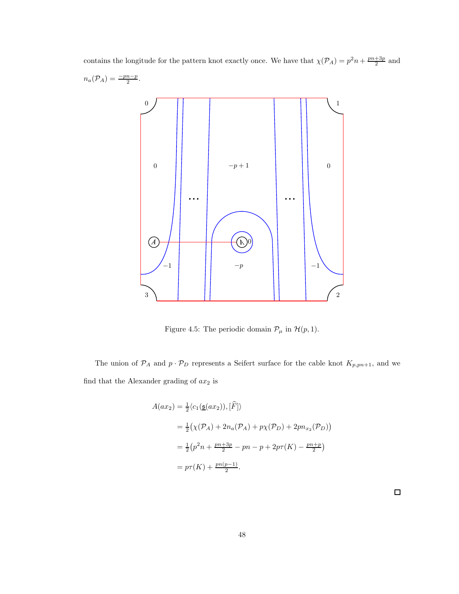contains the longitude for the pattern knot exactly once. We have that  $\chi(\mathcal{P}_A) = p^2 n + \frac{pn+3p}{2}$  and  $n_a(\mathcal{P}_A) = \frac{-pn-p}{2}.$ 0 1 0  $-p+1$  0  $\ddotsc$  $\ddotsc$  $(A)$ 0  $-1$   $-1$   $-$ p  $-1$   $-1$ 3 2

Figure 4.5: The periodic domain  $\mathcal{P}_\mu$  in  $\mathcal{H}(p,1).$ 

The union of  $\mathcal{P}_A$  and  $p \cdot \mathcal{P}_D$  represents a Seifert surface for the cable knot  $K_{p,pn+1}$ , and we find that the Alexander grading of  $ax_2$  is

$$
A(ax_2) = \frac{1}{2} \langle c_1(\underline{\mathfrak{s}}(ax_2)), [\hat{F}] \rangle
$$
  
=  $\frac{1}{2} (\chi(\mathcal{P}_A) + 2n_a(\mathcal{P}_A) + p\chi(\mathcal{P}_D) + 2pn_{x_2}(\mathcal{P}_D))$   
=  $\frac{1}{2} (p^2n + \frac{pn + 3p}{2} - pn - p + 2p\tau(K) - \frac{pn + p}{2})$   
=  $p\tau(K) + \frac{pn(p-1)}{2}$ .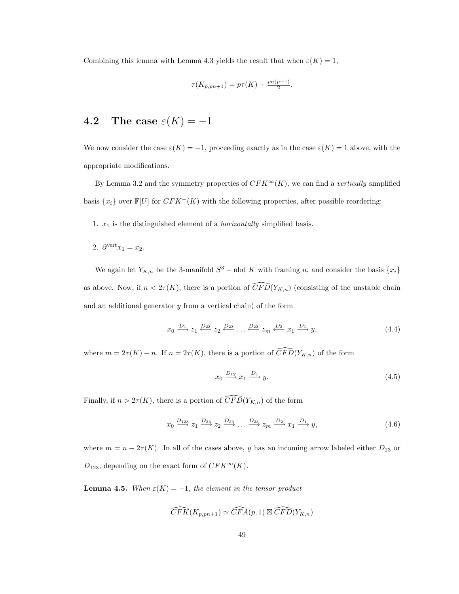Combining this lemma with Lemma 4.3 yields the result that when  $\varepsilon(K) = 1$ ,

$$
\tau(K_{p, pn+1}) = p\tau(K) + \frac{pn(p-1)}{2}.
$$

### 4.2 The case  $\varepsilon(K) = -1$

We now consider the case  $\varepsilon(K) = -1$ , proceeding exactly as in the case  $\varepsilon(K) = 1$  above, with the appropriate modifications.

By Lemma 3.2 and the symmetry properties of  $CFK^{\infty}(K)$ , we can find a vertically simplified basis  $\{x_i\}$  over  $\mathbb{F}[U]$  for  $CFK^-(K)$  with the following properties, after possible reordering:

1.  $x_1$  is the distinguished element of a *horizontally* simplified basis.

2.  $\partial^{\text{vert}} x_1 = x_2$ .

We again let  $Y_{K,n}$  be the 3-manifold  $S^3$  – nbd K with framing n, and consider the basis  $\{x_i\}$ as above. Now, if  $n < 2\tau(K)$ , there is a portion of  $\widehat{CFD}(Y_{K,n})$  (consisting of the unstable chain and an additional generator  $y$  from a vertical chain) of the form

$$
x_0 \xrightarrow{D_1} z_1 \xleftarrow{D_{23}} z_2 \xleftarrow{D_{23}} \dots \xleftarrow{D_{23}} z_m \xleftarrow{D_3} x_1 \xrightarrow{D_1} y,
$$
\n(4.4)

where  $m = 2\tau(K) - n$ . If  $n = 2\tau(K)$ , there is a portion of  $\widehat{CFD}(Y_{K,n})$  of the form

$$
x_0 \xrightarrow{D_{12}} x_1 \xrightarrow{D_1} y. \tag{4.5}
$$

Finally, if  $n > 2\tau(K)$ , there is a portion of  $\widehat{CFD}(Y_{K,n})$  of the form

$$
x_0 \xrightarrow{D_{123}} z_1 \xrightarrow{D_{23}} z_2 \xrightarrow{D_{23}} \dots \xrightarrow{D_{23}} z_m \xrightarrow{D_2} x_1 \xrightarrow{D_1} y,
$$
\n
$$
(4.6)
$$

where  $m = n - 2\tau(K)$ . In all of the cases above, y has an incoming arrow labeled either  $D_{23}$  or  $D_{123}$ , depending on the exact form of  $CFK^{\infty}(K)$ .

**Lemma 4.5.** When  $\varepsilon(K) = -1$ , the element in the tensor product

$$
\widehat{CFK}(K_{p, pn+1}) \simeq \widehat{CFA}(p, 1) \boxtimes \widehat{CFD}(Y_{K, n})
$$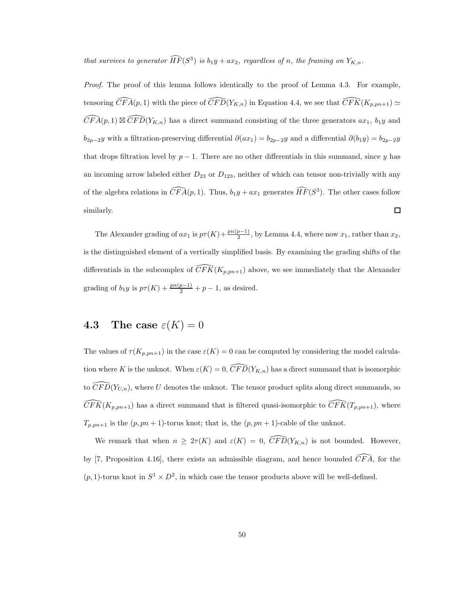that survives to generator  $\widehat{HF}(S^3)$  is  $b_1y + ax_2$ , regardless of n, the framing on  $Y_{K,n}$ .

Proof. The proof of this lemma follows identically to the proof of Lemma 4.3. For example, tensoring  $\widehat{CFA}(p,1)$  with the piece of  $\widehat{CFD}(Y_{K,n})$  in Equation 4.4, we see that  $\widehat{CFK}(K_{p,pn+1}) \simeq$  $\widehat{CFA}(p,1) \boxtimes \widehat{CFD}(Y_{K,n})$  has a direct summand consisting of the three generators  $ax_1, b_1y$  and  $b_{2p-2}y$  with a filtration-preserving differential  $\partial(ax_1) = b_{2p-2}y$  and a differential  $\partial(b_1y) = b_{2p-2}y$ that drops filtration level by  $p-1$ . There are no other differentials in this summand, since y has an incoming arrow labeled either  $D_{23}$  or  $D_{123}$ , neither of which can tensor non-trivially with any of the algebra relations in  $\widehat{CFA}(p, 1)$ . Thus,  $b_1y + ax_1$  generates  $\widehat{HF}(S^3)$ . The other cases follow similarly.  $\Box$ 

The Alexander grading of  $ax_1$  is  $p\tau(K) + \frac{pn(p-1)}{2}$ , by Lemma 4.4, where now  $x_1$ , rather than  $x_2$ , is the distinguished element of a vertically simplified basis. By examining the grading shifts of the differentials in the subcomplex of  $\widehat{CFK}(K_{p,pn+1})$  above, we see immediately that the Alexander grading of  $b_1y$  is  $p\tau(K) + \frac{pn(p-1)}{2} + p - 1$ , as desired.

#### 4.3 The case  $\varepsilon(K) = 0$

The values of  $\tau(K_{p,pn+1})$  in the case  $\varepsilon(K) = 0$  can be computed by considering the model calculation where K is the unknot. When  $\varepsilon(K) = 0$ ,  $\widehat{CFD}(Y_{K,n})$  has a direct summand that is isomorphic to  $\widehat{CFD}(Y_{U,n})$ , where U denotes the unknot. The tensor product splits along direct summands, so  $\widehat{CFK}(K_{p,pn+1})$  has a direct summand that is filtered quasi-isomorphic to  $\widehat{CFK}(T_{p,pn+1})$ , where  $T_{p, pn+1}$  is the  $(p, pn + 1)$ -torus knot; that is, the  $(p, pn + 1)$ -cable of the unknot.

We remark that when  $n \geq 2\tau(K)$  and  $\varepsilon(K) = 0$ ,  $\widehat{CFD}(Y_{K,n})$  is not bounded. However, by [7, Proposition 4.16], there exists an admissible diagram, and hence bounded  $\widehat{CFA}$ , for the  $(p, 1)$ -torus knot in  $S^1 \times D^2$ , in which case the tensor products above will be well-defined.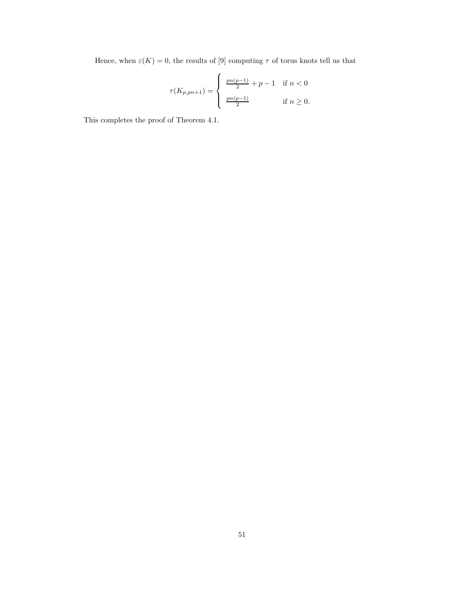Hence, when  $\varepsilon(K) = 0$ , the results of [9] computing  $\tau$  of torus knots tell us that

$$
\tau(K_{p, pn+1}) = \begin{cases} \frac{pn(p-1)}{2} + p - 1 & \text{if } n < 0 \\ \frac{pn(p-1)}{2} & \text{if } n \ge 0. \end{cases}
$$

This completes the proof of Theorem 4.1.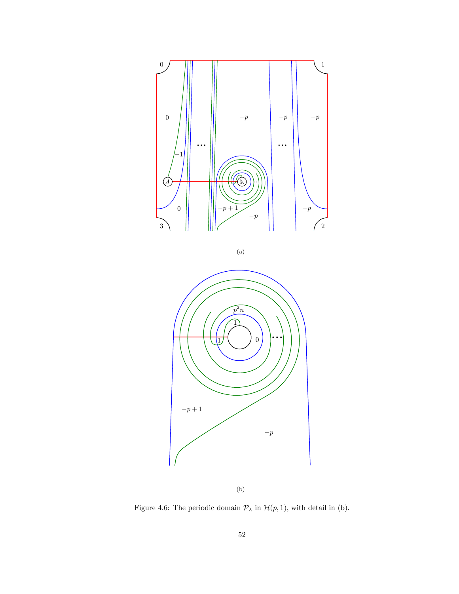

(a)



(b)

Figure 4.6: The periodic domain  $\mathcal{P}_\lambda$  in  $\mathcal{H}(p,1),$  with detail in (b).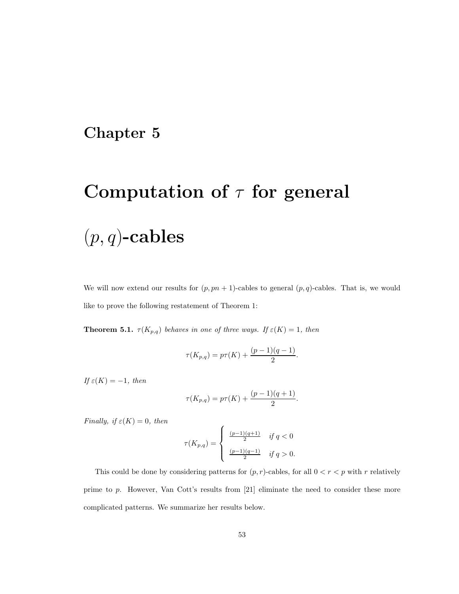### Chapter 5

# Computation of  $\tau$  for general

# $(p, q)$ -cables

We will now extend our results for  $(p, pn + 1)$ -cables to general  $(p, q)$ -cables. That is, we would like to prove the following restatement of Theorem 1:

**Theorem 5.1.**  $\tau(K_{p,q})$  behaves in one of three ways. If  $\varepsilon(K) = 1$ , then

$$
\tau(K_{p,q}) = p\tau(K) + \frac{(p-1)(q-1)}{2}.
$$

If  $\varepsilon(K) = -1$ , then

$$
\tau(K_{p,q}) = p\tau(K) + \frac{(p-1)(q+1)}{2}.
$$

Finally, if  $\varepsilon(K) = 0$ , then

$$
\tau(K_{p,q})=\left\{\begin{array}{cl} \frac{(p-1)(q+1)}{2} & \text{if } q<0 \\ \\ \frac{(p-1)(q-1)}{2} & \text{if } q>0. \end{array} \right.
$$

This could be done by considering patterns for  $(p, r)$ -cables, for all  $0 < r < p$  with r relatively prime to p. However, Van Cott's results from [21] eliminate the need to consider these more complicated patterns. We summarize her results below.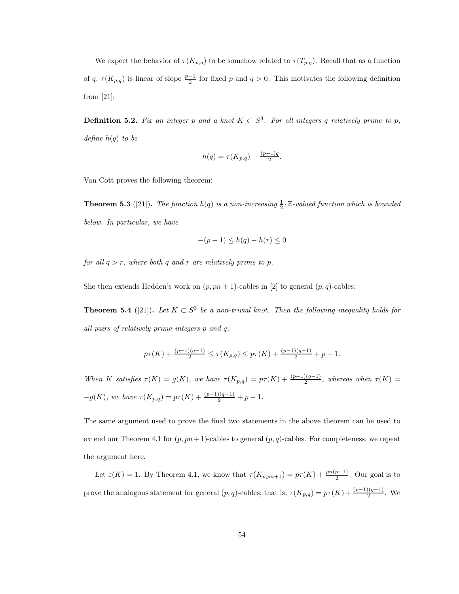We expect the behavior of  $\tau(K_{p,q})$  to be somehow related to  $\tau(T_{p,q})$ . Recall that as a function of q,  $\tau(K_{p,q})$  is linear of slope  $\frac{p-1}{2}$  for fixed p and  $q > 0$ . This motivates the following definition from [21]:

**Definition 5.2.** Fix an integer p and a knot  $K \subset S^3$ . For all integers q relatively prime to p, define  $h(q)$  to be

$$
h(q) = \tau(K_{p,q}) - \frac{(p-1)q}{2}.
$$

Van Cott proves the following theorem:

**Theorem 5.3** ([21]). The function  $h(q)$  is a non-increasing  $\frac{1}{2} \cdot \mathbb{Z}$ -valued function which is bounded below. In particular, we have

$$
-(p-1) \le h(q) - h(r) \le 0
$$

for all  $q > r$ , where both q and r are relatively prime to p.

She then extends Hedden's work on  $(p, pn + 1)$ -cables in [2] to general  $(p, q)$ -cables:

**Theorem 5.4** ([21]). Let  $K \subset S^3$  be a non-trivial knot. Then the following inequality holds for all pairs of relatively prime integers p and q:

$$
p\tau(K) + \frac{(p-1)(q-1)}{2} \le \tau(K_{p,q}) \le p\tau(K) + \frac{(p-1)(q-1)}{2} + p - 1.
$$

When K satisfies  $\tau(K) = g(K)$ , we have  $\tau(K_{p,q}) = p\tau(K) + \frac{(p-1)(q-1)}{2}$ , whereas when  $\tau(K) =$  $-g(K)$ , we have  $\tau(K_{p,q}) = p\tau(K) + \frac{(p-1)(q-1)}{2} + p - 1$ .

The same argument used to prove the final two statements in the above theorem can be used to extend our Theorem 4.1 for  $(p, pn + 1)$ -cables to general  $(p, q)$ -cables. For completeness, we repeat the argument here.

Let  $\varepsilon(K) = 1$ . By Theorem 4.1, we know that  $\tau(K_{p, pn+1}) = p\tau(K) + \frac{pn(p-1)}{2}$ . Our goal is to prove the analogous statement for general  $(p, q)$ -cables; that is,  $\tau(K_{p,q}) = p\tau(K) + \frac{(p-1)(q-1)}{2}$ . We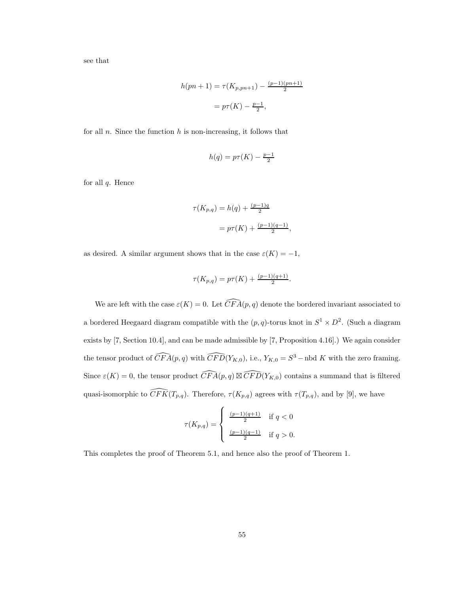see that

$$
h(pn + 1) = \tau(K_{p, pn+1}) - \frac{(p-1)(pn+1)}{2}
$$

$$
= p\tau(K) - \frac{p-1}{2},
$$

for all  $n$ . Since the function  $h$  is non-increasing, it follows that

$$
h(q) = p\tau(K) - \frac{p-1}{2}
$$

for all  $q$ . Hence

$$
\tau(K_{p,q}) = h(q) + \frac{(p-1)q}{2}
$$

$$
= p\tau(K) + \frac{(p-1)(q-1)}{2},
$$

as desired. A similar argument shows that in the case  $\varepsilon(K) = -1$ ,

$$
\tau(K_{p,q}) = p\tau(K) + \frac{(p-1)(q+1)}{2}.
$$

We are left with the case  $\varepsilon(K) = 0$ . Let  $\widehat{CFA}(p,q)$  denote the bordered invariant associated to a bordered Heegaard diagram compatible with the  $(p, q)$ -torus knot in  $S^1 \times D^2$ . (Such a diagram exists by [7, Section 10.4], and can be made admissible by [7, Proposition 4.16].) We again consider the tensor product of  $\widehat{CFA}(p,q)$  with  $\widehat{CFD}(Y_{K,0}),$  i.e.,  $Y_{K,0} = S^3$  – nbd K with the zero framing. Since  $\varepsilon(K) = 0$ , the tensor product  $\widehat{CFA}(p,q) \boxtimes \widehat{CFD}(Y_{K,0})$  contains a summand that is filtered quasi-isomorphic to  $\widehat{CFK}(T_{p,q})$ . Therefore,  $\tau(K_{p,q})$  agrees with  $\tau(T_{p,q})$ , and by [9], we have

$$
\tau(K_{p,q})=\left\{\begin{array}{cl} \frac{(p-1)(q+1)}{2} & \text{if } q<0\\ \frac{(p-1)(q-1)}{2} & \text{if } q>0. \end{array} \right.
$$

This completes the proof of Theorem 5.1, and hence also the proof of Theorem 1.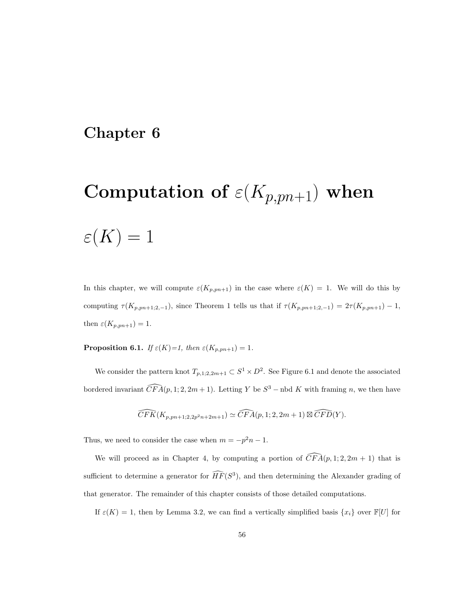### Chapter 6

# Computation of  $\varepsilon(K_{p,pn+1})$  when

# $\varepsilon(K) = 1$

In this chapter, we will compute  $\varepsilon(K_{p,pn+1})$  in the case where  $\varepsilon(K) = 1$ . We will do this by computing  $\tau(K_{p,pn+1;2,-1}),$  since Theorem 1 tells us that if  $\tau(K_{p,pn+1;2,-1}) = 2\tau(K_{p,pn+1}) - 1$ , then  $\varepsilon(K_{p, pn+1}) = 1$ .

**Proposition 6.1.** If  $\varepsilon(K)=1$ , then  $\varepsilon(K_{p,pn+1})=1$ .

We consider the pattern knot  $T_{p,1;2,2m+1} \subset S^1 \times D^2$ . See Figure 6.1 and denote the associated bordered invariant  $\widehat{CFA}(p,1;2,2m+1)$ . Letting Y be  $S^3$  – nbd K with framing n, we then have

$$
\widehat{CFK}(K_{p, pn+1; 2, 2p^2n+2m+1}) \simeq \widehat{CFA}(p, 1; 2, 2m+1) \boxtimes \widehat{CFD}(Y).
$$

Thus, we need to consider the case when  $m = -p^2n - 1$ .

We will proceed as in Chapter 4, by computing a portion of  $\widehat{CFA}(p, 1; 2, 2m + 1)$  that is sufficient to determine a generator for  $\widehat{HF}(S^3)$ , and then determining the Alexander grading of that generator. The remainder of this chapter consists of those detailed computations.

If  $\varepsilon(K) = 1$ , then by Lemma 3.2, we can find a vertically simplified basis  $\{x_i\}$  over  $\mathbb{F}[U]$  for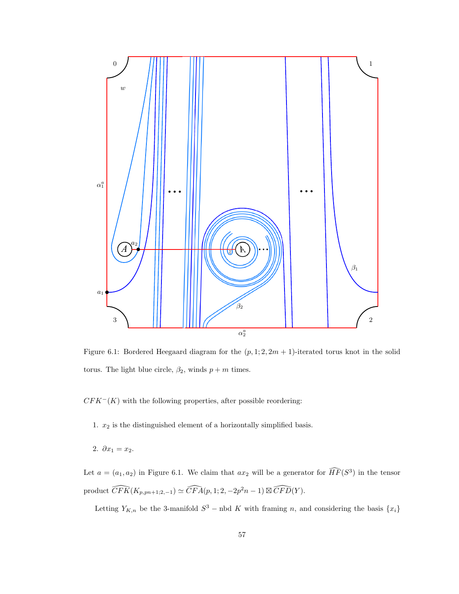

Figure 6.1: Bordered Heegaard diagram for the  $(p, 1; 2, 2m + 1)$ -iterated torus knot in the solid torus. The light blue circle,  $\beta_2$ , winds  $p + m$  times.

 $CFK<sup>-</sup>(K)$  with the following properties, after possible reordering:

- 1.  $x_2$  is the distinguished element of a horizontally simplified basis.
- 2.  $\partial x_1 = x_2$ .

Let  $a = (a_1, a_2)$  in Figure 6.1. We claim that  $ax_2$  will be a generator for  $\widehat{HF}(S^3)$  in the tensor product  $\widehat{CFK}(K_{p, pn+1;2,-1}) \simeq \widehat{CFA}(p, 1; 2, -2p^2n-1) \boxtimes \widehat{CFD}(Y)$ .

Letting  $Y_{K,n}$  be the 3-manifold  $S^3$  – nbd K with framing n, and considering the basis  $\{x_i\}$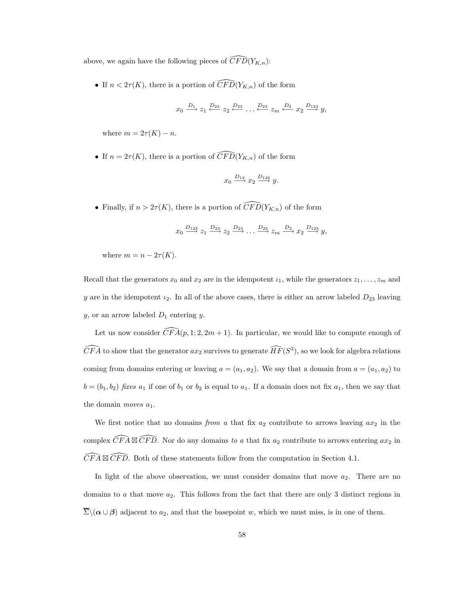above, we again have the following pieces of  $\widehat{CFD}(Y_{K,n})$ :

• If  $n < 2\tau(K)$ , there is a portion of  $\widehat{CFD}(Y_{K,n})$  of the form

$$
x_0 \xrightarrow{D_1} z_1 \xleftarrow{D_{23}} z_2 \xleftarrow{D_{23}} \dots \xleftarrow{D_{23}} z_m \xleftarrow{D_3} x_2 \xrightarrow{D_{123}} y,
$$

where  $m = 2\tau(K) - n$ .

• If  $n = 2\tau(K)$ , there is a portion of  $\widehat{CFD}(Y_{K,n})$  of the form

$$
x_0 \xrightarrow{D_{12}} x_2 \xrightarrow{D_{123}} y.
$$

• Finally, if  $n > 2\tau(K)$ , there is a portion of  $\widehat{CFD}(Y_{K,n})$  of the form

$$
x_0 \xrightarrow{D_{123}} z_1 \xrightarrow{D_{23}} z_2 \xrightarrow{D_{23}} \dots \xrightarrow{D_{23}} z_m \xrightarrow{D_2} x_2 \xrightarrow{D_{123}} y,
$$

where  $m = n - 2\tau(K)$ .

Recall that the generators  $x_0$  and  $x_2$  are in the idempotent  $\iota_1$ , while the generators  $z_1, \ldots, z_m$  and y are in the idempotent  $\iota_2$ . In all of the above cases, there is either an arrow labeled  $D_{23}$  leaving  $y$ , or an arrow labeled  $D_1$  entering  $y$ .

Let us now consider  $\widehat{CFA}(p, 1; 2, 2m + 1)$ . In particular, we would like to compute enough of  $\widehat{CFA}$  to show that the generator  $ax_2$  survives to generate  $\widehat{HF}(S^3)$ , so we look for algebra relations coming from domains entering or leaving  $a = (a_1, a_2)$ . We say that a domain from  $a = (a_1, a_2)$  to  $b = (b_1, b_2)$  fixes  $a_1$  if one of  $b_1$  or  $b_2$  is equal to  $a_1$ . If a domain does not fix  $a_1$ , then we say that the domain *moves*  $a_1$ .

We first notice that no domains from a that fix  $a_2$  contribute to arrows leaving  $ax_2$  in the complex  $\widehat{CFA} \boxtimes \widehat{CFD}$ . Nor do any domains to a that fix  $a_2$  contribute to arrows entering  $ax_2$  in  $\widehat{CFA} \boxtimes \widehat{CFD}$ . Both of these statements follow from the computation in Section 4.1.

In light of the above observation, we must consider domains that move  $a_2$ . There are no domains to  $a$  that move  $a_2$ . This follows from the fact that there are only 3 distinct regions in  $\overline{\Sigma}\setminus(\alpha\cup\beta)$  adjacent to  $a_2$ , and that the basepoint w, which we must miss, is in one of them.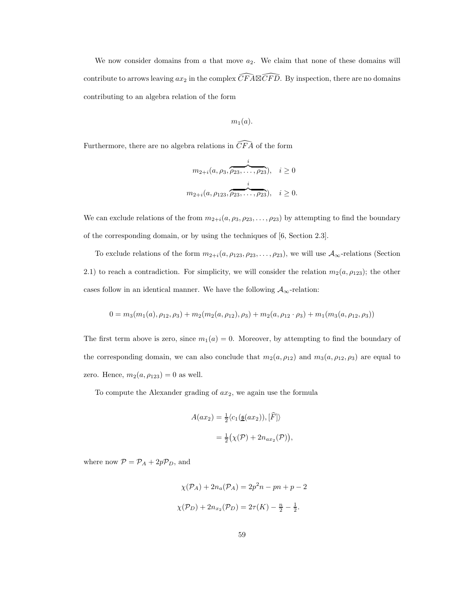We now consider domains from  $a$  that move  $a_2$ . We claim that none of these domains will contribute to arrows leaving  $ax_2$  in the complex  $\widehat{CFA} \boxtimes \widehat{CFD}$ . By inspection, there are no domains contributing to an algebra relation of the form

$$
m_1(a).
$$

Furthermore, there are no algebra relations in  $\widehat{CFA}$  of the form

$$
m_{2+i}(a, \rho_3, \overbrace{\rho_{23}, \dots, \rho_{23}}^i), \quad i \ge 0
$$
  

$$
m_{2+i}(a, \rho_{123}, \overbrace{\rho_{23}, \dots, \rho_{23}}^i), \quad i \ge 0.
$$

We can exclude relations of the from  $m_{2+i}(a, \rho_3, \rho_{23}, \ldots, \rho_{23})$  by attempting to find the boundary of the corresponding domain, or by using the techniques of [6, Section 2.3].

To exclude relations of the form  $m_{2+i}(a, \rho_{123}, \rho_{23}, \ldots, \rho_{23})$ , we will use  $\mathcal{A}_{\infty}$ -relations (Section 2.1) to reach a contradiction. For simplicity, we will consider the relation  $m_2(a, \rho_{123})$ ; the other cases follow in an identical manner. We have the following  $A_{\infty}$ -relation:

$$
0 = m_3(m_1(a), \rho_{12}, \rho_3) + m_2(m_2(a, \rho_{12}), \rho_3) + m_2(a, \rho_{12} \cdot \rho_3) + m_1(m_3(a, \rho_{12}, \rho_3))
$$

The first term above is zero, since  $m_1(a) = 0$ . Moreover, by attempting to find the boundary of the corresponding domain, we can also conclude that  $m_2(a, \rho_{12})$  and  $m_3(a, \rho_{12}, \rho_3)$  are equal to zero. Hence,  $m_2(a, \rho_{123}) = 0$  as well.

To compute the Alexander grading of  $ax_2$ , we again use the formula

$$
A(ax_2) = \frac{1}{2} \langle c_1(\underline{\mathfrak{s}}(ax_2)), [\widehat{F}] \rangle
$$
  
=  $\frac{1}{2} (\chi(\mathcal{P}) + 2n_{ax_2}(\mathcal{P})),$ 

where now  $\mathcal{P} = \mathcal{P}_A + 2p\mathcal{P}_D$ , and

$$
\chi(\mathcal{P}_A) + 2n_a(\mathcal{P}_A) = 2p^2n - pn + p - 2
$$

$$
\chi(\mathcal{P}_D) + 2n_{x_2}(\mathcal{P}_D) = 2\tau(K) - \frac{n}{2} - \frac{1}{2}.
$$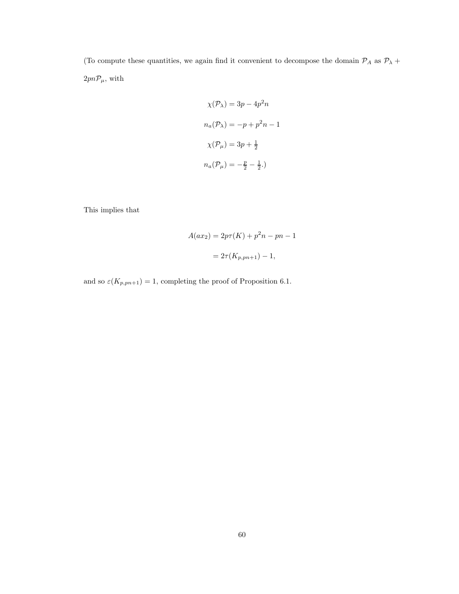(To compute these quantities, we again find it convenient to decompose the domain  $\mathcal{P}_A$  as  $\mathcal{P}_\lambda$  +  $2pn\mathcal{P}_\mu,$  with

$$
\chi(\mathcal{P}_\lambda) = 3p - 4p^2n
$$
  

$$
n_a(\mathcal{P}_\lambda) = -p + p^2n - 1
$$
  

$$
\chi(\mathcal{P}_\mu) = 3p + \frac{1}{2}
$$
  

$$
n_a(\mathcal{P}_\mu) = -\frac{p}{2} - \frac{1}{2}.
$$

This implies that

$$
A(ax_2) = 2p\tau(K) + p^2n - pn - 1
$$
  
=  $2\tau(K_{p, pn+1}) - 1$ ,

and so  $\varepsilon(K_{p,pn+1}) = 1$ , completing the proof of Proposition 6.1.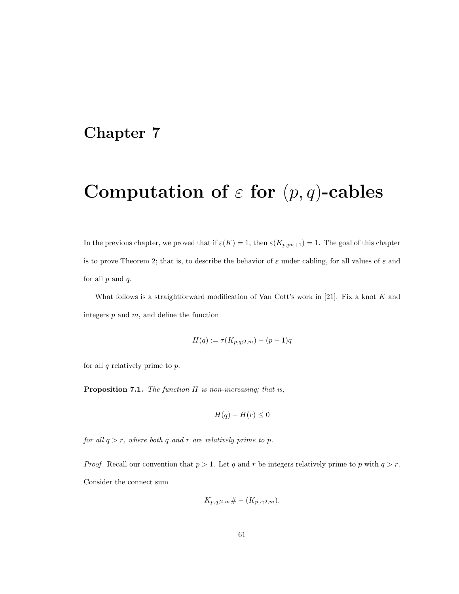### Chapter 7

# Computation of  $\varepsilon$  for  $(p, q)$ -cables

In the previous chapter, we proved that if  $\varepsilon(K) = 1$ , then  $\varepsilon(K_{p,pn+1}) = 1$ . The goal of this chapter is to prove Theorem 2; that is, to describe the behavior of  $\varepsilon$  under cabling, for all values of  $\varepsilon$  and for all  $p$  and  $q$ .

What follows is a straightforward modification of Van Cott's work in [21]. Fix a knot  $K$  and integers  $p$  and  $m$ , and define the function

$$
H(q) := \tau(K_{p,q;2,m}) - (p-1)q
$$

for all  $q$  relatively prime to  $p$ .

Proposition 7.1. The function H is non-increasing; that is,

$$
H(q) - H(r) \le 0
$$

for all  $q > r$ , where both q and r are relatively prime to p.

*Proof.* Recall our convention that  $p > 1$ . Let q and r be integers relatively prime to p with  $q > r$ . Consider the connect sum

$$
K_{p,q;2,m} \# - (K_{p,r;2,m}).
$$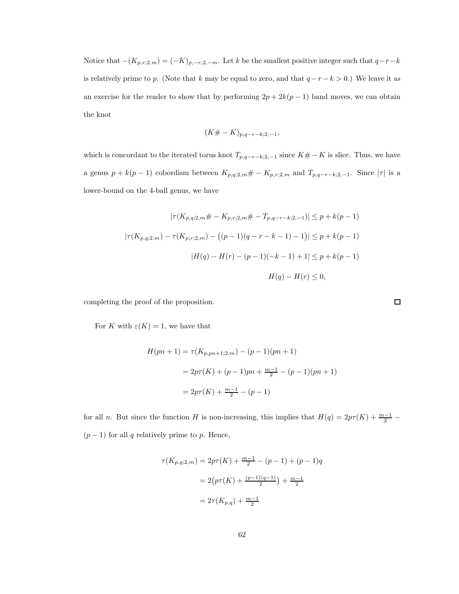Notice that  $-(K_{p,r;2,m}) = (-K)_{p,-r;2,-m}$ . Let k be the smallest positive integer such that  $q-r-k$ is relatively prime to p. (Note that k may be equal to zero, and that  $q-r-k > 0$ .) We leave it as an exercise for the reader to show that by performing  $2p + 2k(p - 1)$  band moves, we can obtain the knot

$$
(K# - K)_{p,q-r-k;2,-1},
$$

which is concordant to the iterated torus knot  $T_{p,q-r-k;2,-1}$  since  $K# - K$  is slice. Thus, we have a genus  $p + k(p-1)$  cobordism between  $K_{p,q;2,m}$ #  $- K_{p,r;2,m}$  and  $T_{p,q-r-k;2,-1}$ . Since  $|\tau|$  is a lower-bound on the 4-ball genus, we have

$$
|\tau(K_{p,q;2,m} \# - K_{p,r;2,m} \# - T_{p,q-r-k;2,-1})| \le p + k(p-1)
$$
  

$$
|\tau(K_{p,q;2,m}) - \tau(K_{p,r;2,m}) - ((p-1)(q-r-k-1)-1)| \le p + k(p-1)
$$
  

$$
|H(q) - H(r) - (p-1)(-k-1) + 1| \le p + k(p-1)
$$
  

$$
H(q) - H(r) \le 0,
$$

completing the proof of the proposition.

For K with  $\varepsilon(K) = 1$ , we have that

$$
H(pn + 1) = \tau(K_{p, pn+1; 2, m}) - (p - 1)(pn + 1)
$$
  
=  $2p\tau(K) + (p - 1)pn + \frac{m-1}{2} - (p - 1)(pn + 1)$   
=  $2p\tau(K) + \frac{m-1}{2} - (p - 1)$ 

for all n. But since the function H is non-increasing, this implies that  $H(q) = 2p\tau(K) + \frac{m-1}{2}$  $(p-1)$  for all q relatively prime to p. Hence,

$$
\tau(K_{p,q;2,m}) = 2p\tau(K) + \frac{m-1}{2} - (p-1) + (p-1)q
$$

$$
= 2\left(p\tau(K) + \frac{(p-1)(q-1)}{2}\right) + \frac{m-1}{2}
$$

$$
= 2\tau(K_{p,q}) + \frac{m-1}{2}
$$

 $\Box$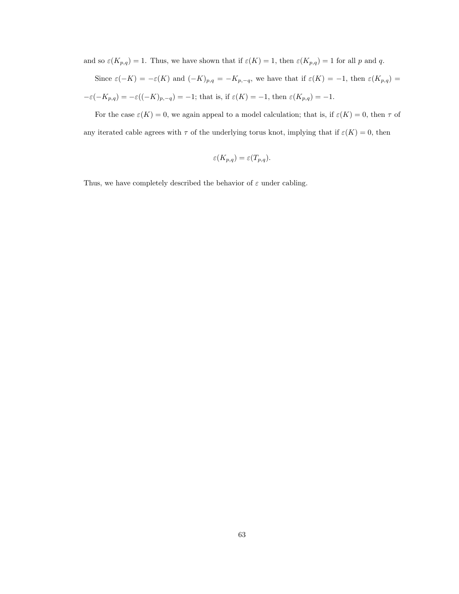and so  $\varepsilon(K_{p,q}) = 1$ . Thus, we have shown that if  $\varepsilon(K) = 1$ , then  $\varepsilon(K_{p,q}) = 1$  for all p and q.

Since  $\varepsilon(-K) = -\varepsilon(K)$  and  $(-K)_{p,q} = -K_{p,-q}$ , we have that if  $\varepsilon(K) = -1$ , then  $\varepsilon(K_{p,q}) =$  $-\varepsilon(-K_{p,q}) = -\varepsilon((-K)_{p,-q}) = -1$ ; that is, if  $\varepsilon(K) = -1$ , then  $\varepsilon(K_{p,q}) = -1$ .

For the case  $\varepsilon(K) = 0$ , we again appeal to a model calculation; that is, if  $\varepsilon(K) = 0$ , then  $\tau$  of any iterated cable agrees with  $\tau$  of the underlying torus knot, implying that if  $\varepsilon(K) = 0$ , then

$$
\varepsilon(K_{p,q}) = \varepsilon(T_{p,q}).
$$

Thus, we have completely described the behavior of  $\varepsilon$  under cabling.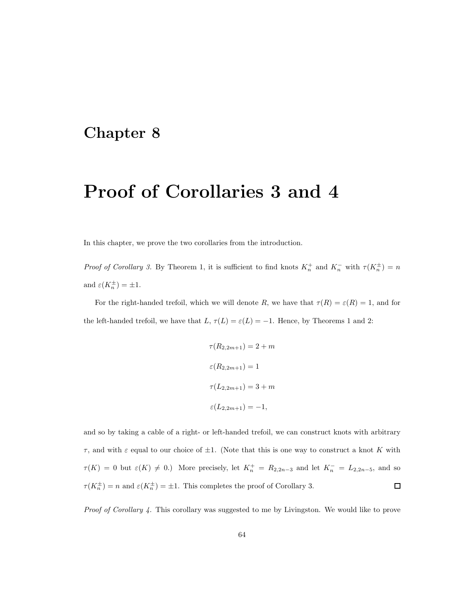### Chapter 8

### Proof of Corollaries 3 and 4

In this chapter, we prove the two corollaries from the introduction.

Proof of Corollary 3. By Theorem 1, it is sufficient to find knots  $K_n^+$  and  $K_n^-$  with  $\tau(K_n^{\pm}) = n$ and  $\varepsilon(K_n^{\pm}) = \pm 1$ .

For the right-handed trefoil, which we will denote R, we have that  $\tau(R) = \varepsilon(R) = 1$ , and for the left-handed trefoil, we have that  $L, \tau(L) = \varepsilon(L) = -1$ . Hence, by Theorems 1 and 2:

$$
\tau(R_{2,2m+1}) = 2 + m
$$
  

$$
\varepsilon(R_{2,2m+1}) = 1
$$
  

$$
\tau(L_{2,2m+1}) = 3 + m
$$
  

$$
\varepsilon(L_{2,2m+1}) = -1,
$$

and so by taking a cable of a right- or left-handed trefoil, we can construct knots with arbitrary  $\tau$ , and with  $\varepsilon$  equal to our choice of  $\pm 1$ . (Note that this is one way to construct a knot K with  $\tau(K) = 0$  but  $\varepsilon(K) \neq 0$ .) More precisely, let  $K_n^+ = R_{2,2n-3}$  and let  $K_n^- = L_{2,2n-5}$ , and so  $\tau(K_n^{\pm}) = n$  and  $\varepsilon(K_n^{\pm}) = \pm 1$ . This completes the proof of Corollary 3.  $\Box$ 

Proof of Corollary 4. This corollary was suggested to me by Livingston. We would like to prove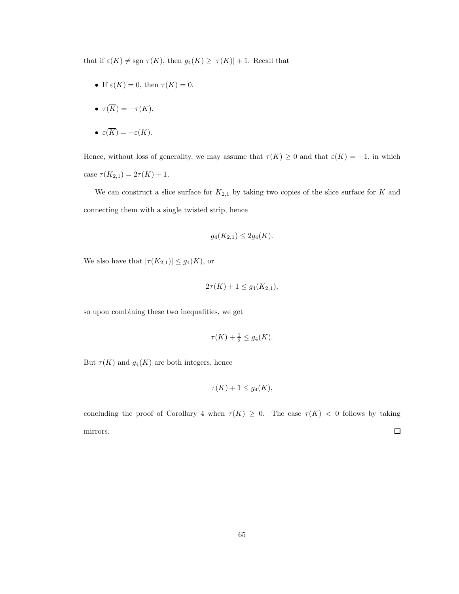that if  $\varepsilon(K) \neq \text{sgn } \tau(K)$ , then  $g_4(K) \geq |\tau(K)| + 1$ . Recall that

• If  $\varepsilon(K) = 0$ , then  $\tau(K) = 0$ .

$$
\bullet \ \tau(\overline{K}) = -\tau(K).
$$

• 
$$
\varepsilon(\overline{K}) = -\varepsilon(K)
$$
.

Hence, without loss of generality, we may assume that  $\tau(K) \geq 0$  and that  $\varepsilon(K) = -1$ , in which case  $\tau(K_{2,1}) = 2\tau(K) + 1$ .

We can construct a slice surface for  $K_{2,1}$  by taking two copies of the slice surface for K and connecting them with a single twisted strip, hence

$$
g_4(K_{2,1}) \le 2g_4(K).
$$

We also have that  $|\tau(K_{2,1})| \leq g_4(K)$ , or

$$
2\tau(K) + 1 \le g_4(K_{2,1}),
$$

so upon combining these two inequalities, we get

$$
\tau(K) + \frac{1}{2} \le g_4(K).
$$

But  $\tau(K)$  and  $g_4(K)$  are both integers, hence

$$
\tau(K) + 1 \le g_4(K),
$$

concluding the proof of Corollary 4 when  $\tau(K) \geq 0$ . The case  $\tau(K) < 0$  follows by taking  $\Box$ mirrors.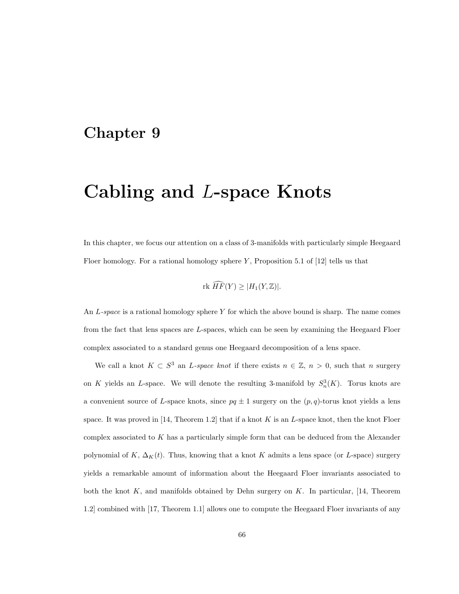#### Chapter 9

# Cabling and L-space Knots

In this chapter, we focus our attention on a class of 3-manifolds with particularly simple Heegaard Floer homology. For a rational homology sphere Y, Proposition 5.1 of  $[12]$  tells us that

$$
\text{rk }\widehat{HF}(Y) \ge |H_1(Y,\mathbb{Z})|.
$$

An L-space is a rational homology sphere Y for which the above bound is sharp. The name comes from the fact that lens spaces are L-spaces, which can be seen by examining the Heegaard Floer complex associated to a standard genus one Heegaard decomposition of a lens space.

We call a knot  $K \subset S^3$  an *L*-space knot if there exists  $n \in \mathbb{Z}$ ,  $n > 0$ , such that n surgery on K yields an L-space. We will denote the resulting 3-manifold by  $S_n^3(K)$ . Torus knots are a convenient source of L-space knots, since  $pq \pm 1$  surgery on the  $(p, q)$ -torus knot yields a lens space. It was proved in  $[14,$  Theorem 1.2 that if a knot K is an L-space knot, then the knot Floer complex associated to K has a particularly simple form that can be deduced from the Alexander polynomial of K,  $\Delta_K(t)$ . Thus, knowing that a knot K admits a lens space (or L-space) surgery yields a remarkable amount of information about the Heegaard Floer invariants associated to both the knot  $K$ , and manifolds obtained by Dehn surgery on  $K$ . In particular, [14, Theorem 1.2] combined with [17, Theorem 1.1] allows one to compute the Heegaard Floer invariants of any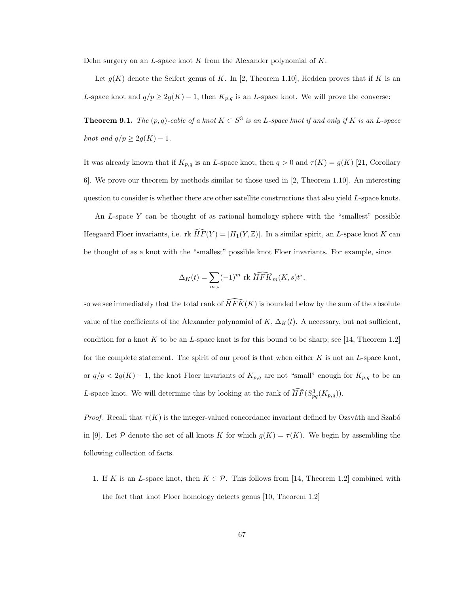Dehn surgery on an  $L$ -space knot K from the Alexander polynomial of  $K$ .

Let  $g(K)$  denote the Seifert genus of K. In [2, Theorem 1.10], Hedden proves that if K is an L-space knot and  $q/p \geq 2g(K) - 1$ , then  $K_{p,q}$  is an L-space knot. We will prove the converse:

**Theorem 9.1.** The  $(p, q)$ -cable of a knot  $K \subset S^3$  is an L-space knot if and only if K is an L-space knot and  $q/p \geq 2g(K) - 1$ .

It was already known that if  $K_{p,q}$  is an L-space knot, then  $q > 0$  and  $\tau(K) = g(K)$  [21, Corollary 6]. We prove our theorem by methods similar to those used in [2, Theorem 1.10]. An interesting question to consider is whether there are other satellite constructions that also yield L-space knots.

An  $L$ -space  $Y$  can be thought of as rational homology sphere with the "smallest" possible Heegaard Floer invariants, i.e. rk  $\widehat{HF}(Y) = |H_1(Y, \mathbb{Z})|$ . In a similar spirit, an L-space knot K can be thought of as a knot with the "smallest" possible knot Floer invariants. For example, since

$$
\Delta_K(t) = \sum_{m,s} (-1)^m \operatorname{rk} \widehat{HFK}_m(K, s)t^s,
$$

so we see immediately that the total rank of  $\widehat{HFK}(K)$  is bounded below by the sum of the absolute value of the coefficients of the Alexander polynomial of K,  $\Delta_K(t)$ . A necessary, but not sufficient, condition for a knot  $K$  to be an  $L$ -space knot is for this bound to be sharp; see [14, Theorem 1.2] for the complete statement. The spirit of our proof is that when either  $K$  is not an  $L$ -space knot, or  $q/p < 2g(K) - 1$ , the knot Floer invariants of  $K_{p,q}$  are not "small" enough for  $K_{p,q}$  to be an L-space knot. We will determine this by looking at the rank of  $\widehat{HF}(S^3_{pq}(K_{p,q}))$ .

*Proof.* Recall that  $\tau(K)$  is the integer-valued concordance invariant defined by Ozsváth and Szabó in [9]. Let P denote the set of all knots K for which  $g(K) = \tau(K)$ . We begin by assembling the following collection of facts.

1. If K is an L-space knot, then  $K \in \mathcal{P}$ . This follows from [14, Theorem 1.2] combined with the fact that knot Floer homology detects genus [10, Theorem 1.2]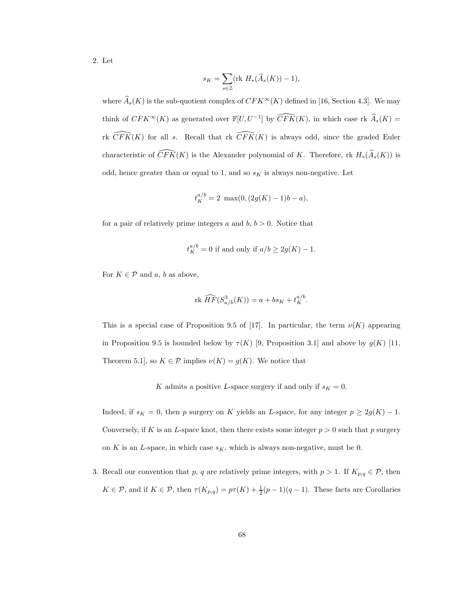2. Let

$$
s_K = \sum_{s \in \mathbb{Z}} (\text{rk } H_*(\widehat{A}_s(K)) - 1),
$$

where  $\widehat{A}_s(K)$  is the sub-quotient complex of  $CFK^{\infty}(K)$  defined in [16, Section 4.3]. We may think of  $CFK^{\infty}(K)$  as generated over  $\mathbb{F}[U, U^{-1}]$  by  $\widehat{CFK}(K)$ , in which case rk  $\widehat{A}_s(K)$  = rk  $\widehat{CFK}(K)$  for all s. Recall that rk  $\widehat{CFK}(K)$  is always odd, since the graded Euler characteristic of  $\widehat{CFK}(K)$  is the Alexander polynomial of K. Therefore, rk  $H_*(\widehat{A}_s(K))$  is odd, hence greater than or equal to 1, and so  $s<sub>K</sub>$  is always non-negative. Let

$$
t_K^{a/b} = 2 \ \max(0, (2g(K) - 1)b - a),
$$

for a pair of relatively prime integers a and  $b, b > 0$ . Notice that

$$
t_K^{a/b} = 0
$$
 if and only if  $a/b \ge 2g(K) - 1$ .

For  $K \in \mathcal{P}$  and a, b as above,

$$
\text{rk }\widehat{HF}(S^3_{a/b}(K)) = a + bs_K + t_K^{a/b}.
$$

This is a special case of Proposition 9.5 of [17]. In particular, the term  $\nu(K)$  appearing in Proposition 9.5 is bounded below by  $\tau(K)$  [9, Proposition 3.1] and above by  $g(K)$  [11, Theorem 5.1], so  $K \in \mathcal{P}$  implies  $\nu(K) = g(K)$ . We notice that

K admits a positive L-space surgery if and only if  $s_K = 0$ .

Indeed, if  $s_K = 0$ , then p surgery on K yields an L-space, for any integer  $p \geq 2g(K) - 1$ . Conversely, if K is an L-space knot, then there exists some integer  $p > 0$  such that p surgery on K is an L-space, in which case  $s_K$ , which is always non-negative, must be 0.

3. Recall our convention that p, q are relatively prime integers, with  $p > 1$ . If  $K_{p,q} \in \mathcal{P}$ , then  $K \in \mathcal{P}$ , and if  $K \in \mathcal{P}$ , then  $\tau(K_{p,q}) = p\tau(K) + \frac{1}{2}(p-1)(q-1)$ . These facts are Corollaries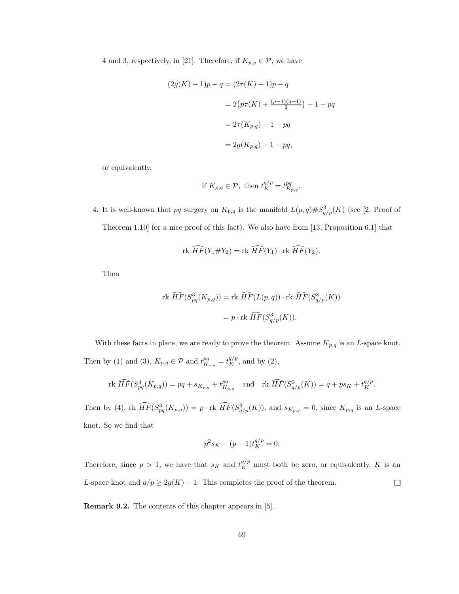4 and 3, respectively, in [21]. Therefore, if  $K_{p,q} \in \mathcal{P}$ , we have

$$
(2g(K) - 1)p - q = (2\tau(K) - 1)p - q
$$
  
= 2(p\tau(K) + \frac{(p-1)(q-1)}{2}) - 1 - pq  
= 2\tau(K\_{p,q}) - 1 - pq  
= 2g(K\_{p,q}) - 1 - pq,

or equivalently,

if 
$$
K_{p,q} \in \mathcal{P}
$$
, then  $t_K^{q/p} = t_{K_{p,q}}^{pq}$ .

4. It is well-known that pq surgery on  $K_{p,q}$  is the manifold  $L(p,q) \# S^3_{q/p}(K)$  (see [2, Proof of Theorem 1.10] for a nice proof of this fact). We also have from [13, Proposition 6.1] that

$$
\text{rk }\widehat{HF}(Y_1 \# Y_2) = \text{rk }\widehat{HF}(Y_1) \cdot \text{rk }\widehat{HF}(Y_2).
$$

Then

rk 
$$
\widehat{HF}(S^3_{pq}(K_{p,q}))
$$
 = rk  $\widehat{HF}(L(p,q)) \cdot$ rk  $\widehat{HF}(S^3_{q/p}(K))$   
=  $p \cdot$ rk  $\widehat{HF}(S^3_{q/p}(K))$ .

With these facts in place, we are ready to prove the theorem. Assume  $K_{p,q}$  is an L-space knot. Then by (1) and (3),  $K_{p,q} \in \mathcal{P}$  and  $t^{pq}_{K_{p,q}} = t^{q/p}_K$ , and by (2),

rk 
$$
\widehat{HF}(S_{pq}^3(K_{p,q})) = pq + s_{K_{p,q}} + t_{K_{p,q}}^{pq}
$$
 and rk  $\widehat{HF}(S_{q/p}^3(K)) = q + ps_K + t_K^{q/p}$ .

Then by (4), rk  $\widehat{HF}(S^3_{pq}(K_{p,q})) = p \cdot \text{rk } \widehat{HF}(S^3_{q/p}(K))$ , and  $s_{K_{p,q}} = 0$ , since  $K_{p,q}$  is an L-space knot. So we find that

$$
p^2 s_K + (p-1)t_K^{q/p} = 0.
$$

Therefore, since  $p > 1$ , we have that  $s_K$  and  $t_K^{q/p}$  must both be zero, or equivalently, K is an L-space knot and  $q/p \geq 2g(K) - 1$ . This completes the proof of the theorem.  $\Box$ 

Remark 9.2. The contents of this chapter appears in [5].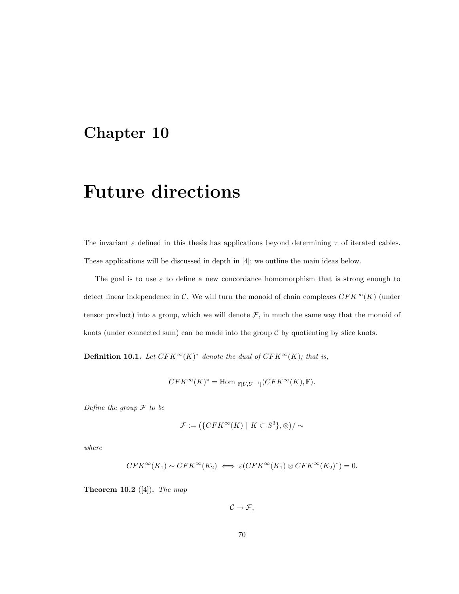### Chapter 10

### Future directions

The invariant  $\varepsilon$  defined in this thesis has applications beyond determining  $\tau$  of iterated cables. These applications will be discussed in depth in [4]; we outline the main ideas below.

The goal is to use  $\varepsilon$  to define a new concordance homomorphism that is strong enough to detect linear independence in  $\mathcal{C}$ . We will turn the monoid of chain complexes  $CFK^{\infty}(K)$  (under tensor product) into a group, which we will denote  $F$ , in much the same way that the monoid of knots (under connected sum) can be made into the group  $\mathcal C$  by quotienting by slice knots.

**Definition 10.1.** Let  $CFK^{\infty}(K)^{*}$  denote the dual of  $CFK^{\infty}(K)$ ; that is,

$$
CFK^{\infty}(K)^* = \text{Hom}_{\mathbb{F}[U,U^{-1}]}(CFK^{\infty}(K), \mathbb{F}).
$$

Define the group  $\mathcal F$  to be

$$
\mathcal{F} := (\{CFK^{\infty}(K) \mid K \subset S^3\}, \otimes)/\sim
$$

where

$$
CFK^{\infty}(K_1) \sim CFK^{\infty}(K_2) \iff \varepsilon(CFK^{\infty}(K_1) \otimes CFK^{\infty}(K_2)^*) = 0.
$$

**Theorem 10.2** ([4]). The map

 $\mathcal{C} \rightarrow \mathcal{F},$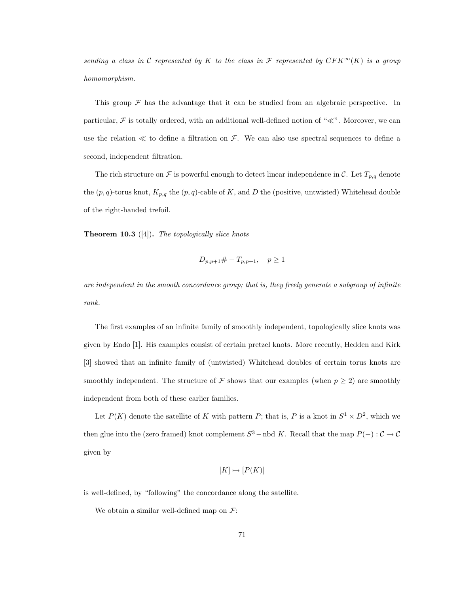sending a class in C represented by K to the class in F represented by  $CFK^{\infty}(K)$  is a group homomorphism.

This group  $\mathcal F$  has the advantage that it can be studied from an algebraic perspective. In particular,  $\mathcal F$  is totally ordered, with an additional well-defined notion of " $\ll$ ". Moreover, we can use the relation  $\ll$  to define a filtration on  $\mathcal{F}$ . We can also use spectral sequences to define a second, independent filtration.

The rich structure on F is powerful enough to detect linear independence in C. Let  $T_{p,q}$  denote the  $(p, q)$ -torus knot,  $K_{p,q}$  the  $(p, q)$ -cable of K, and D the (positive, untwisted) Whitehead double of the right-handed trefoil.

**Theorem 10.3** ([4]). The topologically slice knots

$$
D_{p,p+1} \# -T_{p,p+1}, \quad p \ge 1
$$

are independent in the smooth concordance group; that is, they freely generate a subgroup of infinite rank.

The first examples of an infinite family of smoothly independent, topologically slice knots was given by Endo [1]. His examples consist of certain pretzel knots. More recently, Hedden and Kirk [3] showed that an infinite family of (untwisted) Whitehead doubles of certain torus knots are smoothly independent. The structure of  $\mathcal F$  shows that our examples (when  $p \geq 2$ ) are smoothly independent from both of these earlier families.

Let  $P(K)$  denote the satellite of K with pattern P; that is, P is a knot in  $S^1 \times D^2$ , which we then glue into the (zero framed) knot complement  $S^3$  – nbd K. Recall that the map  $P(-): \mathcal{C} \to \mathcal{C}$ given by

$$
[K] \mapsto [P(K)]
$$

is well-defined, by "following" the concordance along the satellite.

We obtain a similar well-defined map on  $\mathcal{F}$ :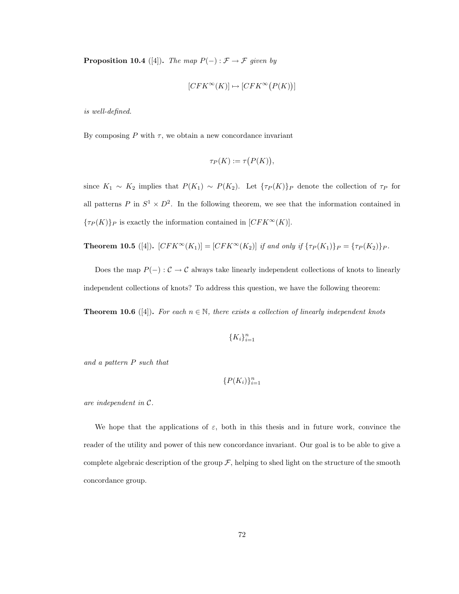**Proposition 10.4** ([4]). The map  $P(-): \mathcal{F} \to \mathcal{F}$  given by

$$
[CFK^{\infty}(K)] \mapsto [CFK^{\infty}(P(K))]
$$

is well-defined.

By composing  $P$  with  $\tau$ , we obtain a new concordance invariant

$$
\tau_P(K) := \tau\big(P(K)\big),
$$

since  $K_1 \sim K_2$  implies that  $P(K_1) \sim P(K_2)$ . Let  $\{\tau_P(K)\}\$ p denote the collection of  $\tau_P$  for all patterns P in  $S^1 \times D^2$ . In the following theorem, we see that the information contained in  ${\tau_P(K)}_P$  is exactly the information contained in  $[CFK^{\infty}(K)]$ .

**Theorem 10.5** ([4]).  $[CFK^{\infty}(K_1)] = [CFK^{\infty}(K_2)]$  if and only if  ${\tau_P(K_1)}_P = {\tau_P(K_2)}_P$ .

Does the map  $P(-): \mathcal{C} \to \mathcal{C}$  always take linearly independent collections of knots to linearly independent collections of knots? To address this question, we have the following theorem:

**Theorem 10.6** ([4]). For each  $n \in \mathbb{N}$ , there exists a collection of linearly independent knots

 ${K_i}_{i=1}^n$ 

and a pattern P such that

$$
\{P(K_i)\}_{i=1}^n
$$

are independent in C.

We hope that the applications of  $\varepsilon$ , both in this thesis and in future work, convince the reader of the utility and power of this new concordance invariant. Our goal is to be able to give a complete algebraic description of the group  $\mathcal{F}$ , helping to shed light on the structure of the smooth concordance group.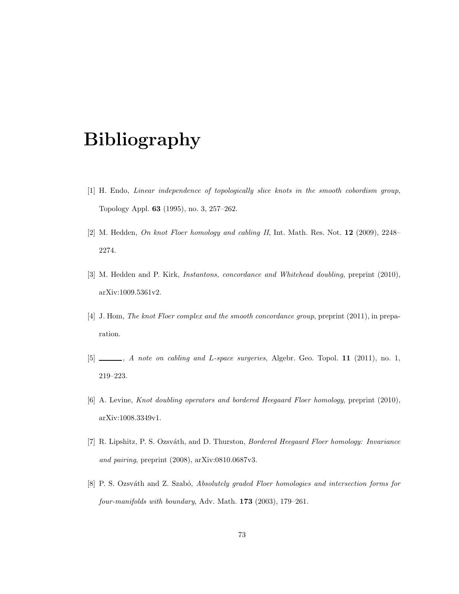# Bibliography

- [1] H. Endo, Linear independence of topologically slice knots in the smooth cobordism group, Topology Appl. 63 (1995), no. 3, 257–262.
- [2] M. Hedden, On knot Floer homology and cabling II, Int. Math. Res. Not. 12 (2009), 2248– 2274.
- [3] M. Hedden and P. Kirk, Instantons, concordance and Whitehead doubling, preprint (2010), arXiv:1009.5361v2.
- [4] J. Hom, The knot Floer complex and the smooth concordance group, preprint (2011), in preparation.
- [5] \_\_\_, A note on cabling and L-space surgeries, Algebr. Geo. Topol. 11 (2011), no. 1, 219–223.
- [6] A. Levine, Knot doubling operators and bordered Heegaard Floer homology, preprint (2010), arXiv:1008.3349v1.
- [7] R. Lipshitz, P. S. Ozsváth, and D. Thurston, *Bordered Heegaard Floer homology: Invariance* and pairing, preprint (2008), arXiv:0810.0687v3.
- [8] P. S. Ozsváth and Z. Szabó, Absolutely graded Floer homologies and intersection forms for four-manifolds with boundary, Adv. Math. 173 (2003), 179–261.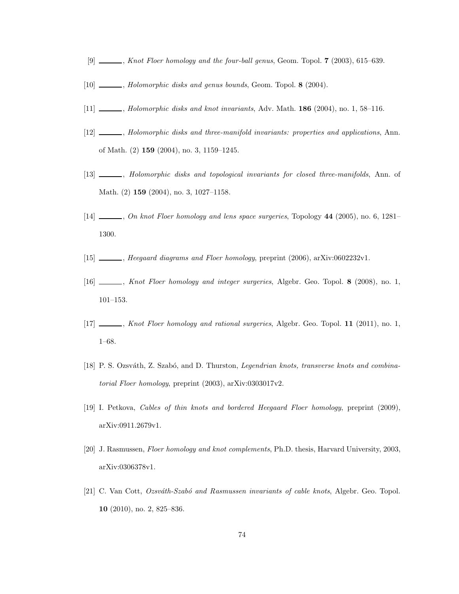- [9]  $\ldots$ , Knot Floer homology and the four-ball genus, Geom. Topol. 7 (2003), 615–639.
- [10] \_\_\_\_\_, Holomorphic disks and genus bounds, Geom. Topol. 8 (2004).
- [11] Holomorphic disks and knot invariants, Adv. Math. **186** (2004), no. 1, 58–116.
- [12]  $\_\_\_\_\$ , Holomorphic disks and three-manifold invariants: properties and applications, Ann. of Math. (2) 159 (2004), no. 3, 1159–1245.
- [13] Molomorphic disks and topological invariants for closed three-manifolds, Ann. of Math. (2) 159 (2004), no. 3, 1027–1158.
- [14]  $\ldots$ , On knot Floer homology and lens space surgeries, Topology 44 (2005), no. 6, 1281– 1300.
- [15] , Heegaard diagrams and Floer homology, preprint (2006), arXiv:0602232v1.
- [16] , Knot Floer homology and integer surgeries, Algebr. Geo. Topol. 8 (2008), no. 1,  $101-153.$
- [17] , Knot Floer homology and rational surgeries, Algebr. Geo. Topol. 11 (2011), no. 1, 1–68.
- [18] P. S. Ozsváth, Z. Szabó, and D. Thurston, *Legendrian knots, transverse knots and combina*torial Floer homology, preprint (2003), arXiv:0303017v2.
- [19] I. Petkova, Cables of thin knots and bordered Heegaard Floer homology, preprint (2009), arXiv:0911.2679v1.
- [20] J. Rasmussen, Floer homology and knot complements, Ph.D. thesis, Harvard University, 2003, arXiv:0306378v1.
- [21] C. Van Cott, Ozsváth-Szabó and Rasmussen invariants of cable knots, Algebr. Geo. Topol. 10 (2010), no. 2, 825–836.